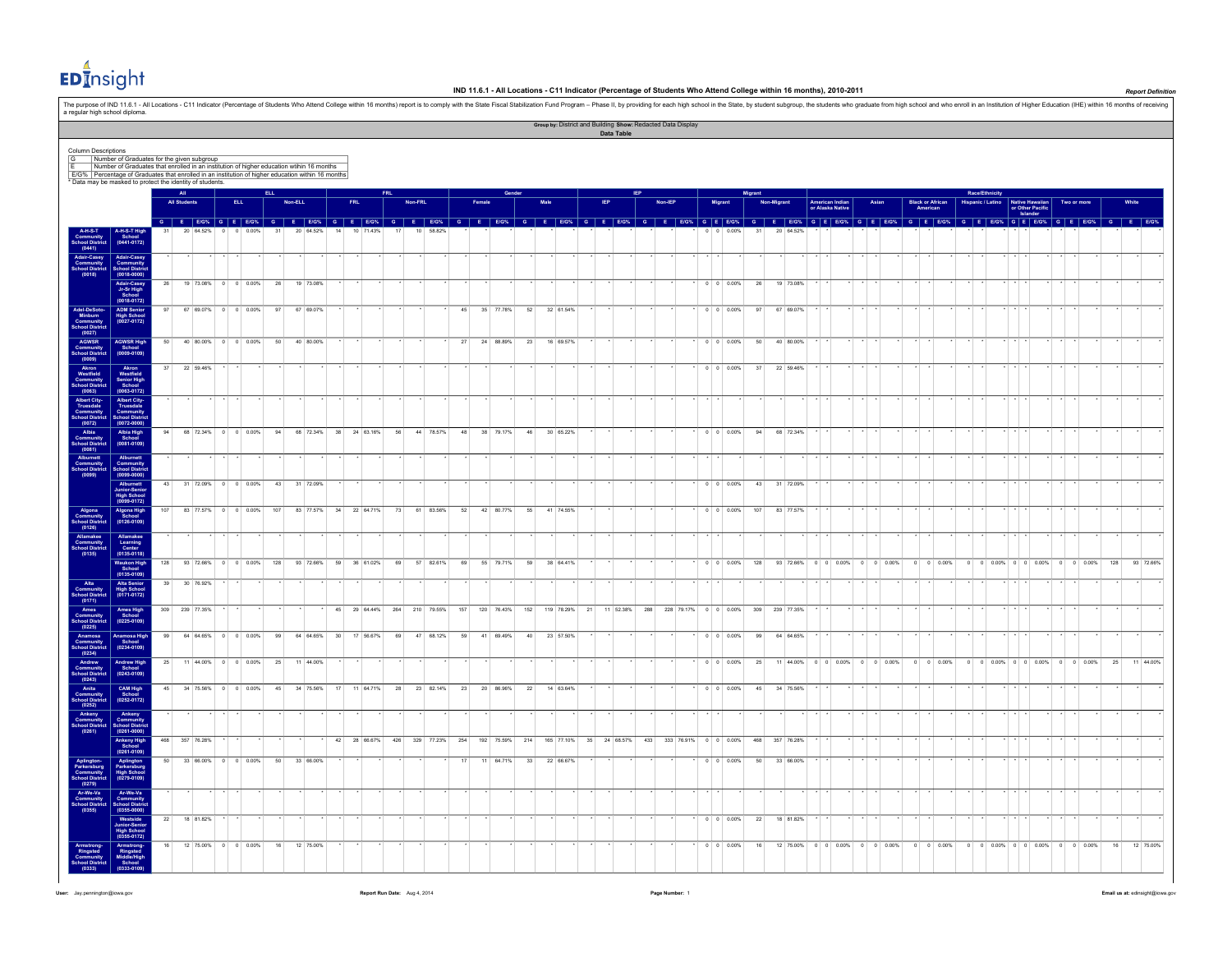**ED**Insight

The purpose of IND 1-All Locations - C11 Indicator (Percentage of Students Who Attend College within 16 months) report is to comply with the State Fiscal Stabilization Fund Program – Phase II, by providing for each high sc **Group by:** District and Building **Show:** Redacted Data Display **Data Table** Column Descriptions<br>| G | Number of Graduates for the given subgroup<br>| E | Number of Graduates that enrolled in an institution of higher education within 16 months<br>| E/G% | Percentage of Graduates that enrolled in an insti \* Data may be masked to protect the identity of students.<br>\* Data may be masked to protect the identity of students. **All ELL FRL Gender IEP Migrant Race/Ethnicity All Students ELL Non-ELL FRL Non-FRL Female Male IEP Non-IEP Migrant Non-Migrant American Indian or Alaska Native Asian Black or African American Hispanic / Latino Native Hawaiian or Other Pacific Islander Two or more White** O E BOX O E BOX O E BOX O E BOX O E BOX O E BOX O E BOX O E BOX O E BOX O E BOX O E BOX O E BOX O E BOX O E BOX O E BOX O E BOX O E BOX O E BOX O E BOX O E BOX O E BOX O E BOX **A-H-S-T Community School District (0441) A-H-S-T High School (0441-0172)** 31 20 64.52% 0 0 0.00% 31 20 64.52% 14 10 71.43% 17 10 58.82% \* \* \* \* \* \* \* \* \* \* \* \* 0 0 0.00% 31 20 64.52% \* \* \* \* \* \* \* \* \* \* \* \* \* \* \* \* \* \* \* \* \* **Adair-Casey Community School District (0018) Adair-Casey Community School District (0018-0000)** \* \* \* \* \* \* \* \* \* \* \* \* \* \* \* \* \* \* \* \* \* \* \* \* \* \* \* \* \* \* \* \* \* \* \* \* \* \* \* \* \* \* \* \* \* \* \* \* \* \* \* \* \* \* **Adair-Casey Jr-Sr High School (0018-0172)** 26 19 73.08% 0 0 0.00% 26 19 73.08% \* \* \* \* \* \* \* \* \* \* \* \* \* \* \* \* \* \* 0 0 0.00% 26 19 73.08% \* \* \* \* \* \* \* \* \* \* \* \* \* \* \* \* \* \* \* \* \* **Adel-DeSoto- Minburn Community School District (0027) ADM Senior High School (0027-0172)** 97 67 69.07% 0 0 0.00% 97 67 69.07% \* \* \* \* \* \* 45 35 77.78% 52 32 61.54% \* \* \* \* \* \* 0 0 0.00% 97 67 69.07% \* \* \* \* \* \* \* \* \* \* \* \* \* \* \* \* \* \* \* \* \* **AGWSR Community School District (0009) AGWSR High School (0009-0109)** 50 40 80.00% 0 0 0.00% 50 40 80.00% \* \* \* \* \* \* 27 24 88.89% 23 16 69.57% \* \* \* \* \* \* 0 0 0.00% 50 40 80.00% \* \* \* \* \* \* \* \* \* \* \* \* \* \* \* \* \* \* \* \* \* **Akron<br>Mestfield<br>Community (0063) Akron Westfield Senior High School (0063-0172)** 37 22 59.46% \* \* \* \* \* \* \* \* \* \* \* \* \* \* \* \* \* \* \* \* \* \* \* \* 0 0 0.00% 37 22 59.46% \* \* \* \* \* \* \* \* \* \* \* \* \* \* \* \* \* \* \* \* \* **Albert City-Truesdale Community School District (0072) Albert City-Truesdale Community School District (0072-0000)** \* \* \* \* \* \* \* \* \* \* \* \* \* \* \* \* \* \* \* \* \* \* \* \* \* \* \* \* \* \* \* \* \* \* \* \* \* \* \* \* \* \* \* \* \* \* \* \* \* \* \* \* \* \* **Albia Community School District (0081) Albia High School (0081-0109)** 94 68 72.34% 0 0 0.00% 94 68 72.34% 38 24 63.16% 56 44 78.57% 48 38 79.17% 46 30 65.22% \* \* \* \* \* \* 0 0 0.00% 94 68 72.34% \* \* \* \* \* \* \* \* \* \* \* \* \* \* \* \* \* \* \* \* \* **Alburnett Community School District (0099) Alburnett Community School District (0099-0000)** \* \* \* \* \* \* \* \* \* \* \* \* \* \* \* \* \* \* \* \* \* \* \* \* \* \* \* \* \* \* \* \* \* \* \* \* \* \* \* \* \* \* \* \* \* \* \* \* \* \* \* \* \* \* **Alburnett Junior-Senior High School (0099-0172)** 43 31 72.09% 0 0 0.00% 43 31 72.09% \* \* \* \* \* \* \* \* \* \* \* \* \* \* \* \* \* \* 0 0 0.00% 43 31 72.09% \* \* \* \* \* \* \* \* \* \* \* \* \* \* \* \* \* \* \* \* \* **Algona Community School District (0126) Algona High School (0126-0109)** 107 83 77.57% 0 0 0.00% 107 83 77.57% 34 22 64.71% 73 61 83.56% 52 42 80.77% 55 41 74.55% \* \* \* \* \* \* 0 0 0.00% 107 83 77.57% \* \* \* \* \* \* \* \* \* \* \* \* \* \* \* \* \* \* \* \* \* **Allamakee Community School District (0135) Allamakee Learning Center (0135-0118)** \* \* \* \* \* \* \* \* \* \* \* \* \* \* \* \* \* \* \* \* \* \* \* \* \* \* \* \* \* \* \* \* \* \* \* \* \* \* \* \* \* \* \* \* \* \* \* \* \* \* \* \* \* \* **Waukon High School (0135-0109)** 128 93 72.66% 0 0 0.00% 128 93 72.66% 59 36 61.02% 69 57 82.61% 69 55 79.71% 59 38 64.41% \* \* \* \* \* \* 0 0 0.00% 128 93 72.66% 0 0 0.00% 0 0 0.00% 0 0 0.00% 0 0 0.00% 0 0 0.00% 0 0 0.00% 128 93 72.66% **Alta Community School District (0171) Alta Senior High School (0171-0172)** 39 30 76.92% \* \* \* \* \* \* \* \* \* \* \* \* \* \* \* \* \* \* \* \* \* \* \* \* \* \* \* \* \* \* \* \* \* \* \* \* \* \* \* \* \* \* \* \* \* \* \* \* \* \* \* **Ames Community School District (0225) Ames High School (0225-0109)** 309 239 77.35% \* \* \* \* \* \* 45 29 64.44% 264 210 79.55% 157 120 76.43% 152 119 78.29% 21 11 52.38% 288 228 79.17% 0 0 0.00% 309 239 77.35% \* \* \* \* \* \* \* \* \* \* \* \* \* \* \* \* \* \* \* \* \* **Anamosa Community School District (0234) Anamosa High School (0234-0109)** 99 64 64.65% 0 0 0.00% 99 64 64.65% 30 17 56.67% 69 47 68.12% 59 41 69.49% 40 23 57.50% \* \* \* \* \* \* 0 0 0.00% 99 64 64.65% \* \* \* \* \* \* \* \* \* \* \* \* \* \* \* \* \* \* \* \* \* **Andrew Community School District (0243) Andrew High School (0243-0109)** 25 11 44.00% 0 0 0.00% 25 11 44.00% \* \* \* \* \* \* \* \* \* \* \* \* \* \* \* \* \* \* 0 0 0.00% 25 11 44.00% 0 0 0.00% 0 0 0.00% 0 0 0.00% 0 0 0.00% 0 0 0.00% 0 0 0.00% 25 11 44.00% **Anita Community School District (0252) CAM High School (0252-0172)** 45 34 75.56% 0 0 0.00% 45 34 75.56% 17 11 64.71% 28 23 82.14% 23 20 86.96% 22 14 63.64% \* \* \* \* \* \* 0 0 0.00% 45 34 75.56% \* \* \* \* \* \* \* \* \* \* \* \* \* \* \* \* \* \* \* \* \* **Ankeny Community School District (0261) Ankeny Community School District (0261-0000)** \* \* \* \* \* \* \* \* \* \* \* \* \* \* \* \* \* \* \* \* \* \* \* \* \* \* \* \* \* \* \* \* \* \* \* \* \* \* \* \* \* \* \* \* \* \* \* \* \* \* \* \* \* \* **Ankeny High School (0261-0109)** 468 357 76.28% \* \* \* \* \* \* \* \* \* 42 28 66.67% 426 329 77.23% 254 192 75.59% 214 165 77.10% 35 24 68.57% 433 333 76.91% 0 0.000% 468 357 76.28% **Aplington- Parkersburg Community School District (0279) Aplington Parkersburg High School (0279-0109)** 50 33 66.00% 0 0 0.00% 50 33 66.00% \* \* \* \* \* \* 17 11 64.71% 33 22 66.67% \* \* \* \* \* \* 0 0 0.00% 50 33 66.00% \* \* \* \* \* \* \* \* \* \* \* \* \* \* \* \* \* \* \* \* \* **Ar-We-Va Community School District (0355) Ar-We-Va**<br>Community **(0355-0000)** \* \* \* \* \* \* \* \* \* \* \* \* \* \* \* \* \* \* \* \* \* \* \* \* \* \* \* \* \* \* \* \* \* \* \* \* \* \* \* \* \* \* \* \* \* \* \* \* \* \* \* \* \* \* **Westside Junior-Senior High School (0355-0172)** 22 18 81.82% \* \* \* \* \* \* \* \* \* \* \* \* \* \* \* \* \* \* \* \* \* \* \* \* 0 0 0.00% 22 18 81.82% \* \* \* \* \* \* \* \* \* \* \* \* \* \* \* \* \* \* \* \* \* **Armstrong- Ringsted Community School District (0333) Armstrong- Ringsted Middle/High School (0333-0109)** 16 12 75.00% 0 0 0.00% 16 12 75.00% \* \* \* \* \* \* \* \* \* \* \* \* \* \* \* \* \* \* 0 0 0.00% 16 12 75.00% 0 0 0.00% 0 0 0.00% 0 0 0.00% 0 0 0.00% 0 0 0.00% 0 0 0.00% 16 12 75.00%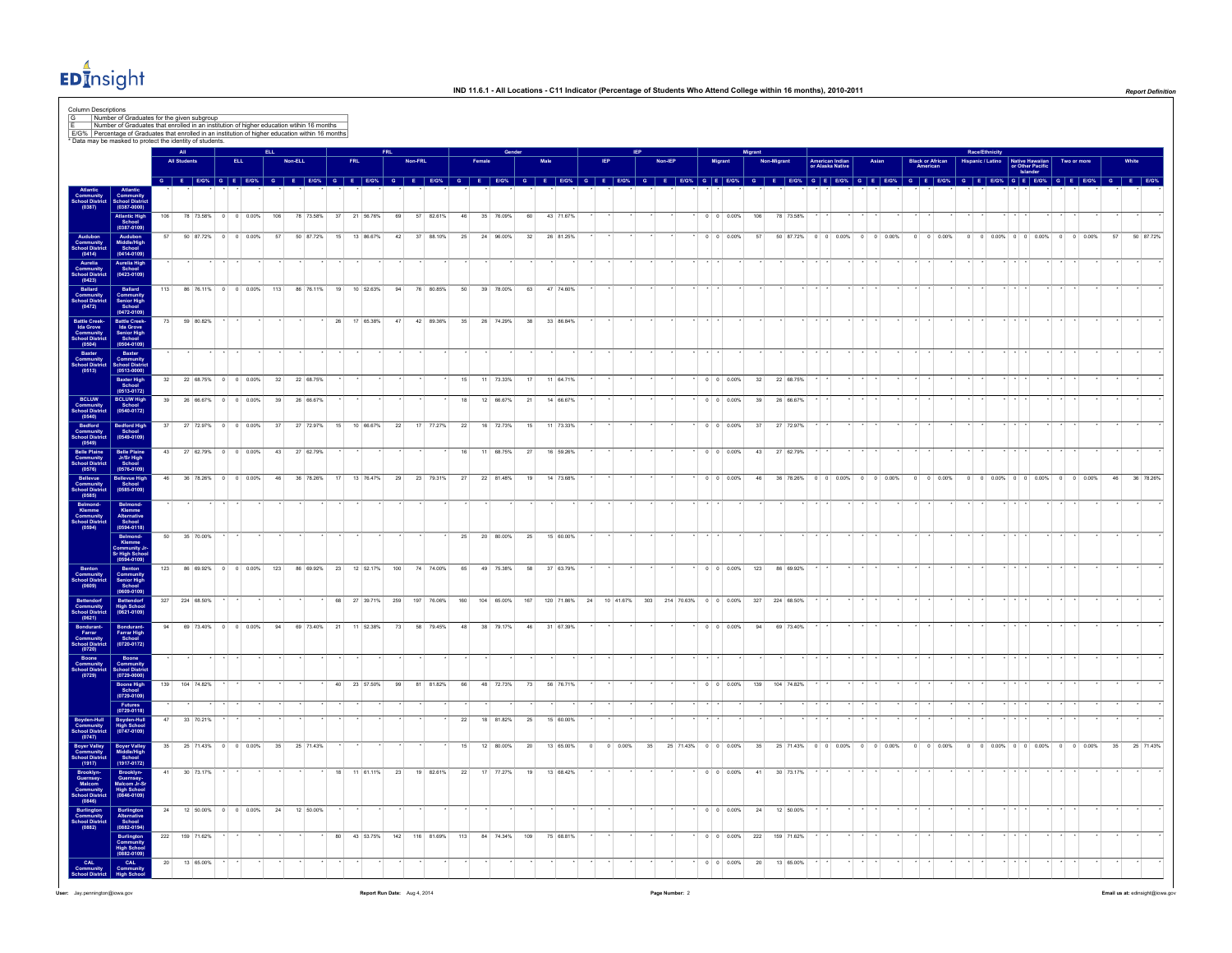

| Column Descriptions<br>$rac{G}{E}$                                                                                                                                                                                                                                                  | Number of Graduates for the given subgroup<br>Number of Graduates that enrolled in an institution of higher education within 16 months |                 |                                                                                                                                                   |         |                    |            |           |           |      |                        |                                      |                    |     |            |             |           |           |         |                                                  |    |                |  |                          |     |            |            |                               |       |  |                                      |                   |                       |                                 |                    |               |           |
|-------------------------------------------------------------------------------------------------------------------------------------------------------------------------------------------------------------------------------------------------------------------------------------|----------------------------------------------------------------------------------------------------------------------------------------|-----------------|---------------------------------------------------------------------------------------------------------------------------------------------------|---------|--------------------|------------|-----------|-----------|------|------------------------|--------------------------------------|--------------------|-----|------------|-------------|-----------|-----------|---------|--------------------------------------------------|----|----------------|--|--------------------------|-----|------------|------------|-------------------------------|-------|--|--------------------------------------|-------------------|-----------------------|---------------------------------|--------------------|---------------|-----------|
| E/G% Percentage of Graduates that enrolled in an institution of higher education within 16 months                                                                                                                                                                                   |                                                                                                                                        |                 |                                                                                                                                                   |         |                    |            |           |           |      |                        |                                      |                    |     |            |             |           |           |         |                                                  |    |                |  |                          |     |            |            |                               |       |  |                                      |                   |                       |                                 |                    |               |           |
|                                                                                                                                                                                                                                                                                     | * Data may be masked to protect the identity of students.                                                                              |                 |                                                                                                                                                   |         |                    | <b>ELL</b> |           |           |      |                        |                                      |                    |     |            |             |           |           |         |                                                  |    |                |  |                          |     |            |            |                               |       |  |                                      | Race/Ethnicity    |                       |                                 |                    |               |           |
|                                                                                                                                                                                                                                                                                     |                                                                                                                                        |                 | <b>All Students</b>                                                                                                                               |         | ELL.               |            | Non-ELL   |           | FRI. |                        |                                      | Non-FRL            |     |            |             |           |           |         |                                                  |    | <b>Non-IFP</b> |  | Migrant                  |     | Non-Mia    |            |                               | Asiar |  | <b>Black or African<br/>American</b> | Hispanic / Lating |                       |                                 | Two or more        |               |           |
|                                                                                                                                                                                                                                                                                     |                                                                                                                                        |                 | G E EON G E EON G E EON G E EON G E EON G E EON G E EON G E EON G E EON G E EON G E EON G E EON G E EON G E EONG E EON G E EONG G E EONG G E EONG |         |                    |            |           |           |      |                        |                                      |                    |     |            |             |           |           |         |                                                  |    |                |  |                          |     |            |            |                               |       |  |                                      |                   |                       |                                 |                    | $G$ $E$ $E/G$ |           |
|                                                                                                                                                                                                                                                                                     | <b>Community</b><br>Chool Distr<br>$(0387 - 0000)$                                                                                     |                 |                                                                                                                                                   |         |                    |            |           |           |      |                        |                                      |                    |     |            |             |           |           |         |                                                  |    |                |  |                          |     |            |            |                               |       |  |                                      |                   |                       |                                 |                    |               |           |
|                                                                                                                                                                                                                                                                                     | Atlantic High<br>School<br>(0387-0109)                                                                                                 | 106             | 78 73.58%                                                                                                                                         |         | $0 \t 0 \t 0.00\%$ | 106        |           | 78 73.58% | 37   | 21 56.76%              | 69                                   | 57 82.61%          | 46  | 35 76.09%  | 60          |           | 43 71.67% |         |                                                  |    |                |  | $0\qquad 0\qquad 0.00\%$ | 106 |            | 78 73.58%  |                               |       |  |                                      |                   |                       |                                 |                    |               |           |
|                                                                                                                                                                                                                                                                                     |                                                                                                                                        | 57              | 50 87.72% 0 0 0.00%                                                                                                                               |         |                    | 57         |           | 50 87.72% | 15   | 13 86.67%              | 42                                   | 37 88.10%          | 25  | 24 96.00%  | 32          |           | 26 81.25% |         |                                                  |    |                |  | $0 \t 0 \t 0.00\%$       | 57  |            |            | 50 87.72% 0 0 0.00% 0 0 0.00% |       |  | $0 \t 0 \t 0.00\%$                   |                   | $0$ 0 0.00% 0 0 0.00% |                                 | $0 \t 0 \t 0.00\%$ | 57            | 50 87.72% |
|                                                                                                                                                                                                                                                                                     | Audubon<br>Middle/High<br>School<br>(0414-0109)                                                                                        |                 |                                                                                                                                                   |         |                    |            |           |           |      |                        |                                      |                    |     |            |             |           |           |         |                                                  |    |                |  |                          |     |            |            |                               |       |  |                                      |                   |                       |                                 |                    |               |           |
| Audubon<br>Community<br>School Distri<br>(0414)<br>Annelia Accelia<br>Community<br>Ballard<br>Ballard<br>Community<br>School Distric<br>(0472)                                                                                                                                      | Aurelia High<br>School<br>(0423-0109)                                                                                                  |                 |                                                                                                                                                   |         |                    |            |           |           |      |                        |                                      |                    |     |            |             |           |           |         |                                                  |    |                |  |                          |     |            |            |                               |       |  |                                      |                   |                       |                                 |                    |               |           |
|                                                                                                                                                                                                                                                                                     | Ballard<br>Community<br>Senior High<br>School                                                                                          | $113$           | 86 76.11%                                                                                                                                         |         | $0 \t 0 \t 0.00\%$ | 113        |           | 86 76.11% | 19   | 10 52.63%              | 94                                   | 76 80.85%          | 50  | 39 78.00%  | 63          |           | 47 74.60% |         |                                                  |    |                |  |                          |     |            |            |                               |       |  |                                      |                   |                       |                                 |                    |               |           |
|                                                                                                                                                                                                                                                                                     | $(0472 - 0109)$                                                                                                                        |                 |                                                                                                                                                   |         |                    |            |           |           |      |                        |                                      |                    |     |            |             |           |           |         |                                                  |    |                |  |                          |     |            |            |                               |       |  |                                      |                   |                       |                                 |                    |               |           |
|                                                                                                                                                                                                                                                                                     | Battle Creek-<br>Ida Grove<br>Senior High<br>School<br>(0504-0109)                                                                     | 73              | 59 80.82%                                                                                                                                         |         |                    |            |           |           | 26   | 17 65.38%              | 47                                   | 42 89.36%          | 35  | 26 74.29%  | 38          | 33 86.84% |           |         |                                                  |    |                |  |                          |     |            |            |                               |       |  |                                      |                   |                       |                                 |                    |               |           |
|                                                                                                                                                                                                                                                                                     |                                                                                                                                        |                 |                                                                                                                                                   |         |                    |            |           |           |      |                        |                                      |                    |     |            |             |           |           |         |                                                  |    |                |  |                          |     |            |            |                               |       |  |                                      |                   |                       |                                 |                    |               |           |
| Battle Creek<br>Ida Grove<br>Community<br>School Distric<br>(0504)<br>Baxter<br>Community<br>School Distric<br>(0513)                                                                                                                                                               | Baxter<br>Community<br>School Distric<br>(0513-0000)                                                                                   |                 |                                                                                                                                                   |         |                    |            |           |           |      |                        |                                      |                    |     |            |             |           |           |         |                                                  |    |                |  |                          |     |            |            |                               |       |  |                                      |                   |                       |                                 |                    |               |           |
|                                                                                                                                                                                                                                                                                     | Baxter High<br>School<br>(0513-0172)                                                                                                   | 32              | 22 68.75%                                                                                                                                         | $\circ$ | $0 - 0.00%$        | 32         | 22 68.75% |           |      |                        |                                      |                    | 15  | 11 73.33%  | 17          |           | 11 64.71% |         |                                                  |    |                |  | $0 \t 0 \t 0.00\%$       | 32  |            | 22 68.75%  |                               |       |  |                                      |                   |                       |                                 |                    |               |           |
|                                                                                                                                                                                                                                                                                     | BCLUW High<br>School<br>(0540-0172)                                                                                                    | 39              | 26 66.67% 0 0 0.00%                                                                                                                               |         |                    | 39         | 26 66.67% |           |      |                        |                                      |                    | 18  | 12 66.67%  | 21          |           | 14 66.67% |         |                                                  |    |                |  | $0 \quad 0 \quad 0.00\%$ | 39  |            | 26 66.67%  |                               |       |  |                                      |                   |                       |                                 |                    |               |           |
|                                                                                                                                                                                                                                                                                     |                                                                                                                                        |                 |                                                                                                                                                   |         |                    |            |           |           |      |                        |                                      |                    |     |            |             |           |           |         |                                                  |    |                |  |                          |     |            |            |                               |       |  |                                      |                   |                       |                                 |                    |               |           |
|                                                                                                                                                                                                                                                                                     | Bedford High<br>School<br>(0549-0109)                                                                                                  | 37              | 27 72.97%                                                                                                                                         |         | $0 \t 0 \t 0.00\%$ | 37         | 27 72.97% |           | 15   | 10 66.67%              | 22                                   | 17 77.27%          | 22  | 16 72.73%  | 15          |           | 11 73.33% |         |                                                  |    |                |  | $0 \quad 0 \quad 0.00\%$ | 37  |            | 27 72.97%  |                               |       |  |                                      |                   |                       |                                 |                    |               |           |
|                                                                                                                                                                                                                                                                                     | Belle Plaine<br>Jr/Sr High<br>School<br>(0576-0109)                                                                                    | 43              | 27 62.79% 0 0 0.00%                                                                                                                               |         |                    | 43         | 27 62.79% |           |      |                        |                                      |                    | 16  | 11 68.75%  | 27          |           | 16 59.26% |         |                                                  |    |                |  | $0 \quad 0 \quad 0.00\%$ | 43  |            | 27 62.79%  |                               |       |  |                                      |                   |                       |                                 |                    |               |           |
|                                                                                                                                                                                                                                                                                     | Bellevue High<br>School<br>(0585-0109)                                                                                                 | 46              | 36 78.26% 0 0 0.00%                                                                                                                               |         |                    | 46         |           | 36 78.26% | 17   | 13 76.47%              | 29                                   | 23 79.31%          | 27  | 22 81.48%  | 19          |           | 14 73.68% |         |                                                  |    |                |  | $0 \t 0 \t 0.00\%$       | 46  |            |            | 36 78.26% 0 0 0.00% 0 0 0.00% |       |  | $0 \t 0 \t 0.00\%$                   |                   | $0$ 0 0.00% 0 0 0.00% |                                 | $0 \t 0 \t 0.00\%$ | 46            | 36 78.26% |
|                                                                                                                                                                                                                                                                                     |                                                                                                                                        |                 |                                                                                                                                                   |         |                    |            |           |           |      |                        |                                      |                    |     |            |             |           |           |         |                                                  |    |                |  |                          |     |            |            |                               |       |  |                                      |                   |                       |                                 |                    |               |           |
| <b>ECOMMON CONTROLLANT CONTROLLANT CONTROLLANT CONTROLLANT CONTROLLANT CONTROLLANT CONTROLLANT CONTROLLANT CONTROLLANT SCHOOL DISTRICT CONTROLLANT CONTROLLANT CONTROLLANT CONTROLLANT CONTROLLANT CONTROLLANT CONTROLLANT CONTR</b>                                                | Belmond-<br>Klemme<br>Alternative<br>School<br>(0594-0118)                                                                             |                 |                                                                                                                                                   |         |                    |            |           |           |      |                        |                                      |                    |     |            |             |           |           |         |                                                  |    |                |  |                          |     |            |            |                               |       |  |                                      |                   |                       |                                 |                    |               |           |
|                                                                                                                                                                                                                                                                                     | Belmond-<br>Klemme<br>Community J<br>Sr High Schoe<br>(0594-0109)                                                                      | 50              | 35 70.00%                                                                                                                                         |         |                    |            |           |           |      |                        |                                      |                    | 25  | 20 80.00%  | 25          |           | 15 60.00% |         |                                                  |    |                |  |                          |     |            |            |                               |       |  |                                      |                   |                       |                                 |                    |               |           |
| Benton<br>Communit <sub>!</sub><br>Chool Distr<br>(0609)                                                                                                                                                                                                                            |                                                                                                                                        | 123             | 86 69.92% 0 0 0.00% 123                                                                                                                           |         |                    |            |           |           |      |                        | 86 69.92% 23 12 52.17% 100 74 74.00% |                    | 65  | 49 75.38%  | 58          | 37 63.79% |           |         |                                                  |    |                |  | $0 \t 0 \t 0.00\%$       | 123 |            | 86 69.92%  |                               |       |  |                                      |                   |                       |                                 |                    |               |           |
|                                                                                                                                                                                                                                                                                     | Benton<br>Community<br>Senior High<br>School<br>(0609-0109)                                                                            |                 | 327 224 68.50%                                                                                                                                    |         |                    |            |           |           | 68   | 27 39.71%              | 259                                  | 197 76.06%         | 160 | 104 65.00% | 167         |           |           |         | 120 71.86% 24 10 41.67% 303 214 70.63% 0 0 0.00% |    |                |  |                          | 327 | 224 68.50% |            |                               |       |  |                                      |                   |                       |                                 |                    |               |           |
| Bettendorf<br>Community<br>School Distric<br>(0621)<br>Bondurant-<br>Farra<br>Community<br>0020)<br>Boone<br>Community<br>(0729)<br>3000 Distric<br>(0729)                                                                                                                          | Bettendorf<br>High School<br>(0621-0109)                                                                                               |                 |                                                                                                                                                   |         |                    |            |           |           |      |                        |                                      |                    |     |            |             |           |           |         |                                                  |    |                |  |                          |     |            |            |                               |       |  |                                      |                   |                       |                                 |                    |               |           |
|                                                                                                                                                                                                                                                                                     | Bondurant-<br>Farrar High<br>School<br>(0720-0172)                                                                                     | 0.4             | 69 73.40% 0 0 0.00%                                                                                                                               |         |                    | 94         |           |           |      | 69 73.40% 21 11 52.38% | 73                                   | 58 79.45%          | 48  | 38 79.17%  | 46          |           | 31 67.39% |         |                                                  |    |                |  | $0 \t 0 \t 0.00\%$       | 94  |            | 69 73.40%  |                               |       |  |                                      |                   |                       |                                 |                    |               |           |
|                                                                                                                                                                                                                                                                                     |                                                                                                                                        |                 |                                                                                                                                                   |         |                    |            |           |           |      |                        |                                      |                    |     |            |             |           |           |         |                                                  |    |                |  |                          |     |            |            |                               |       |  |                                      |                   |                       |                                 |                    |               |           |
|                                                                                                                                                                                                                                                                                     | Boone<br>Community<br>School Distric<br>(0729-0000)                                                                                    |                 |                                                                                                                                                   |         |                    |            |           |           |      |                        |                                      |                    |     |            |             |           |           |         |                                                  |    |                |  |                          |     |            |            |                               |       |  |                                      |                   |                       |                                 |                    |               |           |
|                                                                                                                                                                                                                                                                                     | Boone High<br>School<br>(0729-0109)                                                                                                    | 139             | 104 74.82%                                                                                                                                        |         |                    |            |           |           | 40   | 23 57.50%              | 99                                   | 81 81.82%          | 66  | 48 72.73%  | 73          |           | 56 76.71% |         |                                                  |    |                |  | $0 \t 0 \t 0.00\%$       | 139 |            | 104 74.82% |                               |       |  |                                      |                   |                       |                                 |                    |               |           |
|                                                                                                                                                                                                                                                                                     | Futures<br>(0729-0118)                                                                                                                 | 47              | 33 70.21%                                                                                                                                         |         |                    |            |           |           |      |                        |                                      |                    | 22  | 18 81.82%  | 25          |           | 15 60.00% |         |                                                  |    |                |  |                          |     |            |            |                               |       |  |                                      |                   |                       |                                 |                    |               |           |
|                                                                                                                                                                                                                                                                                     | Boyden-Hull<br>High School<br>(0747-0109)                                                                                              |                 |                                                                                                                                                   |         |                    |            |           |           |      |                        |                                      |                    |     |            |             |           |           |         |                                                  |    |                |  |                          |     |            |            |                               |       |  |                                      |                   |                       |                                 |                    |               |           |
|                                                                                                                                                                                                                                                                                     | Boyer Valley<br>Middle/High<br>School<br>(1917-0172)                                                                                   | 35 <sup>5</sup> | 25 71.43% 0 0 0.00%                                                                                                                               |         |                    | 35         | 25 71.43% |           |      |                        |                                      |                    | 15  | 12 80.00%  | $20\degree$ |           | 13 65.00% | $\circ$ | $0 - 0.00\%$                                     | 35 |                |  | 25 71.43% 0 0 0.00%      | 35  |            |            | 25 71.43% 0 0 0.00% 0 0 0.00% |       |  | $0 \t 0 \t 0.00\%$                   |                   |                       | $0$ 0 0.00% 0 0 0.00% 0 0 0.00% |                    | 35            | 25 71.43% |
|                                                                                                                                                                                                                                                                                     |                                                                                                                                        | 41              | 30 73.17%                                                                                                                                         |         |                    |            |           |           | 18   | 11 61.11%              | 23                                   | 19 82.61%          | 22  | 17 77.27%  | 19          |           | 13 68.42% |         |                                                  |    |                |  | $0 \t 0 \t 0.00\%$       | 41  |            | 30 73.17%  |                               |       |  |                                      |                   |                       |                                 |                    |               |           |
| Boyden-Hull<br>Community<br>School District<br>(0747)<br>Boyer Valley<br>Community<br>Community<br>Modern Brooklyn-Guernsey<br>Community<br>Community<br>(0846)<br>Community<br>Community<br>Community<br>Community<br>Community<br>School District<br>Community<br>School District | Brooklyn-<br>Guernsey-<br>Malcom Jr-Sr<br>High School<br>(0846-0109)                                                                   |                 |                                                                                                                                                   |         |                    |            |           |           |      |                        |                                      |                    |     |            |             |           |           |         |                                                  |    |                |  |                          |     |            |            |                               |       |  |                                      |                   |                       |                                 |                    |               |           |
|                                                                                                                                                                                                                                                                                     | Burlington<br>Alternative<br>School<br>(0882-0194)                                                                                     | 24              | 12 50.00% 0 0 0.00%                                                                                                                               |         |                    | 24         | 12 50.00% |           |      |                        |                                      |                    |     |            |             |           |           |         |                                                  |    |                |  | $0 \quad 0 \quad 0.00\%$ | 24  |            | 12 50.00%  |                               |       |  |                                      |                   |                       |                                 |                    |               |           |
|                                                                                                                                                                                                                                                                                     | Burlington<br>Community<br>High School<br>(0882-0109)                                                                                  | 222             | 159 71.62%                                                                                                                                        |         |                    |            |           |           |      | 80 43 53 75%           |                                      | 142 116 81.69% 113 |     | 84 74.34%  | 109         |           | 75 68.81% |         |                                                  |    |                |  | $0 \quad 0 \quad 0.00\%$ | 222 |            | 159 71.62% |                               |       |  |                                      |                   |                       |                                 |                    |               |           |
| CAL<br>Commun                                                                                                                                                                                                                                                                       | CAL                                                                                                                                    | 20              | 13 65.00%                                                                                                                                         |         |                    |            |           |           |      |                        |                                      |                    |     |            |             |           |           |         |                                                  |    |                |  | $0 \t 0 \t 0.00\%$       | 20  |            | 13 65.00%  |                               |       |  |                                      |                   |                       |                                 |                    |               |           |
|                                                                                                                                                                                                                                                                                     |                                                                                                                                        |                 |                                                                                                                                                   |         |                    |            |           |           |      |                        |                                      |                    |     |            |             |           |           |         |                                                  |    |                |  |                          |     |            |            |                               |       |  |                                      |                   |                       |                                 |                    |               |           |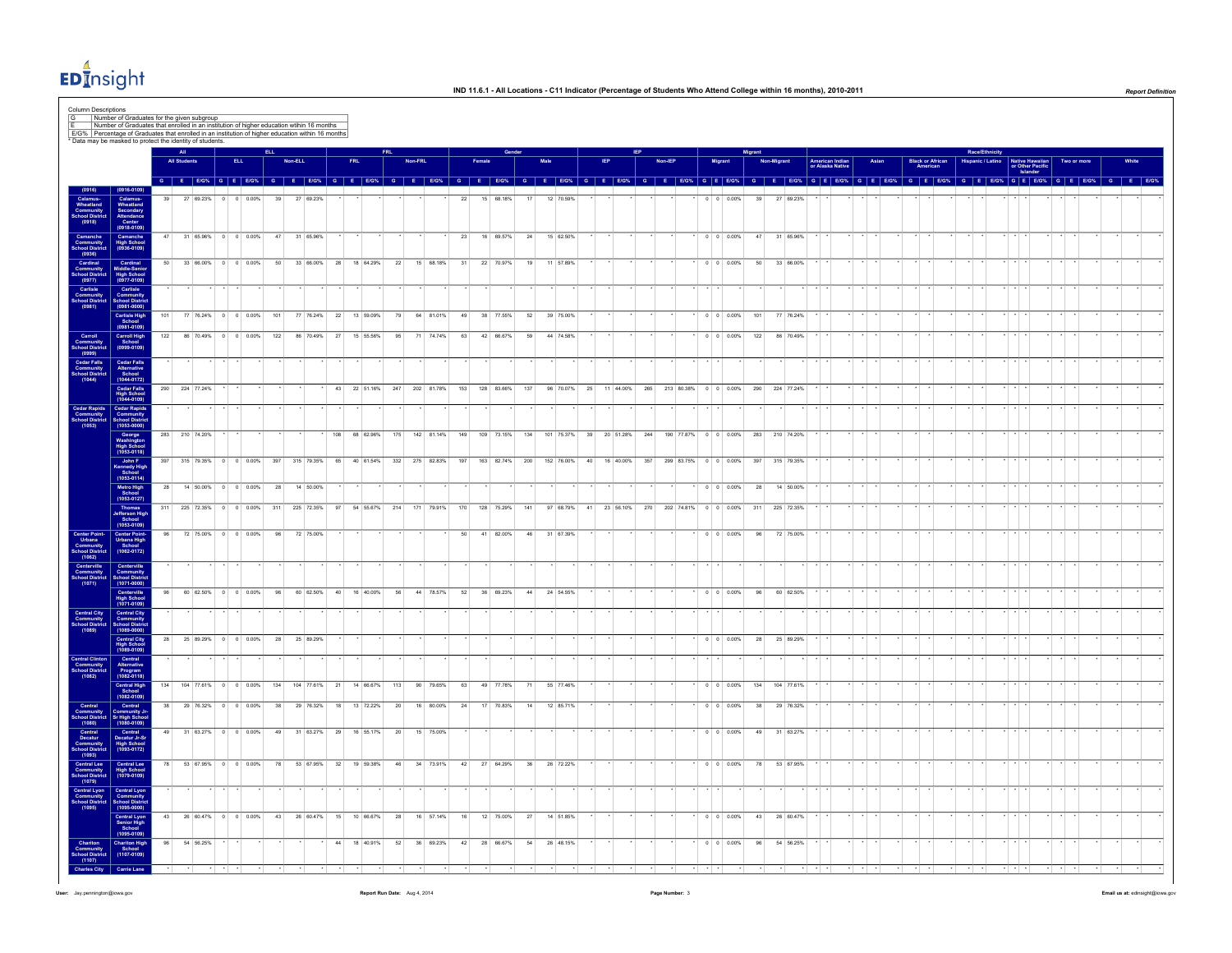

| Column Descriptions<br>$\boxed{G}$<br>ĪΕ                                                                        | Number of Graduates for the given subgroup<br>Number of Graduates that enrolled in an institution of higher education wtihin 16 months<br>E/G% Percentage of Graduates that enrolled in an institution of higher education within 16 months<br>* Data may be masked to protect the identity of students. |     |                                                                                                                                                                                                                                |          |                     |     |              |            |                             |        |         |                |     |    |                |     |      |                        |    |           |               |     |                |            |                          |     |             |            |                                     |  |       |                         |  |                                           |                 |                                            |             |  |  |
|-----------------------------------------------------------------------------------------------------------------|----------------------------------------------------------------------------------------------------------------------------------------------------------------------------------------------------------------------------------------------------------------------------------------------------------|-----|--------------------------------------------------------------------------------------------------------------------------------------------------------------------------------------------------------------------------------|----------|---------------------|-----|--------------|------------|-----------------------------|--------|---------|----------------|-----|----|----------------|-----|------|------------------------|----|-----------|---------------|-----|----------------|------------|--------------------------|-----|-------------|------------|-------------------------------------|--|-------|-------------------------|--|-------------------------------------------|-----------------|--------------------------------------------|-------------|--|--|
|                                                                                                                 |                                                                                                                                                                                                                                                                                                          |     | <b>All Students</b>                                                                                                                                                                                                            |          | ELL                 |     | Non-ELL      | <b>FRL</b> |                             |        | Non-FRL |                |     |    |                |     | Male |                        |    |           |               |     | <b>Non-IFP</b> |            | <b>Migrant</b>           |     | Non-Migrant |            | American Indian<br>or Alaska Native |  | Asian | <b>Black or African</b> |  | Race/Ethnicit<br><b>Hispanic / Latino</b> |                 | <b>Native Hawaiian</b><br>or Other Pacific | Two or more |  |  |
|                                                                                                                 | 0916-01091                                                                                                                                                                                                                                                                                               |     | G E EIGN G E EIGN G E EIGN G E EIGN G E EIGN G E EIGN G E EIGN G E EIGN G E EIGN G E EIGN G E EIGN G E EIGN G E EIGN G E EIGN G E EIGN G E EIGN G E EIGN G E EIGN G E EIGN G E EIGN G E EIGN G E EIGN G E EIGN G E EIGN G E EI |          |                     |     |              |            |                             |        |         |                |     |    |                |     |      |                        |    |           |               |     |                |            |                          |     |             |            |                                     |  |       |                         |  |                                           |                 |                                            |             |  |  |
|                                                                                                                 | Calamus-<br>Wheatland<br>Secondary<br>Attendance<br>Center<br>(0918-0109)                                                                                                                                                                                                                                | 39  | 27 69.23%                                                                                                                                                                                                                      | $\Omega$ | 0.00%<br>$\sqrt{2}$ | 39  | 27 69.23%    |            |                             |        |         |                | 22  | 15 | 68.18%         | 17  |      | 12 70.59%              |    |           |               |     |                |            | $0 \t 0 \t 0.00%$        | 39  |             | 27 69.23%  |                                     |  |       |                         |  |                                           |                 |                                            |             |  |  |
|                                                                                                                 | Camanche<br>High School<br>(0936-0109)                                                                                                                                                                                                                                                                   | 47  | 31 65.96% 0 0 0.00%                                                                                                                                                                                                            |          |                     | 47  | 31 65.96%    |            |                             |        |         |                | 23  |    | 16 69.57%      | 24  |      | 15 62.50%              |    |           |               |     |                |            | $0 \t 0 \t 0.00\%$       | 47  |             | 31 65.96%  |                                     |  |       |                         |  |                                           |                 |                                            |             |  |  |
| hool District<br>(0936)<br>Cardinal<br>Community<br>School Distric<br>(0977)                                    | Cardinal<br>Middle-Senio<br>High School<br>(0977-0109)                                                                                                                                                                                                                                                   | 50  | 33 66.00% 0 0 0.00%                                                                                                                                                                                                            |          |                     | 50  | 33 66.00%    | 28         | 18 64.29%                   | $22\,$ |         | 15 68.18%      | 31  |    | 22 70.97%      | 19  |      | 11 57.89%              |    |           |               |     |                |            | $0\qquad 0\qquad 0.00\%$ | 50  |             | 33 66.00%  |                                     |  |       |                         |  |                                           |                 |                                            |             |  |  |
| Carlisle<br>Carlisle<br>Community<br>chool Distric<br>(0981)                                                    | Carlisle<br>Community<br>School Distri<br>(0981-0000)                                                                                                                                                                                                                                                    |     |                                                                                                                                                                                                                                |          |                     |     |              |            |                             |        |         |                |     |    |                |     |      |                        |    |           |               |     |                |            |                          |     |             |            |                                     |  |       |                         |  |                                           |                 |                                            |             |  |  |
|                                                                                                                 | Carlisle High<br>School<br>(0981-0109)                                                                                                                                                                                                                                                                   | 101 | 77 76.24% 0 0 0.00% 101                                                                                                                                                                                                        |          |                     |     |              |            | 77 76.24% 22 13 59.09%      | 79     |         | 64 81.01%      | 49  |    | 38 77.55%      | 52  |      | 39 75.00%              |    |           |               |     |                |            | $0 \t 0 \t 0.00\%$       | 101 |             | 77 76.24%  |                                     |  |       |                         |  |                                           |                 |                                            |             |  |  |
| Carroll<br>Communi<br>chool Dist                                                                                | Carroll High<br>School<br>(0999-0109)                                                                                                                                                                                                                                                                    | 122 | 86 70.49% 0 0 0.00% 122 86 70.49% 27 15 55.56%                                                                                                                                                                                 |          |                     |     |              |            |                             | 95     |         | 71 74,74%      | 63  |    | 42 66.67%      | 59  |      | 44 74.58%              |    |           |               |     |                |            | $0 \t 0 \t 0.00\%$       | 122 |             | 86 70.49%  |                                     |  |       |                         |  |                                           |                 |                                            |             |  |  |
|                                                                                                                 | Cedar Falls<br>Alternative<br>School<br>(1044-0172)                                                                                                                                                                                                                                                      |     |                                                                                                                                                                                                                                |          |                     |     |              |            |                             |        |         |                |     |    |                |     |      |                        |    |           |               |     |                |            |                          |     |             |            |                                     |  |       |                         |  |                                           |                 |                                            |             |  |  |
|                                                                                                                 | Cedar Falls<br>High School<br>(1044-0109)                                                                                                                                                                                                                                                                |     | 290 224 77.24%                                                                                                                                                                                                                 |          |                     |     |              | 43         | 22 51.16%                   |        |         | 247 202 81.78% | 153 |    | 128 83.66%     | 137 |      | 96 70.07% 25           |    |           | 11 44.00% 265 |     |                |            | 213 80.38% 0 0 0.00%     | 290 |             | 224 77.24% |                                     |  |       |                         |  |                                           |                 |                                            |             |  |  |
| Cedar Rapids<br>Community<br>School District<br>(1053)                                                          | Cedar Rapids<br>Community<br>School Distric<br>(1053-0000)                                                                                                                                                                                                                                               | 283 | 210 74.20%                                                                                                                                                                                                                     |          |                     |     |              | 108        | 68 62.96%                   | 175    |         | 142 81.14%     | 149 |    | 109 73.15%     | 134 |      | 101 75.37%             | 39 | 20 51.28% |               | 244 |                | 190 77.87% | $0 \t 0 \t 0.00\%$       | 283 |             | 210 74.20% |                                     |  |       |                         |  |                                           |                 |                                            |             |  |  |
|                                                                                                                 | George<br>Washington<br>High School<br>(1053-0118)<br>John F<br>Kennedy High<br>School<br>(1053-0114)                                                                                                                                                                                                    | 397 | 315 79.35% 0 0 0.00%                                                                                                                                                                                                           |          |                     | 397 | 315 79.35%   |            | 65 40 61.54%                |        |         | 332 275 82.83% | 197 |    | 163 82.74%     | 200 |      | 152 76.00%             | 40 | 16 40.00% |               | 357 |                |            | 299 83.75% 0 0 0.00%     | 397 |             | 315 79.35% |                                     |  |       |                         |  |                                           |                 |                                            |             |  |  |
|                                                                                                                 | Metro High<br>School<br>(1053-0127)                                                                                                                                                                                                                                                                      |     | 28 14 50.00% 0 0 0.00%                                                                                                                                                                                                         |          |                     |     | 28 14 50.00% |            |                             |        |         |                |     |    |                |     |      |                        |    |           |               |     |                |            | $0 \t 0 \t 0.00\%$       | 28  |             | 14 50.00%  |                                     |  |       |                         |  |                                           |                 |                                            |             |  |  |
|                                                                                                                 | Thomas<br>lefferson Hig<br>School<br>(1053-0109)                                                                                                                                                                                                                                                         | 311 | 225 72.35% 0 0 0.00% 311 225 72.35% 97 54 55.67% 214 171 79.91%                                                                                                                                                                |          |                     |     |              |            |                             |        |         |                |     |    | 170 128 75.29% | 141 |      | 97 68.79% 41 23 56.10% |    |           |               | 270 |                |            | 202 74.81% 0 0 0.00%     | 311 |             | 225 72.35% |                                     |  |       |                         |  |                                           |                 |                                            |             |  |  |
|                                                                                                                 | Center Point<br>Urbana High<br>School<br>(1062-0172)                                                                                                                                                                                                                                                     | 96  | 72 75.00% 0 0 0.00%                                                                                                                                                                                                            |          |                     |     | 96 72 75.00% |            |                             |        |         |                | 50  |    | 41 82.00%      |     |      | 46 31 67.39%           |    |           |               |     |                |            | $0 \t 0 \t 0.00\%$       | 96  |             | 72 75.00%  |                                     |  |       |                         |  |                                           | $\cdot$ $\cdot$ |                                            |             |  |  |
| Centerville<br>Community<br>School Distric                                                                      | Centerville<br>Community<br>School Distric                                                                                                                                                                                                                                                               |     |                                                                                                                                                                                                                                |          |                     |     |              |            |                             |        |         |                |     |    |                |     |      |                        |    |           |               |     |                |            |                          |     |             |            |                                     |  |       |                         |  |                                           |                 |                                            |             |  |  |
| (1071)                                                                                                          | $(1071 - 0000)$<br>Centerville<br>High School<br>(1071-0109)                                                                                                                                                                                                                                             | 96  | 60 62.50% 0 0 0.00%                                                                                                                                                                                                            |          |                     | 96  | 60 62.50%    | 40         | 16 40.00%                   | 56     |         | 44 78.57%      | 52  |    | 36 69.23%      | 44  |      | 24 54.55%              |    |           |               |     |                |            | $0 \t 0 \t 0.00\%$       | 96  |             | 60 62.50%  |                                     |  |       |                         |  |                                           |                 |                                            |             |  |  |
| <b>Central City<br/>Community<br/>School District</b>                                                           | Central City<br>Community<br>School Distric<br>(1089-0000)                                                                                                                                                                                                                                               |     |                                                                                                                                                                                                                                |          |                     |     |              |            |                             |        |         |                |     |    |                |     |      |                        |    |           |               |     |                |            |                          |     |             |            |                                     |  |       |                         |  |                                           |                 |                                            |             |  |  |
|                                                                                                                 | Central City<br>High School<br>(1089-0109)                                                                                                                                                                                                                                                               |     | 28 25 89.29% 0 0 0.00%                                                                                                                                                                                                         |          |                     | 28  | 25 89.29%    |            |                             |        |         |                |     |    |                |     |      |                        |    |           |               |     |                |            | $0 \t 0 \t 0.00\%$       | 28  |             | 25 89.29%  |                                     |  |       |                         |  |                                           |                 |                                            |             |  |  |
| Central Clinton<br>Community<br>School District<br>(1082)                                                       | Central<br>Alternative<br>Program<br>(1082-0118)<br>Central High<br>School<br>(1082-0109)                                                                                                                                                                                                                |     | 134 104 77.61% 0 0 0.00% 134                                                                                                                                                                                                   |          |                     |     |              |            | 104 77.61% 21 14 66.67% 113 |        |         | 90 79.65%      | 63  |    | 49 77.78%      | 71  |      | 55 77.46%              |    |           |               |     |                |            | $0 \t 0 \t 0.00\%$       | 134 |             | 104 77.61% |                                     |  |       |                         |  |                                           |                 |                                            |             |  |  |
| Central<br>Commun<br>chool Dis<br>(1080)                                                                        | Central<br>Community Ji<br>Sr High Schot<br>(1080-0109)                                                                                                                                                                                                                                                  |     | 38 29 76.32% 0 0 0.00%                                                                                                                                                                                                         |          |                     | 38  |              |            | 29 76.32% 18 13 72.22% 20   |        |         | 16 80.00%      | 24  |    | 17 70.83%      | 14  |      | 12 85.71%              |    |           |               |     |                |            | $0 \quad 0 \quad 0.00\%$ | 38  |             | 29 76.32%  |                                     |  |       |                         |  |                                           |                 |                                            |             |  |  |
| Central<br>Decatur<br>Community<br>chool Distric<br>(1093)                                                      | Central<br>Decatur Jr-Si<br>High School<br>(1093-0172)                                                                                                                                                                                                                                                   | 49  | 31 63.27% 0 0 0.00%                                                                                                                                                                                                            |          |                     | 49  | 31 63.27%    | 29         | 16 55.17%                   | 20     |         | 15 75.00%      |     |    |                |     |      |                        |    |           |               |     |                |            | $0 \t 0 \t 0.00%$        | 49  |             | 31 63.27%  |                                     |  |       |                         |  |                                           |                 |                                            |             |  |  |
|                                                                                                                 | Central Lee<br>High School<br>(1079-0109)                                                                                                                                                                                                                                                                | 78  | 53 67.95%                                                                                                                                                                                                                      | $\circ$  | 0 0.00%             | 78  | 53 67.95%    | 32         | 19 59.38%                   | 46     | 34      | 73.91%         | 42  |    | 27 64.29%      | 36  |      | 26 72.22%              |    |           |               |     |                |            | $0 \t 0 \t 0.00\%$       | 78  |             | 53 67.95%  |                                     |  |       |                         |  |                                           |                 |                                            |             |  |  |
| (1999)<br>Central Lee<br>Community<br>School District<br>Central Lyon<br>Community<br>School District<br>(1095) | Central Lyon<br>Community<br>School Distri<br>(1095-0000)                                                                                                                                                                                                                                                |     |                                                                                                                                                                                                                                |          |                     |     |              |            |                             |        |         |                |     |    |                |     |      |                        |    |           |               |     |                |            |                          |     |             |            |                                     |  |       |                         |  |                                           |                 |                                            |             |  |  |
|                                                                                                                 | Central Lyon<br>Senior High<br>School<br>(1095-0109)                                                                                                                                                                                                                                                     | 43  | 26 60.47% 0 0 0.00%                                                                                                                                                                                                            |          |                     | 43  | 26 60.47%    | 15         | 10 66,67%                   | 28     |         | 16 57.14%      | 16  |    | 12 75.00%      | 27  |      | 14 51.85%              |    |           |               |     |                |            | $0 \t 0 \t 0.00\%$       | 43  |             | 26 60.47%  |                                     |  |       |                         |  |                                           |                 |                                            |             |  |  |
|                                                                                                                 | Chariton High<br>School<br>(1107-0109)                                                                                                                                                                                                                                                                   | 96  | 54 56.25%                                                                                                                                                                                                                      |          |                     |     |              |            | 44 18 40.91%                | 52     |         | 36 69.23%      |     |    | 42 28 66.67%   | 54  |      | 26 48.15%              |    |           |               |     |                |            | $0 \t 0 \t 0.00\%$       | 96  |             | 54 56.25%  |                                     |  |       |                         |  |                                           |                 |                                            |             |  |  |
|                                                                                                                 | Carrie Lane                                                                                                                                                                                                                                                                                              |     |                                                                                                                                                                                                                                |          |                     |     |              |            |                             |        |         |                |     |    |                |     |      |                        |    |           |               |     |                |            |                          |     |             |            |                                     |  |       |                         |  |                                           |                 |                                            |             |  |  |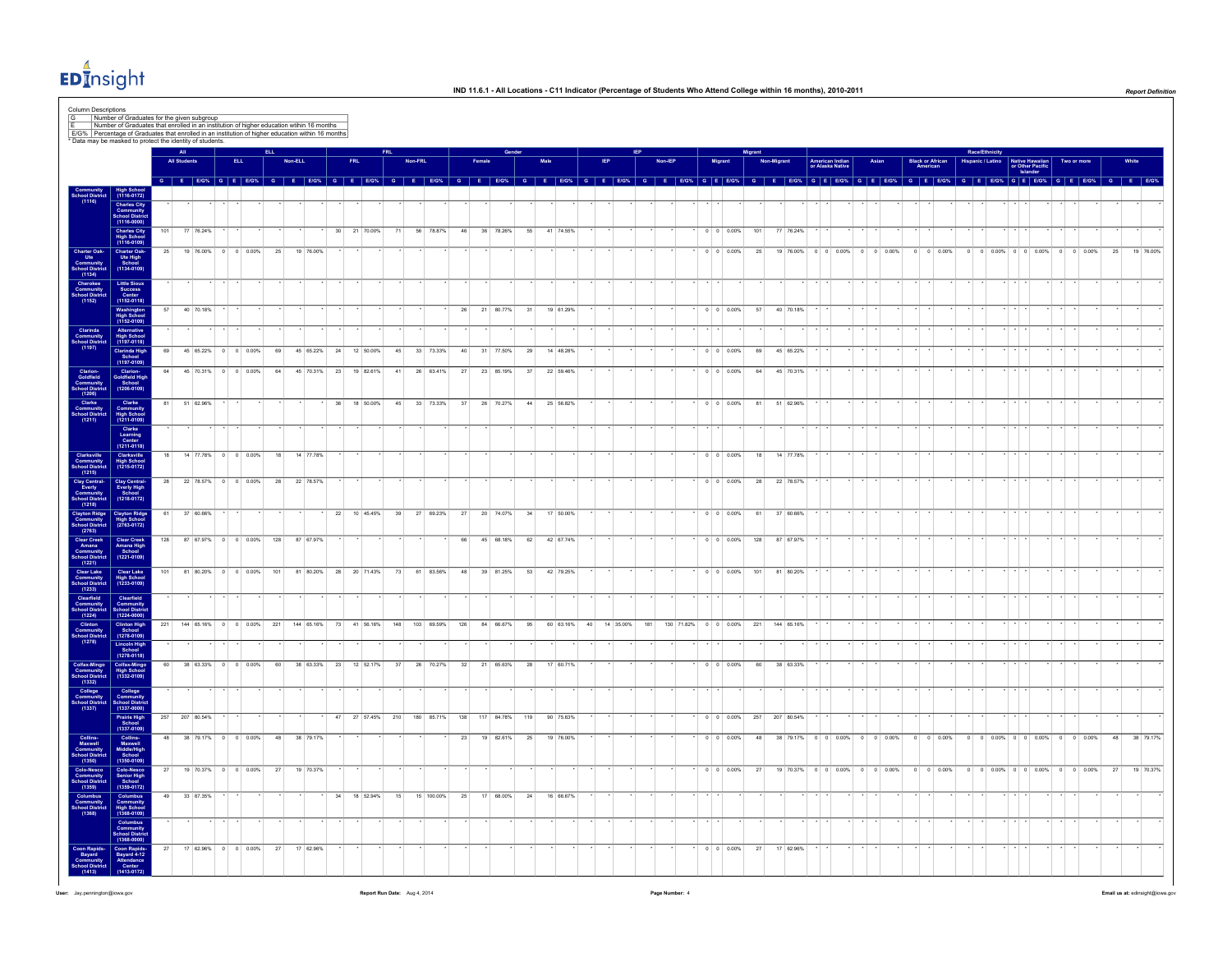

| <b>Column Descriptions</b><br>G<br>E/G% Percentage of Graduates that enrolled in an institution of higher education within 16 months<br>* Data may be masked to protect the identity of students.                                                                       | Number of Graduates for the given subgroup<br>Number of Graduates that enrolled in an institution of higher education wtihin 16 months |          | All                    |                                  |                             |                            |                        |                        |                        |          |                        |          |        |                        |          |                        |    |                 |           |              |            |                                              |            |                        |           |                                     |           |                         |                    |         | Race/Ethnicity           |                                                 |                                                  |             |              |       |           |
|-------------------------------------------------------------------------------------------------------------------------------------------------------------------------------------------------------------------------------------------------------------------------|----------------------------------------------------------------------------------------------------------------------------------------|----------|------------------------|----------------------------------|-----------------------------|----------------------------|------------------------|------------------------|------------------------|----------|------------------------|----------|--------|------------------------|----------|------------------------|----|-----------------|-----------|--------------|------------|----------------------------------------------|------------|------------------------|-----------|-------------------------------------|-----------|-------------------------|--------------------|---------|--------------------------|-------------------------------------------------|--------------------------------------------------|-------------|--------------|-------|-----------|
|                                                                                                                                                                                                                                                                         |                                                                                                                                        |          | <b>All Students</b>    |                                  | <b>ELL</b>                  |                            | Non-ELL                |                        | FRL                    |          | Non-FRL                |          |        |                        |          |                        |    |                 |           |              |            | Migrant                                      |            |                        |           | American Indian<br>or Alaska Native | Asian     | <b>Black or African</b> |                    |         | <b>Hispanic / Latino</b> | Native Hawaiian<br>or Other Pacific<br>Islander |                                                  | Two or more |              |       |           |
| Communit<br>Chool Distr<br>(1116)                                                                                                                                                                                                                                       | <b>High School</b><br>(1116-0172)                                                                                                      |          | G E E/G% G E E/G%      |                                  |                             | G E E/G% G E E/G% G E E/G% |                        |                        |                        |          |                        | ∣ G ∶    | E E/G% |                        |          | G E E/G%               |    | $G$ $E$ $E/G$ % |           | $\mathbf{G}$ |            | E E/G% G E E/G%                              | <b>G</b>   |                        |           |                                     |           |                         |                    |         |                          |                                                 | EIGN GEEIGNGEEIGNGEEIGNGEEIGNGEEIGNGEEIGNGEEIGNG |             |              | ∣ G ∶ |           |
|                                                                                                                                                                                                                                                                         | Charles City<br>Community<br>School Distric<br>(1116-0000)                                                                             |          |                        |                                  |                             |                            |                        |                        |                        |          |                        |          |        |                        |          |                        |    |                 |           |              |            |                                              |            |                        |           |                                     |           |                         |                    |         |                          |                                                 |                                                  |             |              |       |           |
|                                                                                                                                                                                                                                                                         | Charles City<br>High School<br>(1116-0109)                                                                                             | 101      | 77 76.24%              |                                  |                             |                            |                        | 30 <sup>°</sup>        | 21 70.00%              | 71       | 56 78.87%              | 46       |        | 36 78.26%              | 55       | 41 74.55%              |    |                 |           |              |            | $0 \t 0 \t 0.00\%$                           | 101        | 77 76.24%              |           |                                     |           |                         |                    |         |                          |                                                 |                                                  |             |              |       |           |
|                                                                                                                                                                                                                                                                         | Charter Oak-<br>Ute High<br>School<br>(1134-0109)                                                                                      | 25       | 19 76.00% 0 0 0.00%    |                                  |                             | 25                         | 19 76.00%              |                        |                        |          |                        |          |        |                        |          |                        |    |                 |           |              |            | $0 \t 0 \t 0.00\%$                           | 25         |                        |           | 19 76.00% 0 0 0.00% 0 0 0.00%       |           |                         | $0 \t 0 \t 0.00\%$ |         |                          |                                                 | $0$ 0 0.00% 0 0 0.00% 0 0 0.00%                  |             |              | 25    | 19 76.00% |
| Charter Oak<br>Ute<br>Community<br>School Distrie<br>(1134)<br>Cherokee<br>Community<br>School Distrie<br>(1152)                                                                                                                                                        |                                                                                                                                        |          |                        |                                  |                             |                            |                        |                        |                        |          |                        |          |        |                        |          |                        |    |                 |           |              |            |                                              |            |                        |           |                                     |           |                         |                    |         |                          |                                                 |                                                  |             |              |       |           |
|                                                                                                                                                                                                                                                                         | Little Sioux<br>Success<br>Center<br>(1152-0118)                                                                                       |          |                        |                                  |                             |                            |                        |                        |                        |          |                        |          |        |                        |          |                        |    |                 |           |              |            |                                              |            |                        |           |                                     |           |                         |                    |         |                          |                                                 |                                                  |             |              |       |           |
|                                                                                                                                                                                                                                                                         | Washington<br>High School<br>(1152-0109)                                                                                               | 57       | 40 70.18%              |                                  |                             |                            |                        |                        |                        |          |                        | 26       |        | 21 80.77%              | 31       | 19 61.29%              |    |                 |           |              |            | $0 \t 0 \t 0.00\%$                           | 57         | 40 70.18%              |           |                                     |           |                         |                    |         |                          |                                                 |                                                  |             |              |       |           |
| Clarinda<br>Community<br>School Distri<br>(1197)                                                                                                                                                                                                                        | Alternative<br>High School<br>(1197-0118)                                                                                              |          |                        |                                  |                             |                            |                        |                        |                        |          |                        |          |        |                        |          |                        |    |                 |           |              |            |                                              |            |                        |           |                                     |           |                         |                    |         |                          |                                                 |                                                  |             |              |       |           |
|                                                                                                                                                                                                                                                                         | Clarinda High<br>School<br>(1197-0109)                                                                                                 | 69<br>64 | 45 65.22%<br>45 70.31% | $\overline{0}$<br>$\overline{0}$ | $0 \quad 0.00\%$<br>0 0.00% | 69<br>64                   | 45 65.22%<br>45 70.31% | 24<br>23               | 12 50.00%<br>19 82.61% | 45<br>41 | 33 73.33%<br>26 63.41% | 40<br>27 |        | 31 77.50%<br>23 85.19% | 29<br>37 | 14 48.28%<br>22 59.46% |    |                 |           |              |            | $0 \quad 0 \quad 0.00\%$<br>$0 \ 0 \ 0.00\%$ | 69<br>64   | 45 65.22%<br>45 70.31% |           |                                     |           |                         |                    |         |                          |                                                 |                                                  |             |              |       |           |
| Clarion-<br>Goldfield<br>Community<br>School Distric<br>(1206)<br>Clarke<br>Community<br>School Distric<br>(1211)                                                                                                                                                       | Clarion-<br>Goldfield High<br>School<br>(1206-0109)                                                                                    |          |                        |                                  |                             |                            |                        |                        |                        |          |                        |          |        |                        |          |                        |    |                 |           |              |            |                                              |            |                        |           |                                     |           |                         |                    |         |                          |                                                 |                                                  |             |              |       |           |
|                                                                                                                                                                                                                                                                         | Clarke<br>Community<br>High School<br>(1211-0109)                                                                                      | 81       | 51 62.96%              |                                  |                             |                            |                        |                        | 36 18 50.00%           | 45       | 33 73.33%              | 37       |        | 26 70.27%              | 44       | 25 56.82%              |    |                 |           |              |            | $0 \quad 0 \quad 0.00\%$                     | 81         | 51 62.96%              |           |                                     |           |                         |                    |         |                          |                                                 |                                                  |             |              |       |           |
|                                                                                                                                                                                                                                                                         | Clarke<br>Learning<br>Center<br>(1211-0118)                                                                                            |          |                        |                                  |                             |                            |                        |                        |                        |          |                        |          |        |                        |          |                        |    |                 |           |              |            |                                              |            |                        |           |                                     |           |                         |                    |         |                          |                                                 |                                                  |             |              |       |           |
|                                                                                                                                                                                                                                                                         | Clarksville<br>High School<br>(1215-0172)                                                                                              | 18       | 14 77.78% 0 0 0.00%    |                                  |                             | 18                         | 14 77.78%              |                        |                        |          |                        |          |        |                        |          |                        |    |                 |           |              |            | $0 \t 0 \t 0.00\%$                           | 18         | 14 77.78%              |           |                                     |           |                         |                    |         |                          |                                                 |                                                  |             |              |       |           |
| Clarksville<br>Community<br>School District<br>(1215)<br>Clay Central<br>Every<br>Every<br>Clarksville<br>Clarksville<br>School District<br>(2763)<br>Clear Creek<br>Amana<br>Community<br>(2763)<br>Clarksville<br>Clarksville<br>Clarksville<br>Clarksville<br>(1224) | Clay Central-<br>Everly High<br>School                                                                                                 | 28       | 22 78.57% 0 0 0.00%    |                                  |                             | ${\bf 28}$                 | 22 78.57%              |                        |                        |          |                        |          |        |                        |          |                        |    |                 |           |              |            | $0 \t 0 \t 0.00\%$                           | ${\bf 28}$ | 22 78.57%              |           |                                     |           |                         |                    |         |                          |                                                 |                                                  |             |              |       |           |
|                                                                                                                                                                                                                                                                         | (1218.0172)<br>Clayton Ridge<br>High School<br>(2763-0172)                                                                             | 61       | 37 60.66%              |                                  |                             |                            |                        |                        | 22 10 45.45%           | 39       | 27 69.23%              | 27       |        | 20 74.07%              | 34       | 17 50.00%              |    |                 |           |              |            | $0 \quad 0 \quad 0.00\%$                     | 61         | 37 60.66%              |           |                                     |           |                         |                    |         |                          |                                                 |                                                  |             |              |       |           |
|                                                                                                                                                                                                                                                                         |                                                                                                                                        | 128      | 87 67.97% 0 0 0.00%    |                                  |                             | 128                        | 87 67.97%              |                        |                        |          |                        | 66       |        | 45 68.18%              | 62       | 42 67.74%              |    |                 |           |              |            | $0 \t 0 \t 0.00\%$                           | 128        | 87 67.97%              |           |                                     |           |                         |                    |         |                          |                                                 |                                                  |             |              |       |           |
|                                                                                                                                                                                                                                                                         | Clear Creek<br>Amana High<br>School<br>(1221-0109)                                                                                     |          |                        |                                  |                             |                            |                        |                        |                        |          |                        |          |        |                        |          |                        |    |                 |           |              |            |                                              |            |                        |           |                                     |           |                         |                    |         |                          |                                                 |                                                  |             |              |       |           |
| $\begin{array}{r} (1221) \\ \text{Clear} \end{array}$ Clear Lake<br>Community School Distric<br>(1233)<br>Clearfield<br>Clearfield Community School Distric<br>(1224)<br>Community School Distric<br>(1278)                                                             | Clear Lake<br>High School<br>(1233-0109)                                                                                               | 101      | 81 80.20%              |                                  | $0 \t 0 \t 0.00\%$          | 101                        | 81 80.20%              | 28                     | 20 71.43%              | 73       | 61 83.56%              | 48       |        | 39 81.25%              | 53       | 42 79.25%              |    |                 |           |              |            | $0 \t 0 \t 0.00\%$                           | 101        | 81 80.20%              |           |                                     |           |                         |                    |         |                          |                                                 |                                                  |             |              |       |           |
|                                                                                                                                                                                                                                                                         | Clearfield<br>Community<br>School Distric<br>(1224-0000)                                                                               |          |                        |                                  |                             |                            |                        |                        |                        |          |                        |          |        |                        |          |                        |    |                 |           |              |            |                                              |            |                        |           |                                     |           |                         |                    |         |                          |                                                 |                                                  |             |              |       |           |
|                                                                                                                                                                                                                                                                         | Clinton High<br>School<br>(1278-0109)                                                                                                  | 221      | 144 65.16% 0 0 0.00%   |                                  |                             | 221                        | 144 65.16%             | 73                     | 41 56.16%              | 148      | 103 69.59%             | 126      |        | 84 66.67%              | 95       | 60 63.16%              | 40 |                 | 14 35.00% | 181          | 130 71.82% | $0 \t 0 \t 0.00\%$                           | 221        | 144 65.16%             |           |                                     |           |                         |                    |         |                          |                                                 |                                                  |             |              |       |           |
|                                                                                                                                                                                                                                                                         | Lincoln High<br>School<br>(1278-0118)                                                                                                  | 60       |                        |                                  |                             |                            |                        |                        |                        |          |                        |          |        |                        |          |                        |    |                 |           |              |            |                                              |            |                        |           |                                     |           |                         |                    |         |                          |                                                 |                                                  |             |              |       |           |
| Colfax-Mingo<br>Community<br>School District<br>(1332)<br>College<br>Community<br>School District<br>(1337)                                                                                                                                                             | Colfax-Mingo<br>High School<br>(1332-0109)                                                                                             |          | 38 63.33% 0 0 0.00%    |                                  |                             | 60                         |                        | 38 63.33% 23 12 52.17% |                        | 37       | 26 70.27%              | 32       |        | 21 65.63%              | 28       | 17 60.71%              |    |                 |           |              |            | $0 \t 0 \t 0.00\%$                           | 60         | 38 63.33%              |           |                                     |           |                         |                    |         |                          |                                                 |                                                  |             |              |       |           |
|                                                                                                                                                                                                                                                                         | College<br>Community<br>School Distric<br>(1337-0000)                                                                                  |          |                        |                                  |                             |                            |                        |                        |                        |          |                        |          |        |                        |          |                        |    |                 |           |              |            |                                              |            |                        |           |                                     |           |                         |                    |         |                          |                                                 |                                                  |             |              |       |           |
|                                                                                                                                                                                                                                                                         | Prairie High<br>School<br>(1337-0109)                                                                                                  | $257\,$  | 207 80.54%             |                                  |                             |                            |                        |                        | 27 57.45%              | 210      | 180 85.71%             | 138      |        | 117 84.78%             | 119      | 90 75.63%              |    |                 |           |              |            | $0 \t 0 \t 0.00\%$                           | $257\,$    | 207 80.54%             |           |                                     |           |                         |                    |         |                          |                                                 |                                                  |             |              |       |           |
| Collins<br>Maxwell<br>Community<br>School Distric<br>(1350)<br>Colo-Nesco<br>Community<br>Community<br>Community<br>School Distric<br>(1368)                                                                                                                            | Collins-<br>Maxwell<br>Middle/High<br>School<br>(1350-0109)                                                                            | 48       | 38 79.17%              | $\overline{0}$                   | $0 - 0.00%$                 | 48                         | 38 79.17%              |                        |                        |          |                        | 23       |        | 19 82.61%              | $\bf 25$ | 19 76.00%              |    |                 |           |              |            | $0 \t 0 \t 0.00%$                            | 48         |                        | 38 79.17% | $0 \t 0 \t 0.00%$                   | 0 0 0.00% | $\circ$                 | $0 - 0.00%$        | $\circ$ |                          | $0$ 0.00% 0 0 0.00%                             |                                                  | $\circ$     | $0 - 0.00\%$ | 48    | 38 79.17% |
|                                                                                                                                                                                                                                                                         | Colo-Nesco<br>Senior High<br>School<br>(1359-0172)                                                                                     | 27       | 19 70.37% 0 0 0.00%    |                                  |                             | 27                         | 19 70.37%              |                        |                        |          |                        |          |        |                        |          |                        |    |                 |           |              |            | $0 \t 0 \t 0.00\%$                           | 27         |                        |           | 19 70.37% 0 0 0.00% 0 0 0.00%       |           |                         | $0 \t 0 \t 0.00\%$ |         |                          |                                                 | $0$ 0 0.00% 0 0 0.00% 0 0 0.00%                  |             |              | 27    | 19 70.37% |
|                                                                                                                                                                                                                                                                         | Columbus<br>Community<br>High School<br>(1368-0109)                                                                                    | 49       | 33 67.35%              |                                  |                             |                            |                        |                        | 34 18 52.94%           | 15       | 15 100.00%             | 25       |        | 17 68.00%              | 24       | 16 66.67%              |    |                 |           |              |            |                                              |            |                        |           |                                     |           |                         |                    |         |                          |                                                 |                                                  |             |              |       |           |
|                                                                                                                                                                                                                                                                         | Columbus<br>Community<br>School Distric<br>(1368-0000)                                                                                 |          |                        |                                  |                             |                            |                        |                        |                        |          |                        |          |        |                        |          |                        |    |                 |           |              |            |                                              |            |                        |           |                                     |           |                         |                    |         |                          |                                                 |                                                  |             |              |       |           |
| Coon Rapids-<br>Bayard<br>Community                                                                                                                                                                                                                                     | Coon Rapids-<br>Bayard 4-12<br>Attendance<br>Center                                                                                    | 27       | 17 62.96% 0 0 0.00%    |                                  |                             | 27                         | 17 62.96%              |                        |                        |          |                        |          |        |                        |          |                        |    |                 |           |              |            | $0 \t 0 \t 0.00\%$                           | 27         | 17 62.96%              |           |                                     |           |                         |                    |         |                          |                                                 |                                                  |             |              |       |           |
|                                                                                                                                                                                                                                                                         |                                                                                                                                        |          |                        |                                  |                             |                            |                        |                        |                        |          |                        |          |        |                        |          |                        |    |                 |           |              |            |                                              |            |                        |           |                                     |           |                         |                    |         |                          |                                                 |                                                  |             |              |       |           |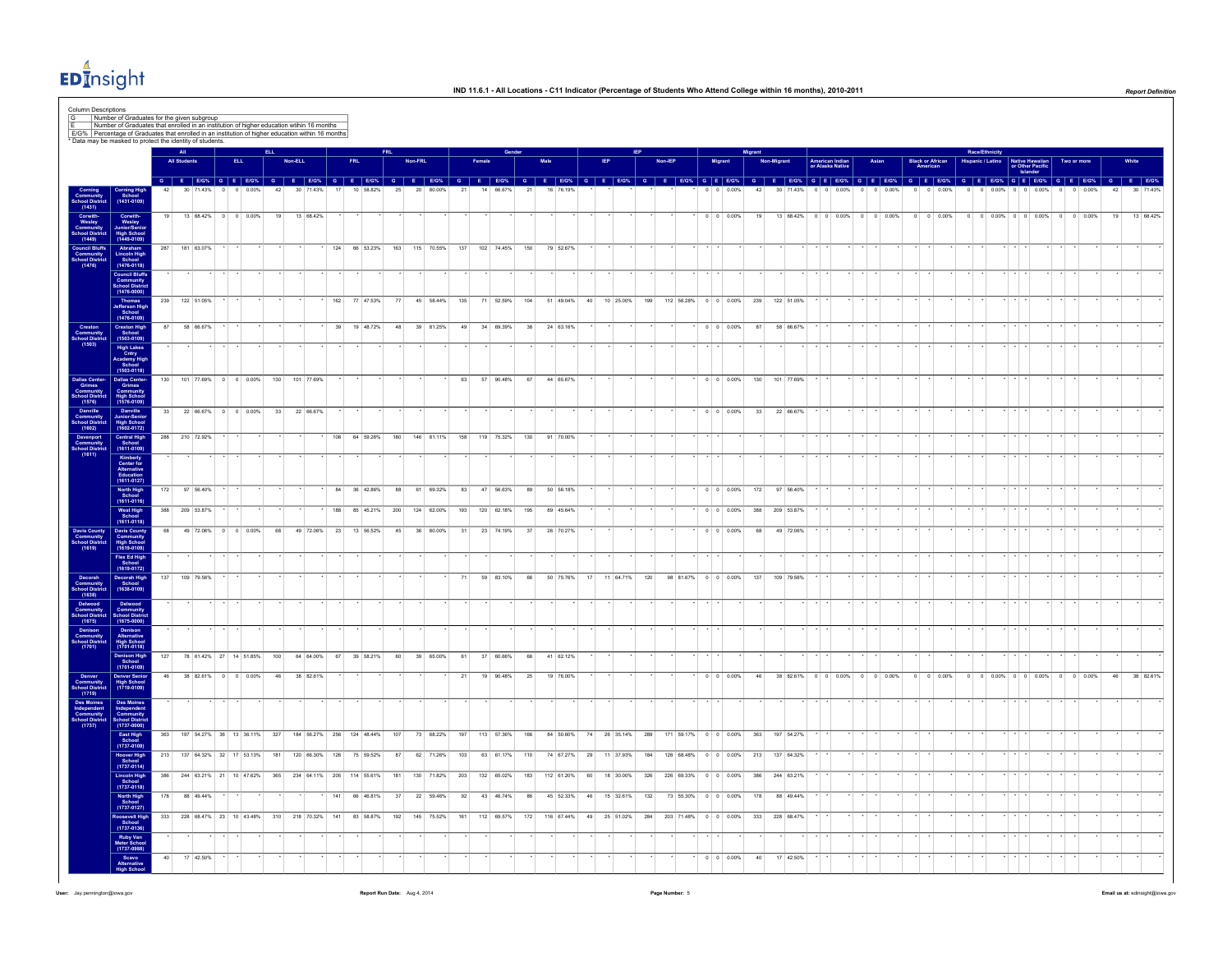

|                                                                                                                                                                               | E/G% Percentage of Graduates that enrolled in an institution of higher education within 16 months<br>* Data may be masked to protect the identity of students. |                |                     |                                                                                                                                                                                  |     |             | Number of Graduates for the given subgroup<br>Number of Graduates that enrolled in an institution of higher education within 16 months |            |           |            |                           |           |         |                                                           |           |    |                         |           |      |                         |          |                                                                                            |            |                         |                                          |            |                         |                               |                    |                         |       |         |                              |                                                 |                |              |    |           |
|-------------------------------------------------------------------------------------------------------------------------------------------------------------------------------|----------------------------------------------------------------------------------------------------------------------------------------------------------------|----------------|---------------------|----------------------------------------------------------------------------------------------------------------------------------------------------------------------------------|-----|-------------|----------------------------------------------------------------------------------------------------------------------------------------|------------|-----------|------------|---------------------------|-----------|---------|-----------------------------------------------------------|-----------|----|-------------------------|-----------|------|-------------------------|----------|--------------------------------------------------------------------------------------------|------------|-------------------------|------------------------------------------|------------|-------------------------|-------------------------------|--------------------|-------------------------|-------|---------|------------------------------|-------------------------------------------------|----------------|--------------|----|-----------|
|                                                                                                                                                                               |                                                                                                                                                                |                | <b>All Students</b> |                                                                                                                                                                                  | ELL |             |                                                                                                                                        | Non-ELL    |           |            | <b>FRL</b>                |           | Non-FRL |                                                           |           |    |                         |           | Male |                         |          |                                                                                            | Non-IEP    |                         | Migran                                   |            |                         |                               |                    | <b>Black or African</b> |       |         | Race/Ethr<br>Hispanic / Lati | Native Hawaiian<br>or Other Pacific<br>Islander |                |              |    |           |
|                                                                                                                                                                               | Corning High<br>School<br>(1431-0109)                                                                                                                          |                |                     | G E EON G E EON G E EON G E EON G E EON G E EON G E EON G E EON G E EON G E EON G E EON G E EON G E EONGE EON G E EONGE EON G E EONGE EONGE EONGE EONGE EONGE EONGE<br>30 71.43% |     |             |                                                                                                                                        |            |           |            | 10 58.82%                 |           | 20      | 80.00%                                                    |           |    | 66.67%                  |           |      |                         |          |                                                                                            |            |                         | 0.00%                                    |            | 30 71.43%               | 0.00%                         | 0.00%              |                         | 0.00% |         | 0.00%                        | 0.00%                                           |                |              |    |           |
| Community<br>chool District<br>(1431)<br>Corwith<br>Wesley<br>Community<br>Chool District<br>(1449)<br>Community<br>School District<br>(1476)                                 | Corwith<br>Wesley<br>Junior/Senio<br>High School<br>(1449-0109)                                                                                                |                |                     | 13 68.42%<br>$\circ$                                                                                                                                                             |     | $0 - 0.00%$ | 19                                                                                                                                     |            | 13 68.42% |            |                           |           |         |                                                           |           |    |                         |           |      |                         |          |                                                                                            |            |                         | $0 \t 0 \t 0.00\%$                       | 19         |                         | 13 68.42% 0 0 0.00% 0 0 0.00% |                    | $0 \t 0 \t 0.00\%$      |       | $\circ$ | $0$ 0.00% 0 0 0.00%          |                                                 | $\overline{0}$ | $0 - 0.00\%$ | 19 | 13 68.42% |
|                                                                                                                                                                               | Abraham<br>Lincoln High<br>School<br>(1476-0118)                                                                                                               | 287            | 181 63.07%          |                                                                                                                                                                                  |     |             |                                                                                                                                        |            |           |            |                           |           |         | 124 66 53.23% 163 115 70.55% 137 102 74.45% 150 79 52.67% |           |    |                         |           |      |                         |          |                                                                                            |            |                         |                                          |            |                         |                               |                    |                         |       |         |                              |                                                 |                |              |    |           |
|                                                                                                                                                                               | Council Bluffs<br>Community<br>School District<br>(1476-0000)                                                                                                  |                |                     |                                                                                                                                                                                  |     |             |                                                                                                                                        |            |           |            |                           |           |         |                                                           |           |    |                         |           |      |                         |          |                                                                                            |            |                         |                                          |            |                         |                               |                    |                         |       |         |                              |                                                 |                |              |    |           |
|                                                                                                                                                                               | Thomas<br>Jefferson High<br>School<br>(1476-0109)                                                                                                              |                | 239 122 51.05%      |                                                                                                                                                                                  |     |             |                                                                                                                                        |            |           |            | 162 77 47.53%             |           | 77      |                                                           |           |    |                         |           |      |                         |          | 45 58.44% 135 71 52.59% 104 51 49.04% 40 10 25.00% 199 112 56.28% 0 0 0.00% 239 122 51.05% |            |                         |                                          |            |                         |                               |                    |                         |       |         |                              |                                                 |                |              |    |           |
| Creston<br>Community<br>Chool Distri<br>(1503)                                                                                                                                | Creston High<br>School<br>(1503-0109)                                                                                                                          | 87             |                     | 58 66.67%                                                                                                                                                                        |     |             |                                                                                                                                        |            |           | 39         | 19 48.72%                 |           | 48      | 39 81.25%                                                 | 49        |    | 34 69.39%               | 38        |      | 24 63.16%               |          |                                                                                            |            |                         | $0 \t 0 \t 0.00\%$                       | 87         | 58 66.67%               |                               |                    |                         |       |         |                              |                                                 |                |              |    |           |
|                                                                                                                                                                               | High Lakes<br>Chry<br>Academy High<br>School<br>(1503-0118)                                                                                                    |                |                     |                                                                                                                                                                                  |     |             |                                                                                                                                        |            |           |            |                           |           |         |                                                           |           |    |                         |           |      |                         |          |                                                                                            |            |                         |                                          |            |                         |                               |                    |                         |       |         |                              |                                                 |                |              |    |           |
| Dallas Center-<br>Grimes<br>Community<br>Chommunity<br>(1576)<br>Danville<br>Community<br>(1602)<br>Davenport<br>Davenport<br>Community<br>(1611)<br>194010 District          | Dallas Center<br>Grimes<br>Community<br>High School<br>(1576-0109)                                                                                             | 130            |                     | 101 77.69% 0 0 0.00%                                                                                                                                                             |     |             | 130                                                                                                                                    | 101 77.69% |           |            |                           |           |         |                                                           | 63        |    | 57 90.48%               | 67        |      | 44 65.67%               |          |                                                                                            |            |                         | $0 \t 0 \t 0.00\%$                       | 130        | 101 77.69%              |                               |                    |                         |       |         |                              |                                                 |                |              |    |           |
|                                                                                                                                                                               | Danville<br>Junior-Senio<br>High School<br>(1602-0172)                                                                                                         | 33             |                     | 22 66.67% 0 0 0.00%                                                                                                                                                              |     |             | 33                                                                                                                                     | 22 66.67%  |           |            |                           |           |         |                                                           |           |    |                         |           |      |                         |          |                                                                                            |            |                         | $0\qquad 0\qquad 0.00\%$                 | 33         | 22 66.67%               |                               |                    |                         |       |         |                              |                                                 |                |              |    |           |
|                                                                                                                                                                               | Central High<br>School<br>(1611-0109)                                                                                                                          | 288            | 210 72.92%          |                                                                                                                                                                                  |     |             |                                                                                                                                        |            |           | 108        | 64 59.26%                 | 180       |         | 146 81.11%                                                | 158       |    | 119 75.32%              | 130       |      | 91 70.00%               |          |                                                                                            |            |                         |                                          |            |                         |                               |                    |                         |       |         |                              |                                                 |                |              |    |           |
|                                                                                                                                                                               | Kimberly<br>Center for<br>Alternative<br>Education<br>(1611-0127)                                                                                              |                | 172 97 56.40%       |                                                                                                                                                                                  |     |             |                                                                                                                                        |            |           |            |                           |           |         |                                                           |           |    |                         |           |      |                         |          |                                                                                            |            |                         | 0 0 0.00% 172 97 56.40%                  |            |                         |                               |                    |                         |       |         |                              |                                                 |                |              |    |           |
|                                                                                                                                                                               | North High<br>School<br>(1611-0116)<br>West High<br>School<br>(1611-0118)                                                                                      | 388            | 209 53.87%          |                                                                                                                                                                                  |     |             |                                                                                                                                        |            |           | 188        | 84 36 42.86%              |           | 88      | 61 69.32%<br>85 45.21% 200 124 62.00% 193                 | 83        |    | 47 56.63%<br>120 62.18% | 89<br>195 |      | 50 56.18%<br>89 45.64%  |          |                                                                                            |            |                         | 0 0 0.00% 388 209 53.87%                 |            |                         |                               |                    |                         |       |         |                              |                                                 |                |              |    |           |
| Davis County<br>Community<br>School Distric<br>(1619)                                                                                                                         | Davis County<br>Community<br>High School<br>(1619-0109)                                                                                                        | 68             |                     | 49 72.06% 0                                                                                                                                                                      |     | $0 - 0.00%$ | 68                                                                                                                                     |            | 49 72.06% | 23         | 13 56.52%                 |           | 45      | 36 80.00%                                                 | 31        |    | 23 74.19%               | 37        |      | 26 70.27%               |          |                                                                                            |            |                         | $0 \t 0 \t 0.00\%$                       | 68         | 49 72.06%               |                               |                    |                         |       |         |                              |                                                 |                |              |    |           |
|                                                                                                                                                                               | Flex Ed High<br>School<br>(1619-0172)                                                                                                                          |                |                     |                                                                                                                                                                                  |     |             |                                                                                                                                        |            |           |            |                           |           |         |                                                           |           |    |                         |           |      |                         |          |                                                                                            |            |                         |                                          |            |                         |                               |                    |                         |       |         |                              |                                                 |                |              |    |           |
|                                                                                                                                                                               | Decorah High<br>School<br>(1638-0109)                                                                                                                          | 137            | 109 79.56%          |                                                                                                                                                                                  |     |             |                                                                                                                                        |            |           |            |                           |           |         |                                                           |           |    | 59 83.10%               | 66        |      | 50 75.76%               | 17       | 11 64.71%                                                                                  | 120        | 98 81.67%               | $0 \t 0 \t 0.00\%$                       | 137        | 109 79.56%              |                               |                    |                         |       |         |                              |                                                 |                |              |    |           |
| Decorah<br>Community<br>School District<br>(1638)<br>Delwood<br>Community<br>School District<br>Demmunity<br>Demmunity<br>Community<br>Community<br>School District<br>(1701) | Delwood<br>Community<br>School Distric<br>(1675-0000)                                                                                                          |                |                     |                                                                                                                                                                                  |     |             |                                                                                                                                        |            |           |            |                           |           |         |                                                           |           |    |                         |           |      |                         |          |                                                                                            |            |                         |                                          |            |                         |                               |                    |                         |       |         |                              |                                                 |                |              |    |           |
|                                                                                                                                                                               | Denison<br>Alternative<br>High School<br>(1701-0118)                                                                                                           | 127            |                     | 78 61.42% 27 14 51.85%                                                                                                                                                           |     |             | 100                                                                                                                                    |            | 64 64.00% | 67         | 39 58.21%                 |           | 60      | 39 65.00%                                                 | 61        |    | 37 60.66%               | 66        |      | 41 62.12%               |          |                                                                                            |            |                         |                                          |            |                         |                               |                    |                         |       |         |                              |                                                 |                |              |    |           |
|                                                                                                                                                                               | Denison High<br>School<br>(1701-0109)<br>Denver Senio<br>High School<br>(1719-0109)                                                                            |                |                     | 38 82.61% 0 0 0.00%                                                                                                                                                              |     |             | 46                                                                                                                                     | 38 82.61%  |           |            |                           |           |         |                                                           | 21        | 19 | 90.48%                  | $\bf 25$  |      | 19 76.00%               |          |                                                                                            |            |                         | $0 \t 0 \t 0.00%$                        | 46         | 38 82.61%               | $0 \t 0 \t 0.00\%$            | $0 \t 0 \t 0.00\%$ | $0 \t 0 \t 0.00\%$      |       |         | $0 \t0.00\%$ 0 0 0.00%       |                                                 | $\circ$        | $0 0.00\%$   | 46 | 38 82.61% |
| Denver<br>Community<br>School Distric<br>(1719)<br>Des Moines<br>Independent<br>Community<br>School Distric<br>(1737)                                                         |                                                                                                                                                                |                |                     |                                                                                                                                                                                  |     |             |                                                                                                                                        |            |           |            |                           |           |         |                                                           |           |    |                         |           |      |                         |          |                                                                                            |            |                         |                                          |            |                         |                               |                    |                         |       |         |                              |                                                 |                |              |    |           |
|                                                                                                                                                                               | Des Moines<br>Independent<br>Community<br>School Distric<br>(1737-0000)                                                                                        | 363            |                     | 197 54.27% 36 13 36.11% 327 184 56.27% 256 124 48.44% 107                                                                                                                        |     |             |                                                                                                                                        |            |           |            |                           |           |         | 73 68.22% 197 113 57.36% 166 84 50.60%                    |           |    |                         |           |      |                         |          | 74 26 35.14% 289 171 59.17% 0 0 0 0.00% 363 197 54.27%                                     |            |                         |                                          |            |                         |                               |                    |                         |       |         |                              |                                                 |                |              |    |           |
|                                                                                                                                                                               | East High<br>School<br>(1737-0109)<br>Hoover High<br>School<br>(1737-0114)                                                                                     | 213            |                     | 137 64.32% 32 17 53.13%                                                                                                                                                          |     |             | 181                                                                                                                                    |            |           |            | 120 66.30% 126 75 59.52%  |           | 87      | 62 71.26%                                                 | 103       |    | 63 61.17%               | 110       |      | 74 67.27%               |          | 29 11 37.93%                                                                               | 184        |                         | 126 68.48% 0 0 0.00% 213 137 64.32%      |            |                         |                               |                    |                         |       |         |                              |                                                 |                |              |    |           |
|                                                                                                                                                                               | Lincoln High<br>School<br>(1737-0118)                                                                                                                          | 386            |                     | 244 63.21% 21 10 47.62%                                                                                                                                                          |     |             | 365                                                                                                                                    |            |           |            | 234 64.11% 205 114 55.61% | 181       |         | 130 71.82% 203                                            |           |    | 132 65.02%              |           |      | 183 112 61.20%          | 60       | 18 30.00%                                                                                  | 326        |                         | 226 69.33% 0 0 0.00%                     | 386        | 244 63.21%              |                               |                    |                         |       |         |                              |                                                 |                |              |    |           |
|                                                                                                                                                                               | North High<br>School<br>(1737-0127)                                                                                                                            | $178\,$<br>333 |                     | 88 49.44%<br>228 68.47% 23 10 43.48%                                                                                                                                             |     |             | 310                                                                                                                                    | 218 70.32% |           | 141<br>141 | 66 46.81%<br>83 58.87%    | 37<br>192 |         | 22 59.46%<br>145 75.52%                                   | 92<br>161 |    | 43 46.74%<br>112 69.57% | 86<br>172 |      | 45 52.33%<br>116 67.44% | 46<br>49 | 15 32.61%<br>25 51.02%                                                                     | 132<br>284 | 73 55.30%<br>203 71.48% | $0 \t 0 \t 0.00\%$<br>$0 \t 0 \t 0.00\%$ | 178<br>333 | 88 49.44%<br>228 68.47% |                               |                    |                         |       |         |                              |                                                 |                |              |    |           |
|                                                                                                                                                                               | Roosevelt High<br>School<br>(1737-0136)<br>Ruby Van<br>Meter School<br>(1737-0988)                                                                             |                |                     |                                                                                                                                                                                  |     |             |                                                                                                                                        |            |           |            |                           |           |         |                                                           |           |    |                         |           |      |                         |          |                                                                                            |            |                         |                                          |            |                         |                               |                    |                         |       |         |                              |                                                 |                |              |    |           |
|                                                                                                                                                                               | Scavo<br>Alternativ                                                                                                                                            | 40             |                     | 17 42.50%                                                                                                                                                                        |     |             |                                                                                                                                        |            |           |            |                           |           |         |                                                           |           |    |                         |           |      |                         |          |                                                                                            |            |                         | $0 \quad 0 \quad 0.00\%$                 | 40         | 17 42.50%               |                               |                    |                         |       |         |                              |                                                 |                |              |    |           |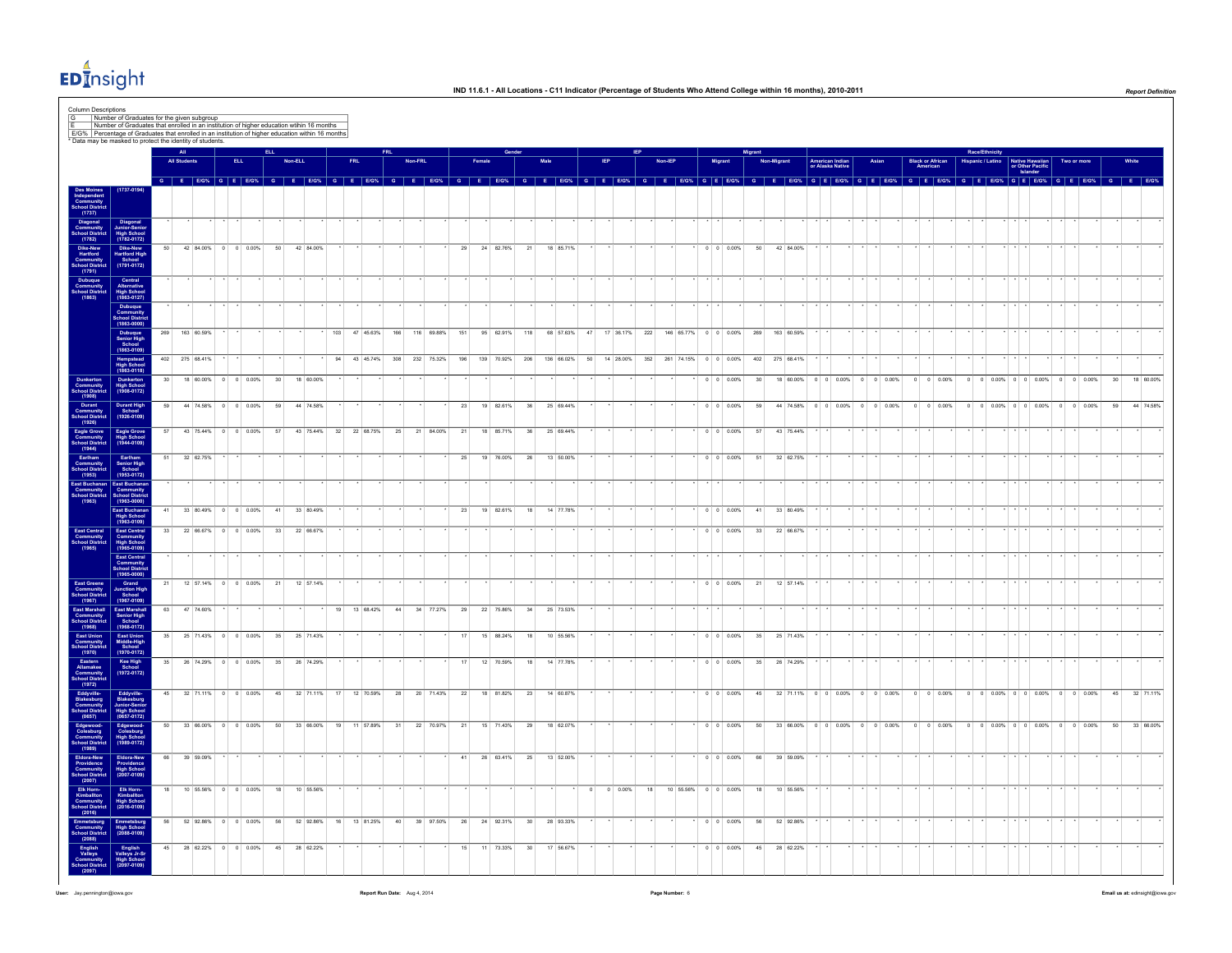

| Column Descriptions<br>Number of Graduates for the given subgroup<br>Number of Graduates that enrolled in an institution of higher education within 16 months<br>G<br>E/G% Percentage of Graduates that enrolled in an institution of higher education within 16 months<br>* Data may be masked to protect the identity of students. |                     |                                                                                                                                                   |                                 |         |           |     |                        |         |            |     |        |           |     |      |            |    |             |     |         |                      |                          |        |              |                                     |                               |                    |                         |                    |         |                                            |                     |                                                 |                |                                 |    |           |           |
|--------------------------------------------------------------------------------------------------------------------------------------------------------------------------------------------------------------------------------------------------------------------------------------------------------------------------------------|---------------------|---------------------------------------------------------------------------------------------------------------------------------------------------|---------------------------------|---------|-----------|-----|------------------------|---------|------------|-----|--------|-----------|-----|------|------------|----|-------------|-----|---------|----------------------|--------------------------|--------|--------------|-------------------------------------|-------------------------------|--------------------|-------------------------|--------------------|---------|--------------------------------------------|---------------------|-------------------------------------------------|----------------|---------------------------------|----|-----------|-----------|
|                                                                                                                                                                                                                                                                                                                                      | <b>All Students</b> |                                                                                                                                                   | <b>ELL</b>                      | Non-ELL |           |     | FRI.                   | Non-FRL |            |     | Female |           |     | Male |            |    |             |     | Non-IEP |                      | Migrant                  |        | Non-Migrant  | American Indian<br>or Alaska Native |                               | Asian              | <b>Black or African</b> |                    |         | Race/Ethnicity<br><b>Hispanic / Latino</b> |                     | Native Hawaiian<br>or Other Pacific<br>Islander |                | Two or mor                      |    | White     |           |
|                                                                                                                                                                                                                                                                                                                                      |                     | G E EON G E EON G E EON G E EON G E EON G E EON G E EON G E EON G E EON G E EON G E EON G E EON G E EON G E EONGE EON G E EONGE EON G E EONGE EON |                                 |         |           |     |                        |         |            |     |        |           |     |      |            |    |             |     |         |                      |                          |        |              |                                     |                               |                    |                         |                    |         |                                            |                     |                                                 |                |                                 |    |           |           |
| Des Moines<br>Independent<br>Community<br>School Distri<br>Community<br>School Distri<br>Community<br>Hartford<br>Tay<br>Libuque<br>Community<br>(1791)<br>Dubuque<br>Community<br>Community<br>Community<br>Community<br>Community<br>School District<br>(1853)                                                                     |                     |                                                                                                                                                   |                                 |         |           |     |                        |         |            |     |        |           |     |      |            |    |             |     |         |                      |                          |        |              |                                     |                               |                    |                         |                    |         |                                            |                     |                                                 |                |                                 |    |           |           |
| Diagonal<br>Junior-Senior<br>High School<br>(1782-0172)                                                                                                                                                                                                                                                                              |                     |                                                                                                                                                   |                                 |         |           |     |                        |         |            |     |        |           |     |      |            |    |             |     |         |                      |                          |        |              |                                     |                               |                    |                         |                    |         |                                            |                     |                                                 |                |                                 |    |           |           |
| Dike-New<br>Hartford High<br>School<br>(1791-0172)                                                                                                                                                                                                                                                                                   | 50                  | 42 84.00% 0 0 0.00%                                                                                                                               |                                 | 50      | 42 84.00% |     |                        |         |            | 29  |        | 24 82.76% | 21  |      | 18 85.71%  |    |             |     |         |                      | $0 \t 0 \t 0.00\%$       | 50     | 42 84.00%    |                                     |                               |                    |                         |                    |         |                                            |                     |                                                 |                |                                 |    |           |           |
| Central<br>Alternative<br>High School<br>(1863-0127)                                                                                                                                                                                                                                                                                 |                     |                                                                                                                                                   |                                 |         |           |     |                        |         |            |     |        |           |     |      |            |    |             |     |         |                      |                          |        |              |                                     |                               |                    |                         |                    |         |                                            |                     |                                                 |                |                                 |    |           |           |
| Dubuque<br>Community<br>School Distric<br>(1863-0000)                                                                                                                                                                                                                                                                                |                     |                                                                                                                                                   |                                 |         |           |     |                        |         |            |     |        |           |     |      |            |    |             |     |         |                      |                          |        |              |                                     |                               |                    |                         |                    |         |                                            |                     |                                                 |                |                                 |    |           |           |
| Dubuque<br>Senior High<br>School<br>(1863-0109)                                                                                                                                                                                                                                                                                      | 269                 | 163 60.59%                                                                                                                                        |                                 |         |           | 103 | $47 \mid 45.63\% \mid$ | 166     | 116 69.88% | 151 |        | 95 62.91% | 118 |      | 68 57.63%  | 47 | 17 36.17%   |     | $222\,$ | 146 65.77% 0 0 0.00% |                          | 269    | 163 60.59%   |                                     |                               |                    |                         |                    |         |                                            |                     |                                                 |                |                                 |    |           |           |
| Hempstead<br>High School<br>(1863-0118)                                                                                                                                                                                                                                                                                              | 402                 | 275 68.41%                                                                                                                                        |                                 |         |           |     | 43 45.74%              | 308     | 232 75.32% |     | 139    | 70.92%    | 206 |      | 136 66.02% | 50 | 14 28.00%   | 352 |         | 261 74.15%           | $0 \t 0 \t 0.00\%$       | 402    | 275 68.41%   |                                     |                               |                    |                         |                    |         |                                            |                     |                                                 |                |                                 |    |           |           |
| Dunkerton<br>High School<br>(1908-0172)                                                                                                                                                                                                                                                                                              | 30 <sup>°</sup>     | 18 60.00%                                                                                                                                         | $0 \t 0.00%$                    | 30      | 18 60.00% |     |                        |         |            |     |        |           |     |      |            |    |             |     |         |                      | $0 \t 0 \t 0.00\%$       | 30     |              | 18 60.00% 0 0 0.00%                 |                               | $0 \t 0 \t 0.00\%$ | $\circ$                 | 0 0.00%            |         |                                            | $0 \t0.00\%$ 0 0    | 0.00%                                           |                | $0 0.00\%$                      | 30 | 18 60.009 |           |
| Durant High<br>School<br>(1926-0109)                                                                                                                                                                                                                                                                                                 | 59                  | 44 74.58%                                                                                                                                         | $0 \t 0.00\%$<br>$\circ$        | 59      | 44 74.58% |     |                        |         |            | 23  |        | 19 82.61% | 36  |      | 25 69.44%  |    |             |     |         |                      | 0.00%                    | 59     | 44 74.58%    | $0 \t 0 \t 0.00\%$                  |                               | $0 \t 0 \t 0.00\%$ | $\overline{0}$          | $0 - 0.00%$        |         |                                            | $0$ 0.00% 0 0 0.00% |                                                 | $\overline{0}$ | $0$ 0.00%                       | 59 | 44 74.58% |           |
| Dunkerton<br>Community<br>School Distric<br>(1908)<br>Community<br>School Distric<br>Community<br>Castle Grove<br>Community<br>(1944)<br>Eagle Grove<br>High School<br>(1944-0109)                                                                                                                                                   | 57                  | 43 75.44%                                                                                                                                         | $0 \t 0.00\%$<br>$\overline{0}$ | 57      | 43 75.44% | 32  | 22 68.75%              | 25      | 21 84.00%  | 21  |        | 18 85.71% | 36  |      | 25 69.44%  |    |             |     |         |                      | $0 \t 0 \t 0.00\%$       | 57     | 43 75.44%    |                                     |                               |                    |                         |                    |         |                                            |                     |                                                 |                |                                 |    |           |           |
| Earlham<br>Community<br>School Distric<br>(1953)<br>Earlham<br>Senior High<br>School<br>(1953-0172)                                                                                                                                                                                                                                  | 51                  | 32 62.75%                                                                                                                                         |                                 |         |           |     |                        |         |            | 25  |        | 19 76.00% | 26  |      | 13 50.00%  |    |             |     |         |                      | $0 \t 0 \t 0.00\%$       | 51     | 32 62.75%    |                                     |                               |                    |                         |                    |         |                                            |                     |                                                 |                |                                 |    |           |           |
| East Buchanan<br>Community<br>School District<br>(1963)<br>East Buchanar<br>Community<br>School Distric<br>(1963-0000)                                                                                                                                                                                                               |                     |                                                                                                                                                   |                                 |         |           |     |                        |         |            |     |        |           |     |      |            |    |             |     |         |                      |                          |        |              |                                     |                               |                    |                         |                    |         |                                            |                     |                                                 |                |                                 |    |           |           |
| East Buchanar<br>High School<br>(1963-0109)                                                                                                                                                                                                                                                                                          | 41                  | 33 80.49% 0 0 0.00%                                                                                                                               |                                 | 41      | 33 80.49% |     |                        |         |            | 23  |        | 19 82.61% | 18  |      | 14 77.78%  |    |             |     |         |                      | $0 \quad 0 \quad 0.00\%$ | 41     | 33 80.49%    |                                     |                               |                    |                         |                    |         |                                            |                     |                                                 |                |                                 |    |           |           |
| East Central<br>Community<br>High School<br>(1965-0109)<br>East Central<br>Community<br>School District<br>(1965)                                                                                                                                                                                                                    | 33                  | 22 66.67% 0 0 0.00%                                                                                                                               |                                 | 33      | 22 66.67% |     |                        |         |            |     |        |           |     |      |            |    |             |     |         |                      | $0 \t 0 \t 0.00\%$       | 33     | 22 66.67%    |                                     |                               |                    |                         |                    |         |                                            |                     |                                                 |                |                                 |    |           |           |
| East Central<br>Community<br>School Distric<br>(1965-0000)                                                                                                                                                                                                                                                                           |                     |                                                                                                                                                   |                                 |         |           |     |                        |         |            |     |        |           |     |      |            |    |             |     |         |                      |                          |        |              |                                     |                               |                    |                         |                    |         |                                            |                     |                                                 |                |                                 |    |           |           |
| Grand<br>Junction High<br>School<br>(1967-0109)<br>East Greene<br>Community<br>School District<br>(1967)                                                                                                                                                                                                                             | 21                  | 12 57.14% 0 0 0.00%                                                                                                                               |                                 | 21      | 12 57.14% |     |                        |         |            |     |        |           |     |      |            |    |             |     |         |                      | $0 \quad 0 \quad 0.00\%$ | 21     | 12 57.14%    |                                     |                               |                    |                         |                    |         |                                            |                     |                                                 |                |                                 |    |           |           |
| East Marshall<br>Senior High<br>School<br>(1968-0172)                                                                                                                                                                                                                                                                                | 63                  | 47 74.60%                                                                                                                                         |                                 |         |           | 19  | 13 68.42%              | 44      | 34 77.27%  | 29  |        | 22 75.86% | 34  |      | 25 73.53%  |    |             |     |         |                      |                          |        |              |                                     |                               |                    |                         |                    |         |                                            |                     |                                                 |                |                                 |    |           |           |
| East Union<br>Middle-High<br>School<br>(1970-0172)                                                                                                                                                                                                                                                                                   | $35\,$              | 25 71.43% 0 0 0.00%                                                                                                                               |                                 | $35\,$  | 25 71.43% |     |                        |         |            |     |        | 15 88.24% | 18  |      | 10 55.56%  |    |             |     |         |                      | $0 \t 0 \t 0.00%$        | $35\,$ | 25 71.43%    |                                     |                               |                    |                         |                    |         |                                            |                     |                                                 |                |                                 |    |           |           |
| East Marshall<br>Community<br>Chool District<br>Cass (1968)<br>Cammunity<br>East Union District<br>(1970)<br>Allamakee<br>Allamakee Community<br>(1972)<br>Eddyville-<br>Eddyville-<br>Community<br>Community<br>Community<br>Consulty<br>Community<br>Consulty<br>Consulty<br>Consulty<br>Kee High<br>School<br>(1972-0172)         | 35                  | 26 74.29%                                                                                                                                         | $0$ 0 0.00%                     | 35      | 26 74.29% |     |                        |         |            |     |        | 12 70.59% | 18  |      | 14 77.78%  |    |             |     |         |                      | $0 \t 0 \t 0.00%$        | 35     | 26 74.29%    |                                     |                               |                    |                         |                    |         |                                            |                     |                                                 |                |                                 |    |           |           |
| Eddyville-<br>Blakesburg<br>Junior-Senio<br>High School<br>(0657-0172)                                                                                                                                                                                                                                                               | 45                  | 32 71.11%                                                                                                                                         | $0 - 0.00%$<br>$\overline{0}$   | 45      | 32 71.11% | 17  | 12 70.59%              | 28      | 20 71.43%  | 22  |        | 18 81.82% | 23  |      | 14 60.87%  |    |             |     |         |                      | $0 \t 0 \t 0.00\%$       | 45     |              | 32 71.11% 0 0 0.00%                 |                               | $0$ 0 0.00%        | $\tilde{0}$             | $0 - 0.00%$        | $\circ$ |                                            | $0$ 0.00% 0 0 0.00% |                                                 |                | $0 \t 0 \t 0.00\%$              | 45 |           | 32 71.11% |
|                                                                                                                                                                                                                                                                                                                                      | 50                  | 33 66.00% 0 0 0.00%                                                                                                                               |                                 | 50      | 33 66,00% | 19  | 11 57.89%              | 31      | 22 70.97%  | 21  |        | 15 71.43% | 29  |      | 18 62.07%  |    |             |     |         |                      | $0 \t 0 \t 0.00\%$       | 50     |              |                                     | 33 66.00% 0 0 0.00% 0 0 0.00% |                    |                         | $0 \t 0 \t 0.00\%$ |         |                                            |                     |                                                 |                | $0$ 0 0.00% 0 0 0.00% 0 0 0.00% | 50 | 33 66,00% |           |
| Edgewood-<br>Colesburg<br>High School<br>(1989-0172)                                                                                                                                                                                                                                                                                 | 66                  | 39 59.09%                                                                                                                                         |                                 |         |           |     |                        |         |            | 41  |        | 26 63.41% | 25  |      | 13 52.00%  |    |             |     |         |                      | $0 \t 0 \t 0.00\%$       | 66     | 39 59.09%    |                                     |                               |                    |                         |                    |         |                                            |                     |                                                 |                |                                 |    |           |           |
| Eldora-New<br>Providence<br>Community<br>School Distric<br>(2007)<br>Eldora-New<br>Providence<br>High School<br>(2007-0109)                                                                                                                                                                                                          |                     |                                                                                                                                                   |                                 |         |           |     |                        |         |            |     |        |           |     |      |            |    |             |     |         |                      |                          |        |              |                                     |                               |                    |                         |                    |         |                                            |                     |                                                 |                |                                 |    |           |           |
| Extraction<br>Elix Hom-<br>Kimballton<br>Community<br>School Distric<br>Community<br>Community<br>School Distric<br>(2088)<br>Elk Horn-<br>Kimballton<br>High School<br>(2016-0109)                                                                                                                                                  | 18                  | 10 55.56% 0 0 0.00%                                                                                                                               |                                 | 18      | 10 55.56% |     |                        |         |            |     |        |           |     |      |            |    | $0 - 0.00%$ |     | 18      | 10 55.56% 0 0 0.00%  |                          | 18     | 10 55.56%    |                                     |                               |                    |                         |                    |         |                                            |                     |                                                 |                |                                 |    |           |           |
| Emmetsburg<br>High School<br>(2088-0109)                                                                                                                                                                                                                                                                                             | 56                  | 52 92.86% 0 0 0.00%                                                                                                                               |                                 | 56      | 52 92.86% | 16  | 13 81.25%              | 40      | 39 97.50%  | 26  |        | 24 92.31% | 30  |      | 28 93.33%  |    |             |     |         |                      | $0 \t 0 \t 0.00\%$       | 56     | 52 92.86%    |                                     |                               |                    |                         |                    |         |                                            |                     |                                                 |                |                                 |    |           |           |
| English<br>Valleys<br>Communi<br>English<br>Valleys Jr-Sr<br>High School<br>(2097-0109)                                                                                                                                                                                                                                              | 45                  | 28 62.22% 0 0 0.00%                                                                                                                               |                                 | 45      | 28 62.22% |     |                        |         |            | 15  |        | 11 73.33% | 30  |      | 17 56.67%  |    |             |     |         |                      | $0 \quad 0 \quad 0.00\%$ |        | 45 28 62.22% |                                     |                               |                    |                         |                    |         |                                            |                     |                                                 |                |                                 |    |           |           |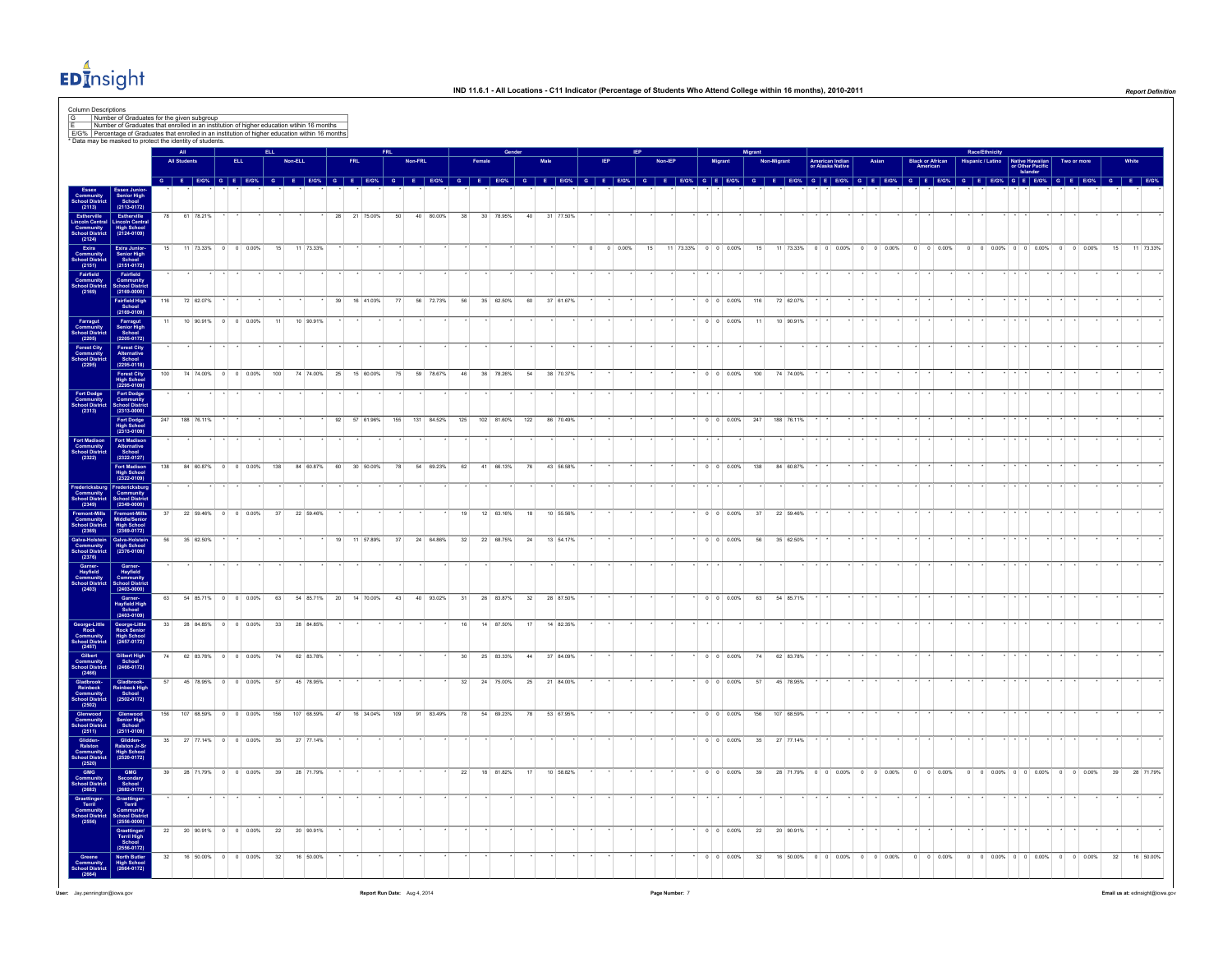

| <b>Column Descriptions</b>                                                                                                                                                                                                                                                                                                                                                                                                                                                                  | $\begin{tabular}{ c c c c } \hline G & Number of Graduates for the given subgroup \\ \hline E & Number of Graduales that enrolled in an institution of higher education within 16 months \\ \hline ECS& Percentage of Graduales that enrolled in an institution of higher education within 16 months. \hline \end{tabular}$ |     |                                                                                                                                                                                                                                |     |     |           |            |                                                |    |         |           |    |           |              |           |            |             |         |                     |                          |                          |             |            |                                     |  |                               |                                      |                                         |                                           |  |                                                 |             |                                 |                                    |           |
|---------------------------------------------------------------------------------------------------------------------------------------------------------------------------------------------------------------------------------------------------------------------------------------------------------------------------------------------------------------------------------------------------------------------------------------------------------------------------------------------|-----------------------------------------------------------------------------------------------------------------------------------------------------------------------------------------------------------------------------------------------------------------------------------------------------------------------------|-----|--------------------------------------------------------------------------------------------------------------------------------------------------------------------------------------------------------------------------------|-----|-----|-----------|------------|------------------------------------------------|----|---------|-----------|----|-----------|--------------|-----------|------------|-------------|---------|---------------------|--------------------------|--------------------------|-------------|------------|-------------------------------------|--|-------------------------------|--------------------------------------|-----------------------------------------|-------------------------------------------|--|-------------------------------------------------|-------------|---------------------------------|------------------------------------|-----------|
|                                                                                                                                                                                                                                                                                                                                                                                                                                                                                             | * Data may be masked to protect the identity of students.                                                                                                                                                                                                                                                                   |     | <b>All Students</b>                                                                                                                                                                                                            | ELL |     | Non-ELL   | <b>FRL</b> |                                                |    | Non-FRL |           |    |           |              |           |            |             | Non-IEP |                     | Migrant                  |                          | Non-Migrant |            |                                     |  | Asian                         |                                      |                                         | <b>Race/Ethnicit</b><br>Hispanic / Latino |  |                                                 | Two or more |                                 |                                    |           |
|                                                                                                                                                                                                                                                                                                                                                                                                                                                                                             |                                                                                                                                                                                                                                                                                                                             |     |                                                                                                                                                                                                                                |     |     |           |            |                                                |    |         |           |    |           |              |           |            |             |         |                     |                          |                          |             |            | American Indian<br>or Alaska Native |  |                               | <b>Black or African<br/>American</b> |                                         |                                           |  | Native Hawaiian<br>or Other Pacific<br>Islander |             |                                 |                                    |           |
|                                                                                                                                                                                                                                                                                                                                                                                                                                                                                             |                                                                                                                                                                                                                                                                                                                             |     | 0 E EOSK 0 E EOSK 0 E EOSK 0 E EOSK 0 E EOSK 0 E EOSK 0 E EOSK 0 E EOSK 0 E EOSK 0 E EOSK 0 E EOSK 0 E EOSK 0 E EOSK 0 E EOSK 0 E EOSK 0 E EOSK 0 E EOSK 0 E EOSK 0 E EOSK 0 E EOSK 0 E EOSK 0 E EOSK 0 E EOSK 0 E EOSK 0 E EO |     |     |           |            |                                                |    |         |           |    |           |              |           |            |             |         |                     |                          |                          |             |            |                                     |  |                               |                                      |                                         |                                           |  |                                                 |             |                                 |                                    |           |
|                                                                                                                                                                                                                                                                                                                                                                                                                                                                                             | Essex Junior-<br>Senior High<br>School<br>(2113-0172)                                                                                                                                                                                                                                                                       | 78  | 61 78.21%                                                                                                                                                                                                                      |     |     |           |            | 28 21 75.00%                                   | 50 |         | 40 80.00% | 38 | 30 78.95% | 40 31 77.50% |           |            |             |         |                     |                          |                          |             |            |                                     |  |                               |                                      |                                         |                                           |  |                                                 |             |                                 |                                    |           |
| Estherville<br>incoln Central<br>Community<br>ichool District<br>(2124)                                                                                                                                                                                                                                                                                                                                                                                                                     | Estherville<br>Lincoln Central<br>High School<br>(2124-0109)                                                                                                                                                                                                                                                                |     |                                                                                                                                                                                                                                |     |     |           |            |                                                |    |         |           |    |           |              |           |            |             |         |                     |                          |                          |             |            |                                     |  |                               |                                      |                                         |                                           |  |                                                 |             |                                 |                                    |           |
|                                                                                                                                                                                                                                                                                                                                                                                                                                                                                             |                                                                                                                                                                                                                                                                                                                             | 15  | 11 73.33% 0 0 0.00%                                                                                                                                                                                                            |     | 15  | 11 73.33% |            |                                                |    |         |           |    |           |              |           | $^{\circ}$ | $0 - 0.00%$ | 15      | 11 73.33% 0 0 0.00% |                          | 15                       |             |            |                                     |  | 11 73.33% 0 0 0.00% 0 0 0.00% |                                      | $0 \t 0 \t 0.00\%$                      |                                           |  |                                                 |             | $0$ 0 0.00% 0 0 0.00% 0 0 0.00% | 15                                 | 11 73.33% |
|                                                                                                                                                                                                                                                                                                                                                                                                                                                                                             | Exira Junior-<br>Senior High<br>School<br>(2151-0172)                                                                                                                                                                                                                                                                       |     |                                                                                                                                                                                                                                |     |     |           |            |                                                |    |         |           |    |           |              |           |            |             |         |                     |                          |                          |             |            |                                     |  |                               |                                      |                                         |                                           |  |                                                 |             |                                 |                                    |           |
| (2124)<br>Exira<br>Exira<br>Community<br>(2151)<br>Fairfield<br>Community<br>Chool District<br>(2169)                                                                                                                                                                                                                                                                                                                                                                                       | Fairfield<br>Community<br>School Distric<br>(2169-0000)                                                                                                                                                                                                                                                                     |     |                                                                                                                                                                                                                                |     |     |           |            |                                                |    |         |           |    |           |              |           |            |             |         |                     |                          |                          |             |            |                                     |  |                               |                                      |                                         |                                           |  |                                                 |             |                                 |                                    |           |
|                                                                                                                                                                                                                                                                                                                                                                                                                                                                                             | Fairfield High<br>School<br>(2169-0109)                                                                                                                                                                                                                                                                                     | 116 | 72 62.07%                                                                                                                                                                                                                      |     |     |           | 39         | 16 41.03%                                      | 77 |         | 56 72.73% | 56 | 35 62.50% | 60           | 37 61.67% |            |             |         |                     | $0 \t 0 \t 0.00\%$       | 116                      |             | 72 62.07%  |                                     |  |                               |                                      |                                         |                                           |  |                                                 |             |                                 |                                    |           |
| Farragut<br>Community<br>School Distric<br>(2205)<br>Forest City<br>Community<br>School Distric<br>(2295)                                                                                                                                                                                                                                                                                                                                                                                   | Farragut<br>Senior High<br>School<br>(2205-0172)                                                                                                                                                                                                                                                                            | 11  | 10 90.91% 0 0 0.00%                                                                                                                                                                                                            |     | 11  | 10 90.91% |            |                                                |    |         |           |    |           |              |           |            |             |         |                     | $0 \t 0 \t 0.00\%$       | 11                       |             | 10 90.91%  |                                     |  |                               |                                      |                                         |                                           |  |                                                 |             |                                 |                                    |           |
|                                                                                                                                                                                                                                                                                                                                                                                                                                                                                             |                                                                                                                                                                                                                                                                                                                             |     |                                                                                                                                                                                                                                |     |     |           |            |                                                |    |         |           |    |           |              |           |            |             |         |                     |                          |                          |             |            |                                     |  |                               |                                      |                                         |                                           |  |                                                 |             |                                 |                                    |           |
|                                                                                                                                                                                                                                                                                                                                                                                                                                                                                             | Forest City<br>Alternative<br>School<br>(2295-0118)                                                                                                                                                                                                                                                                         | 100 | 74 74.00% 0 0 0.00%                                                                                                                                                                                                            |     | 100 | 74 74.00% | 25         | 15 60.00%                                      | 75 |         | 59 78.67% | 46 | 36 78.26% | 54           | 38 70.37% |            |             |         |                     | $0 \t 0 \t 0.00\%$       | 100                      |             | 74 74.00%  |                                     |  |                               |                                      |                                         |                                           |  |                                                 |             |                                 |                                    |           |
|                                                                                                                                                                                                                                                                                                                                                                                                                                                                                             | Forest City<br>High School<br>(2295-0109)                                                                                                                                                                                                                                                                                   |     |                                                                                                                                                                                                                                |     |     |           |            |                                                |    |         |           |    |           |              |           |            |             |         |                     |                          |                          |             |            |                                     |  |                               |                                      |                                         |                                           |  |                                                 |             |                                 |                                    |           |
| Fort Dodge<br>Community<br>School Distric<br>(2313)                                                                                                                                                                                                                                                                                                                                                                                                                                         | Fort Dodge<br>Community<br>School Distric<br>(2313-0000)                                                                                                                                                                                                                                                                    |     |                                                                                                                                                                                                                                |     |     |           |            |                                                |    |         |           |    |           |              |           |            |             |         |                     |                          |                          |             |            |                                     |  |                               |                                      |                                         |                                           |  |                                                 |             |                                 |                                    |           |
|                                                                                                                                                                                                                                                                                                                                                                                                                                                                                             | Fort Dodge<br>High School<br>(2313-0109)                                                                                                                                                                                                                                                                                    |     | 247 188 76.11%                                                                                                                                                                                                                 |     |     |           |            | 92 57 61.96% 155 131 84.52% 125 102 81.60% 122 |    |         |           |    |           |              | 86 70.49% |            |             |         |                     |                          | 0 0 0.00% 247 188 76.11% |             |            |                                     |  |                               |                                      |                                         |                                           |  |                                                 |             |                                 |                                    |           |
| Fort Madison<br>Community<br>School District<br>(2322)                                                                                                                                                                                                                                                                                                                                                                                                                                      | Fort Madison<br>Alternative<br>School<br>(2322-0127)                                                                                                                                                                                                                                                                        |     |                                                                                                                                                                                                                                |     |     |           |            |                                                |    |         |           |    |           |              |           |            |             |         |                     |                          |                          |             |            |                                     |  |                               |                                      |                                         |                                           |  |                                                 |             |                                 |                                    |           |
|                                                                                                                                                                                                                                                                                                                                                                                                                                                                                             |                                                                                                                                                                                                                                                                                                                             | 138 | 84 60.87% 0 0 0.00%                                                                                                                                                                                                            |     | 138 | 84 60 87% |            | 60 30 50.00%                                   | 78 |         | 54 69.23% | 62 | 41 66.13% | 76           | 43 56.58% |            |             |         |                     | $0 \t 0 \t 0.00%$        | 138                      | 84 60.87%   |            |                                     |  |                               |                                      |                                         |                                           |  |                                                 |             |                                 |                                    |           |
|                                                                                                                                                                                                                                                                                                                                                                                                                                                                                             | Fort Madison<br>High School<br>(2322-0109)                                                                                                                                                                                                                                                                                  |     |                                                                                                                                                                                                                                |     |     |           |            |                                                |    |         |           |    |           |              |           |            |             |         |                     |                          |                          |             |            |                                     |  |                               |                                      |                                         |                                           |  |                                                 |             |                                 |                                    |           |
| redericksburg<br>Community<br>School Distri<br>(2349)                                                                                                                                                                                                                                                                                                                                                                                                                                       | Fredericksbur<br>Community<br>School Distric<br>(2349-0000)                                                                                                                                                                                                                                                                 |     |                                                                                                                                                                                                                                |     |     |           |            |                                                |    |         |           |    |           |              |           |            |             |         |                     |                          |                          |             |            |                                     |  |                               |                                      |                                         |                                           |  |                                                 |             |                                 |                                    |           |
| Fremont-Mills<br>Community<br>School District<br>(2369)                                                                                                                                                                                                                                                                                                                                                                                                                                     | Fremont-Mills<br>Middle/Senior<br>High Schoo                                                                                                                                                                                                                                                                                | 37  | 22 59.46% 0 0 0.00%                                                                                                                                                                                                            |     | 37  | 22 59.46% |            |                                                |    |         |           | 19 | 12 63.16% | 18           | 10 55.56% |            |             |         |                     | $0 \t 0 \t 0.00\%$       | 37                       |             | 22 59.46%  |                                     |  |                               |                                      |                                         |                                           |  |                                                 |             |                                 |                                    |           |
| Salva-Holstein<br>Community<br>School District<br>(2376)                                                                                                                                                                                                                                                                                                                                                                                                                                    | Galva-Holstei<br>High School<br>(2376-0109)                                                                                                                                                                                                                                                                                 | 56  | 35 62.50%                                                                                                                                                                                                                      |     |     |           |            | 19 11 57.89%                                   | 37 |         | 24 64.86% | 32 | 22 68.75% | 24           | 13 54.17% |            |             |         |                     | $0 \t 0 \t 0.00%$        | 56                       |             | 35 62.50%  |                                     |  |                               |                                      |                                         |                                           |  |                                                 |             |                                 |                                    |           |
|                                                                                                                                                                                                                                                                                                                                                                                                                                                                                             |                                                                                                                                                                                                                                                                                                                             |     |                                                                                                                                                                                                                                |     |     |           |            |                                                |    |         |           |    |           |              |           |            |             |         |                     |                          |                          |             |            |                                     |  |                               |                                      |                                         |                                           |  |                                                 |             |                                 |                                    |           |
| Garner-<br>Hayfield<br>Community<br>School Distri<br>(2403)                                                                                                                                                                                                                                                                                                                                                                                                                                 | Garner-<br>Hayfield<br>Community<br>School Distric<br>(2403-0000)                                                                                                                                                                                                                                                           |     |                                                                                                                                                                                                                                |     |     |           |            |                                                |    |         |           |    |           |              |           |            |             |         |                     |                          |                          |             |            |                                     |  |                               |                                      |                                         |                                           |  |                                                 |             |                                 |                                    |           |
|                                                                                                                                                                                                                                                                                                                                                                                                                                                                                             | Garner-<br>Hayfield High<br>School<br>(2403-0109)                                                                                                                                                                                                                                                                           | 63  | 54 85.71% 0 0 0.00%                                                                                                                                                                                                            |     | 63  | 54 85.71% |            | 20 14 70.00%                                   | 43 |         | 40 93.02% | 31 | 26 83.87% | 32           | 28 87.50% |            |             |         |                     | $0 \t 0 \t 0.00\%$       | 63                       |             | 54 85.71%  |                                     |  |                               |                                      |                                         |                                           |  |                                                 |             |                                 |                                    |           |
|                                                                                                                                                                                                                                                                                                                                                                                                                                                                                             |                                                                                                                                                                                                                                                                                                                             | 33  | 28 84.85% 0 0 0.00%                                                                                                                                                                                                            |     | 33  | 28 84.85% |            |                                                |    |         |           |    | 14 87.50% | 17           | 14 82.35% |            |             |         |                     |                          |                          |             |            |                                     |  |                               |                                      |                                         |                                           |  |                                                 |             |                                 |                                    |           |
|                                                                                                                                                                                                                                                                                                                                                                                                                                                                                             | George-Little<br>Rock Senior<br>High School<br>(2457-0172)                                                                                                                                                                                                                                                                  |     |                                                                                                                                                                                                                                |     |     |           |            |                                                |    |         |           |    |           |              |           |            |             |         |                     |                          |                          |             |            |                                     |  |                               |                                      |                                         |                                           |  |                                                 |             |                                 |                                    |           |
| $\begin{array}{c} \textbf{Georg} = \textbf{Lille} \\ \textbf{Coem (20.837)} \\ \textbf{Schod Dist} \\ \textbf{Schod Dist} \\ \textbf{Schod Dist} \\ \textbf{Schod Dist} \\ \textbf{Schod Dist} \\ \textbf{Schod Dist} \\ \textbf{C} \\ \textbf{C} \\ \textbf{C} \\ \textbf{C} \\ \textbf{C} \\ \textbf{C} \\ \textbf{C} \\ \textbf{C} \\ \textbf{C} \\ \textbf{C} \\ \textbf{C} \\ \textbf{C} \\ \textbf{C} \\ \textbf{C} \\ \textbf{C} \\ \textbf{C} \\ \textbf{C} \\ \textbf{C} \\ \text$ | Gilbert High<br>School<br>(2466-0172)                                                                                                                                                                                                                                                                                       | 74  | 62 83.78% 0 0 0.00%                                                                                                                                                                                                            |     | 74  | 62 83.78% |            |                                                |    |         |           | 30 | 25 83.33% | 44           | 37 84.09% |            |             |         |                     | $0 \t 0 \t 0.00%$        | 74                       |             | 62 83.78%  |                                     |  |                               |                                      |                                         |                                           |  |                                                 |             |                                 |                                    |           |
|                                                                                                                                                                                                                                                                                                                                                                                                                                                                                             |                                                                                                                                                                                                                                                                                                                             | 57  | 45 78.95% 0 0 0.00%                                                                                                                                                                                                            |     | 57  | 45 78.95% |            |                                                |    |         |           | 32 | 24 75.00% | 25           | 21 84.00% |            |             |         |                     | $0 \t 0 \t 0.00\%$       | 57                       |             | 45 78.95%  |                                     |  |                               |                                      |                                         |                                           |  |                                                 |             |                                 |                                    |           |
|                                                                                                                                                                                                                                                                                                                                                                                                                                                                                             | Gladbrook-<br>Reinbeck High<br>School<br>(2502-0172)                                                                                                                                                                                                                                                                        |     |                                                                                                                                                                                                                                |     |     |           |            |                                                |    |         |           |    |           |              |           |            |             |         |                     |                          |                          |             |            |                                     |  |                               |                                      |                                         |                                           |  |                                                 |             |                                 |                                    |           |
|                                                                                                                                                                                                                                                                                                                                                                                                                                                                                             | Glenwood<br>Senior High<br>School<br>(2511-0109)                                                                                                                                                                                                                                                                            | 156 | 107 68.59% 0 0 0.00% 156 107 68.59% 47 16 34.04% 109                                                                                                                                                                           |     |     |           |            |                                                |    |         | 91 83.49% | 78 | 54 69.23% | 78           | 53 67.95% |            |             |         |                     | $0 \quad 0 \quad 0.00\%$ | 156                      |             | 107 68.59% |                                     |  |                               |                                      |                                         |                                           |  |                                                 |             |                                 |                                    |           |
|                                                                                                                                                                                                                                                                                                                                                                                                                                                                                             | Glidden<br>Raiston Jr-Sr<br>High School<br>(2520-0172)                                                                                                                                                                                                                                                                      | 35  | 27 77.14% 0 0 0.00% 35                                                                                                                                                                                                         |     |     | 27 77.14% |            |                                                |    |         |           |    |           |              |           |            |             |         |                     | $0 \t 0 \t 0.00\%$       | 35                       |             | 27 77.14%  |                                     |  |                               |                                      |                                         |                                           |  |                                                 |             |                                 |                                    |           |
|                                                                                                                                                                                                                                                                                                                                                                                                                                                                                             |                                                                                                                                                                                                                                                                                                                             |     |                                                                                                                                                                                                                                |     |     |           |            |                                                |    |         |           |    |           |              |           |            |             |         |                     |                          |                          |             |            |                                     |  |                               |                                      |                                         |                                           |  |                                                 |             |                                 |                                    |           |
|                                                                                                                                                                                                                                                                                                                                                                                                                                                                                             | GMG<br>Secondary<br>School<br>(2682-0172)                                                                                                                                                                                                                                                                                   | 39  | 28 71.79% 0 0 0.00%                                                                                                                                                                                                            |     | 39  | 28 71.79% |            |                                                |    |         |           | 22 | 18 81.82% | 17           | 10 58.82% |            |             |         |                     | $0 \t 0 \t 0.00\%$       | 39                       |             |            |                                     |  | 28 71.79% 0 0 0.00% 0 0 0.00% |                                      | $0 \t 0 \t 0.00\%$                      |                                           |  |                                                 |             | $0$ 0 0.00% 0 0 0.00% 0 0 0.00% | 39                                 | 28 71.79% |
|                                                                                                                                                                                                                                                                                                                                                                                                                                                                                             |                                                                                                                                                                                                                                                                                                                             |     |                                                                                                                                                                                                                                |     |     |           |            |                                                |    |         |           |    |           |              |           |            |             |         |                     |                          |                          |             |            |                                     |  |                               |                                      |                                         |                                           |  |                                                 |             |                                 |                                    |           |
|                                                                                                                                                                                                                                                                                                                                                                                                                                                                                             | Graettinger-<br>Terril<br>Community<br>School Distric<br>$(2556 - 0000)$                                                                                                                                                                                                                                                    |     |                                                                                                                                                                                                                                |     |     |           |            |                                                |    |         |           |    |           |              |           |            |             |         |                     |                          |                          |             |            |                                     |  |                               |                                      |                                         |                                           |  |                                                 |             |                                 |                                    |           |
|                                                                                                                                                                                                                                                                                                                                                                                                                                                                                             | Graettinger/<br>Terril High<br>School<br>(2556-0172)                                                                                                                                                                                                                                                                        | 22  | 20 90.91% 0 0 0.00%                                                                                                                                                                                                            |     | 22  | 20 90.91% |            |                                                |    |         |           |    |           |              |           |            |             |         |                     | $0 \t 0 \t 0.00%$        | 22                       |             | 20 90.91%  |                                     |  |                               |                                      |                                         |                                           |  |                                                 |             |                                 |                                    |           |
|                                                                                                                                                                                                                                                                                                                                                                                                                                                                                             | North Butler<br>High School<br>(2664-0172)                                                                                                                                                                                                                                                                                  | 32  | 16 50.00% 0 0 0.00%                                                                                                                                                                                                            |     | 32  | 16 50.00% |            |                                                |    |         |           |    |           |              |           |            |             |         |                     | $0 \t 0 \t 0.00%$        | 32                       |             |            |                                     |  |                               |                                      | 16 50.00% 0 0 0.00% 0 0 0.00% 0 0 0.00% |                                           |  |                                                 |             |                                 | $0$ 0 0.00% 0 0 0.00% 0 0 0.00% 32 | 16 50.00% |
|                                                                                                                                                                                                                                                                                                                                                                                                                                                                                             |                                                                                                                                                                                                                                                                                                                             |     |                                                                                                                                                                                                                                |     |     |           |            |                                                |    |         |           |    |           |              |           |            |             |         |                     |                          |                          |             |            |                                     |  |                               |                                      |                                         |                                           |  |                                                 |             |                                 |                                    |           |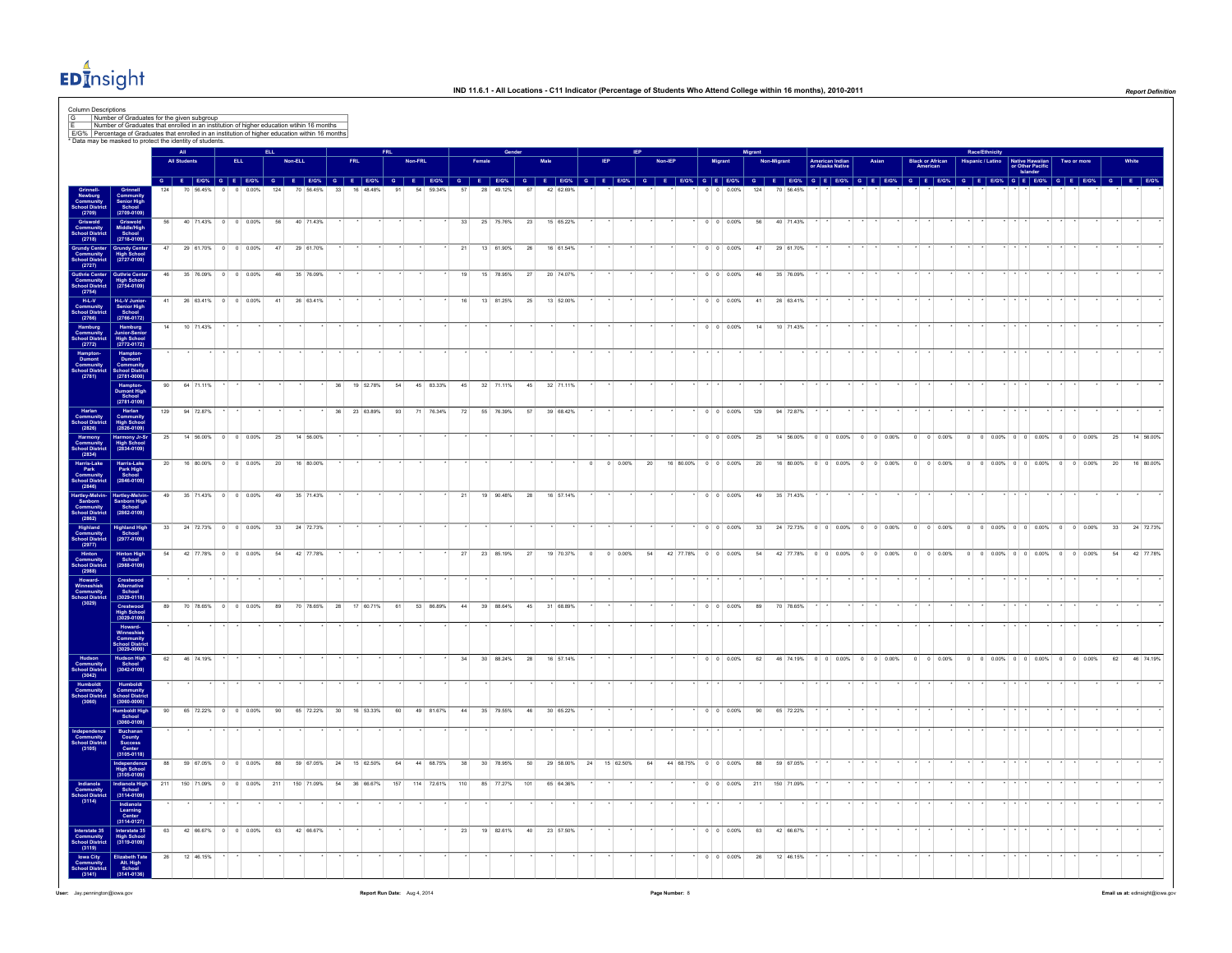

Column Descriptions<br>
G\_\_\_ Number of ( Number of Graduates for the given subgroup E Number of Graduates that enrolled in an institution of higher education wtihin 16 months E/G% Percentage of Graduates that enrolled in an institution of higher education within 16 months \* Data may be masked to protect the identity of students. **All ELL FRL Gender IEP Migrant Race/Ethnicity All Students ELL Non-ELL FRL Non-FRL Female Male IEP Non-IEP Migrant Non-Migrant American Indian American Indian<br>
or Alaska Native Asian Black or African American Hispanic / Latino Native Hawaiian**<br> **or Other Pacific**<br> **Islander Two or more White** G E BOX G E BOX G E BOX G E BOX G E BOX G E BOX G E BOX G E BOX G E BOX G E BOX G E BOX G E BOX G E BOX G E BOX G E BOX G E BOX G E BOX G E BOX G E BOX G E BOX G E BOX G E BOX G E BOX G E BOX G E BOX G E BOX G E BOX G E BO **Grinnell- Newburg Community School District (2709) Grinnell Community Senior High School (2709-0109)** 124 70 56.45% 0 0 0.00% 124 70 56.45% 33 16 48.48% 91 54 59.34% 57 28 49.12% 67 42 62.69% \* \* \* \* \* \* 0 0 0.00% 124 70 56.45% \* \* \* \* \* \* \* \* \* \* \* \* \* \* \* \* \* \* \* \* \* **Griswold Community School District (2718) Griswold Middle/High School (2718-0109)** 56 40 71.43% 0 0 0.00% 56 40 71.43% \* \* \* \* \* \* 33 25 75.76% 23 15 65.22% \* \* \* \* \* \* 0 0 0.00% 56 40 71.43% \* \* \* \* \* \* \* \* \* \* \* \* \* \* \* \* \* \* \* \* \* **Grundy Center Community School District (2727) Grundy Center High School (2727-0109)** 47 29 61.70% 0 0 0.00% 47 29 61.70% \* \* \* \* \* \* 21 13 61.90% 26 16 61.54% \* \* \* \* \* \* 0 0 0.00% 47 29 61.70% \* \* \* \* \* \* \* \* \* \* \* \* \* \* \* \* \* \* \* \* \* **Guthrie Center Community School District (2754) H-L-V Community School District (2766) Guthrie Center High School (2754-0109)** 46 35 76.09% 0 0 0.00% 46 35 76.09% \* \* \* \* \* \* 19 15 78.95% 27 20 74.07% \* \* \* \* \* \* 0 0 0.00% 46 35 76.09% \* \* \* \* \* \* \* \* \* \* \* \* \* \* \* \* \* \* \* \* \* **H-L-V Junior- Senior High School (2766-0172)** 41 26 63.41% 0 0 0.00% 41 26 63.41% \* \* \* \* \* \* 16 13 81.25% 25 13 52.00% \* \* \* \* \* \* 0 0 0.00% 41 26 63.41% \* \* \* \* \* \* \* \* \* \* \* \* \* \* \* \* \* \* \* \* \* **Hamburg Community School District (2772) Hamburg Junior-Senior High School (2772-0172)** 14 10 71.43% \* \* \* \* \* \* \* \* \* \* \* \* \* \* \* \* \* \* \* \* \* \* \* \* 0 0 0.00% 14 10 71.43% \* \* \* \* \* \* \* \* \* \* \* \* \* \* \* \* \* \* \* \* \* **Hampton- Dumont Community School District (2781) Hampton**<br>Dumont<br>Communit **Dumont Community School District (2781-0000)** \* \* \* \* \* \* \* \* \* \* \* \* \* \* \* \* \* \* \* \* \* \* \* \* \* \* \* \* \* \* \* \* \* \* \* \* \* \* \* \* \* \* \* \* \* \* \* \* \* \* \* \* \* \* **Hampton- Dumont High School (2781-0109)** 90 64 71.11% \* \* \* \* \* \* 36 19 52.78% 54 45 83.33% 45 32 71.11% 45 32 71.11% \* \* \* \* \* \* \* \* \* \* \* \* \* \* \* \* \* \* \* \* \* \* \* \* \* \* \* \* \* \* \* \* \* **Harlan Community School District (2826) Harlan Community High School (2826-0109)** 129 94 72.87% \* \* \* \* \* \* 36 23 63.89% 93 71 76.34% 72 55 76.39% 57 39 68.42% \* \* \* \* \* \* 0 0 0.00% 129 94 72.87% \* \* \* \* \* \* \* \* \* \* \* \* \* \* \* \* \* \* \* \* \* **Harmony Community School District (2834) Harmony Jr-Sr High School (2834-0109)** 25 14 56.00% 0 0 0.00% 25 14 56.00% \* \* \* \* \* \* \* \* \* \* \* \* \* \* \* \* \* \* 0 0 0.00% 25 14 56.00% 0 0 0.00% 0 0 0.00% 0 0 0.00% 0 0 0.00% 0 0 0.00% 0 0 0.00% 25 14 56.00% **Harris-Lake Park Community School District (2846) Harris-Lake Park High School (2846-0109)** 20 16 80.00% 0 0 0.00% 20 16 80.00% \* \* \* \* \* \* \* \* \* \* \* \* \* 0 0 0.00% 20 16 80.00% 0 0 0.00% 0 0 0.00% 0 0 0.00% 0 0 0.00% 0 0 0.00% 0 0 0.00% 0 0 0.00% 0 0 0.00% 0 0 0.00% 0 0 0.00% 0 0 0.00% 0 0 0.00% 0 0 0.00% 0 0 0.0 **Hartley-Melvin- Sanborn Community School District (2862) Hartley-Melvin- Sanborn High School (2862-0109)** 49 35 71.43% 0 0 0.00% 49 35 71.43% \* \* \* \* \* \* 21 19 90.48% 28 16 57.14% \* \* \* \* \* \* 0 0 0.00% 49 35 71.43% \* \* \* \* \* \* \* \* \* \* \* \* \* \* \* \* \* \* \* \* \* **Highland**<br>Communit **(2977) Highland High School (2977-0109)** 33 24 72.73% 0 0 0.00% 33 24 72.73% \* \* \* \* \* \* \* \* \* \* \* \* \* \* \* \* \* \* 0 0 0.00% 33 24 72.73% 0 0 0.00% 0 0 0.00% 0 0 0.00% 0 0 0.00% 0 0 0.00% 0 0 0.00% 33 24 72.73% **Hinton Community School District (2988) Hinton High School (2988-0109)** 54 42 77.78% 0 0 0.00% 54 42 77.78% \* \* \* \* \* \* \* 27 23 85.19% 27 19 70.37% 0 0 0.00% 54 42 77.78% 0 0 0.00% 54 42 77.78% 0 0 0.00% 0 0 0.00% 0 0 0.00% 0 0 0.00% 0 0 0.00% 0 0 0.00% 6 0 0.00% 0 0 0.00% 64 42 77.78% **Howard- Winneshiek Community School District (3029) Crestwood Alternative School (3029-0118)** \* \* \* \* \* \* \* \* \* \* \* \* \* \* \* \* \* \* \* \* \* \* \* \* \* \* \* \* \* \* \* \* \* \* \* \* \* \* \* \* \* \* \* \* \* \* \* \* \* \* \* \* \* \* **Crestwood High School (3029-0109)** 89 70 78.65% 0 0 0.00% 89 70 78.65% 28 17 60.71% 61 53 86.89% 44 39 88.64% 45 31 68.89% \* \* \* \* \* \* 0 0 0.00% 89 70 78.65% \* \* \* \* \* \* \* \* \* \* \* \* \* \* \* \* \* \* \* \* \* **Howard- Winneshiek Community School District (3029-0000)** \* \* \* \* \* \* \* \* \* \* \* \* \* \* \* \* \* \* \* \* \* \* \* \* \* \* \* \* \* \* \* \* \* \* \* \* \* \* \* \* \* \* \* \* \* \* \* \* \* \* \* \* \* \* **Hudson Community School District (3042) Hudson High School (3042-0109)** 62 46 74.19% \* \* \* \* \* \* \* \* \* \* \* \* \* 34 30 88.24% 28 16 57.14% \* \* \* \* \* \* \* \* 0 0 0.00% 62 46 74.19% 0 0 0.00% 0 0 0.00% 0 0 0.00% 0 0 0.00% 0 0 0.00% 0 0 0.00% 6 0 0.00% 0 0 0.00% 62 46 74.19% **Humboldt Community School District (3060) Humboldt Community School District (3060-0000)** \* \* \* \* \* \* \* \* \* \* \* \* \* \* \* \* \* \* \* \* \* \* \* \* \* \* \* \* \* \* \* \* \* \* \* \* \* \* \* \* \* \* \* \* \* \* \* \* \* \* \* \* \* \* **Humboldt High School (3060-0109)** 90 65 72.22% 0 0 0.00% 90 65 72.22% 30 16 53.33% 60 49 81.67% 44 35 79.55% 46 30 65.22% \* \* \* \* \* \* 0 0 0.00% 90 65 72.22% \* \* \* \* \* \* \* \* \* \* \* \* \* \* \* \* \* \* \* \* \* **Independence Community School District (3105) Buchanan County Success Center (3105-0118)** \* \* \* \* \* \* \* \* \* \* \* \* \* \* \* \* \* \* \* \* \* \* \* \* \* \* \* \* \* \* \* \* \* \* \* \* \* \* \* \* \* \* \* \* \* \* \* \* \* \* \* \* \* \* **Independence High School (3105-0109)** 88 59 67.05% 0 0 0.00% 88 59 67.05% 24 15 62.50% 64 44 68.75% 38 30 78.95% 50 29 58.00% 24 15 62.50% 64 44 68.75% 0 0 0.00% 88 59 67.05% \* \* \* \* \* \* \* \* \* \* \* \* \* \* \* \* \* \* \* \* \* **Indianola Community School District (3114) Indianola High School (3114-0109)** 211 150 71.09% 0 0 0.00% 211 150 71.09% 54 36 66.67% 157 114 72.61% 110 85 77.27% 101 65 64.36% \* \* \* \* \* \* 0 0 0.00% 211 150 71.09% \* \* \* \* \* \* \* \* \* \* \* \* \* \* \* \* \* \* \* \* \* **Indianola Learning Center (3114-0127)** \* \* \* \* \* \* \* \* \* \* \* \* \* \* \* \* \* \* \* \* \* \* \* \* \* \* \* \* \* \* \* \* \* \* \* \* \* \* \* \* \* \* \* \* \* \* \* \* \* \* \* \* \* \* **Interstate 35 Community School District (3119) Interstate 35 High School (3119-0109)** 63 42 66.67% 0 0 0.00% 63 42 66.67% \* \* \* \* \* \* 23 19 82.61% 40 23 57.50% \* \* \* \* \* \* 0 0 0.00% 63 42 66.67% \* \* \* \* \* \* \* \* \* \* \* \* \* \* \* \* \* \* \* \* \* **Iowa City Community School District (3141) Elizabeth Tate Alt. High School (3141-0136)** 26 12 46.15% \* \* \* \* \* \* \* \* \* \* \* \* \* \* \* \* \* \* \* \* \* \* \* \* 0 0 0.00% 26 12 46.15% \* \* \* \* \* \* \* \* \* \* \* \* \* \* \* \* \* \* \* \* \*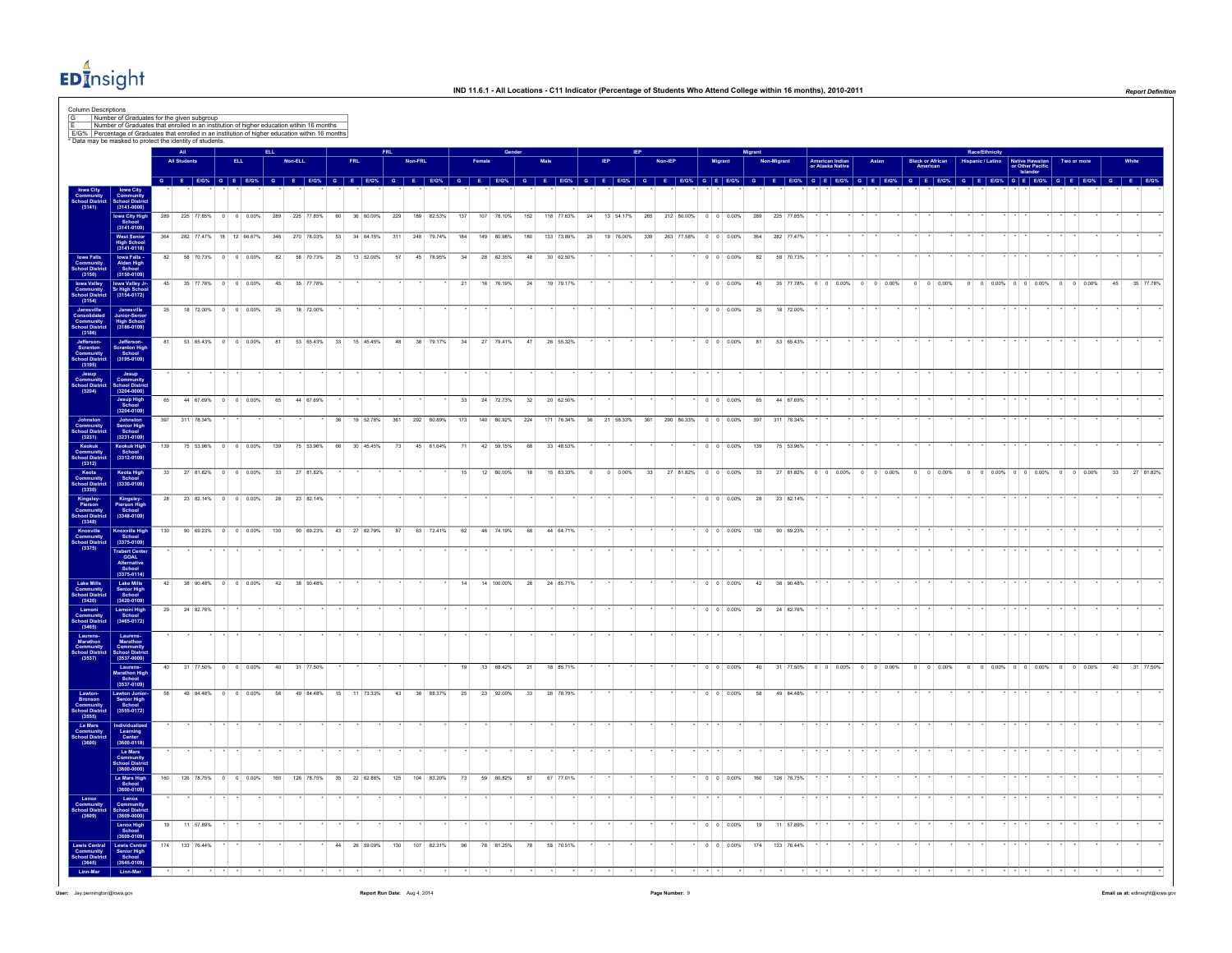

Column Descriptions<br>
G Number of C Number of Graduates for the given subgroup E Number of Graduates that enrolled in an institution of higher education wtihin 16 months E/G% Percentage of Graduates that enrolled in an institution of higher education within 16 months \* Data may be masked to protect the identity of students. **All ELL FRL Gender IEP Migrant Race/Ethnicity All Students ELL Non-ELL FRL Non-FRL Female Male IEP Non-IEP Migrant Non-Migrant American Indian or Alaska Native Asian Black or African American Hispanic / Latino Native Hawaiian**<br> **or Other Pacific**<br> **Islander Two or more White** <u>a e jedwo je jedwo je jedwo je jedwo je jedwo je jedwoje jedwoje jedwoje jedwoje jedwoje jedwoje jedwoje jedwoje jedwoje jedwoje jedwoje jedwoje jedwoje jedwoje jedwoje jedwoje jedwoje jedwoje jedwoje jedwoje jedwoje jedw</u> **Iowa City Community School District (3141) Iowa City Community School District (3141-0000)** \* \* \* \* \* \* \* \* \* \* \* \* \* \* \* \* \* \* \* \* \* \* \* \* \* \* \* \* \* \* \* \* \* \* \* \* \* \* \* \* \* \* \* \* \* \* \* \* \* \* \* \* \* \* **Iowa City High School (3141-0109)** 289 225 77.85% 0 0 0.00% 289 225 77.85% 60 36 60.00% 229 189 82.53% 137 107 78.10% 152 118 77.63% 24 13 54.17% 265 212 80.00% 0 0 0.00% 289 225 77.85% \* \* \* \* \* \* \* \* \* \* \* \* \* \* \* \* \* \* \* \* \* **West Senior High School (3141-0118)** 364 282 77.47% 18 12 66.67% 346 270 78.03% 53 34 64.15% 311 248 79.74% 184 149 80.98% 180 133 73.89% 25 19 76.00% 339 263 77.58% 0 0 0.00% 364 282 77.47% **Iowa Falls Community School District (3150) Iowa Falls - Alden High School (3150-0109)** 82 58 70.73% 0 0 0.00% 82 58 70.73% 25 13 52.00% 57 45 78.95% 34 28 82.35% 48 30 62.50% \* \* \* \* \* \* 0 0 0.00% 82 58 70.73% \* \* \* \* \* \* \* \* \* \* \* \* \* \* \* \* \* \* \* \* \* **Iowa Valley Community School District (3154) Iowa Valley Jr- Sr High School (3154-0172)** 45 35 77.78% 0 0 0.00% 45 35 77.78% \* \* \* \* \* \* \* 21 16 76.19% 24 19 79.17% \* \* \* \* \* 1 \* 1 0 0 0.00% 45 35 77.78% 0 0 0.00% 0 0 0.00% 0 0 0.00% 0 0 0.00% 0 0 0.00% 0 0 0.00% 0 0 0.00% 0 0 0.00% 45 35 77.78% **Janesville Consolidated Community School District (3186) Janesville Junior-Senior High School (3186-0109)** 25 18 72.00% 0 0 0.00% 25 18 72.00% \* \* \* \* \* \* \* \* \* \* \* \* \* \* \* \* \* \* 0 0 0.00% 25 18 72.00% \* \* \* \* \* \* \* \* \* \* \* \* \* \* \* \* \* \* \* \* \* **Jefferson- Scranton Community School District (3195) Jefferson- Scranton High School (3195-0109)** 81 53 65.43% 0 0 0.00% 81 53 65.43% 33 15 45.45% 48 38 79.17% 34 27 79.41% 47 26 55.32% \* \* \* \* \* \* 0 0 0.00% 81 53 65.43% \* \* \* \* \* \* \* \* \* \* \* \* \* \* \* \* \* \* \* \* \* **Jesup Community School District (3204) Jesup Community School District (3204-0000)** \* \* \* \* \* \* \* \* \* \* \* \* \* \* \* \* \* \* \* \* \* \* \* \* \* \* \* \* \* \* \* \* \* \* \* \* \* \* \* \* \* \* \* \* \* \* \* \* \* \* \* \* \* \* **Jesup High School (3204-0109)** 65 44 67.69% 0 0 0.00% 65 44 67.69% \* \* \* \* \* \* 33 24 72.73% 32 20 62.50% \* \* \* \* \* \* 0 0 0.00% 65 44 67.69% \* \* \* \* \* \* \* \* \* \* \* \* \* \* \* \* \* \* \* \* \* **Johnston Community School District (3231) Keokuk Community School District (3312) Johnston Senior High School (3231-0109)** 397 311 78.34% \* \* \* \* \* \* 36 19 52.78% 361 292 80.89% 173 140 80.92% 224 171 76.34% 36 21 58.33% 361 290 80.33% 0 0 0.00% 397 311 78.34% **Keokuk High School (3312-0109)** 139 75 53.96% 0 0 0.00% 139 75 53.96% 66 30 45.45% 73 45 61.64% 71 42 59.15% 68 33 48.53% \* \* \* \* \* \* 0 0 0.00% 139 75 53.96% \* \* \* \* \* \* \* \* \* \* \* \* \* \* \* \* \* \* \* \* \* **Keota Community School District (3330) Keota High School (3330-0109)** 33 27 81.82% 0 0 0 0.00% 33 27 81.82% \* \* \* \* \* \* 15 12 80.00% 18 15 83.33% 0 0 0.00% 33 27 81.82% 0 0 0.00% 33 27 81.82% 0 0 0.00% 0 0 0.00% 0 0 0.00% 0 0 0.00% 0 0 0.00% 0 0 0.00% 0 0 0.00% 0 0 0.00% 0 0 0.00% 0 0 0.00% **Kingsley- Pierson Community School District (3348) Kingsley- Pierson High School (3348-0109)** 28 23 82.14% 0 0 0.00% 28 23 82.14% \* \* \* \* \* \* \* \* \* \* \* \* \* \* \* \* \* \* 0 0 0.00% 28 23 82.14% \* \* \* \* \* \* \* \* \* \* \* \* \* \* \* \* \* \* \* \* \* **Knoxville Community School District (3375) Knoxville High School (3375-0109)** 130 90 69.23% 0 0 0.00% 130 90 69.23% 43 27 62.79% 87 63 72.41% 62 46 74.19% 68 44 64.71% \* \* \* \* \* \* 0 0 0.00% 130 90 69.23% \* \* \* \* \* \* \* \* \* \* \* \* \* \* \* \* \* \* \* \* \* **Trabert Center GOAL Alternative School (3375-0114)** \* \* \* \* \* \* \* \* \* \* \* \* \* \* \* \* \* \* \* \* \* \* \* \* \* \* \* \* \* \* \* \* \* \* \* \* \* \* \* \* \* \* \* \* \* \* \* \* \* \* \* \* \* \* **Lake Mills Community School District (3420) Lake Mills Senior High School (3420-0109)** 42 38 90.48% 0 0 0.00% 42 38 90.48% \* \* \* \* \* \* 14 14 100.00% 28 24 85.71% \* \* \* \* \* \* 0 0 0.00% 42 38 90.48% \* \* \* \* \* \* \* \* \* \* \* \* \* \* \* \* \* \* \* \* \* **Lamoni Community School District (3465) Lamoni High School (3465-0172)** 29 24 82.76% \* \* \* \* \* \* \* \* \* \* \* \* \* \* \* \* \* \* \* \* \* \* \* \* 0 0 0.00% 29 24 82.76% \* \* \* \* \* \* \* \* \* \* \* \* \* \* \* \* \* \* \* \* \* **Laurens- Marathon Community School District (3537) Laurens- Marathon Community School District (3537-0000)** \* \* \* \* \* \* \* \* \* \* \* \* \* \* \* \* \* \* \* \* \* \* \* \* \* \* \* \* \* \* \* \* \* \* \* \* \* \* \* \* \* \* \* \* \* \* \* \* \* \* \* \* \* \* **Laurens- Marathon High School (3537-0109)** 40 31 77.50% 0 0 0.00% 40 31 77.50% \* \* \* \* \* \* 19 33 68.42% 21 38.571% \* \* \* \* 1 0 0.00% 40 31 77.50% 0 0 0.00% 0 0 0.00% 0 0 0.00% 0 0 0.00% 0 0 0.00% 0 0 0.00% 0 0 0.00% 0 0 0.00% 0 0 0.00% 0 0 0.00% 40 31 77.50% Lawton-<br>Bronson **Bronson Community School District (3555) Lawton Junior- Senior High School (3555-0172)** 58 49 84.48% 0 0 0.00% 58 49 84.48% 15 11 73.33% 43 38 88.37% 25 23 92.00% 33 26 78.79% \* \* \* \* \* \* 0 0 0.00% 58 49 84.48% \* \* \* \* \* \* \* \* \* \* \* \* \* \* \* \* \* \* \* \* \* **Le Mars Community School District (3600) Individualized Learning Center (3600-0118)** \* \* \* \* \* \* \* \* \* \* \* \* \* \* \* \* \* \* \* \* \* \* \* \* \* \* \* \* \* \* \* \* \* \* \* \* \* \* \* \* \* \* \* \* \* \* \* \* \* \* \* \* \* \* **Le Mars Community School District (3600-0000)** \* \* \* \* \* \* \* \* \* \* \* \* \* \* \* \* \* \* \* \* \* \* \* \* \* \* \* \* \* \* \* \* \* \* \* \* \* \* \* \* \* \* \* \* \* \* \* \* \* \* \* \* \* \* **Le Mars High School (3600-0109)** 160 126 78.75% 0 0 0.00% 160 126 78.75% 35 22 62.86% 125 104 83.20% 73 59 80.82% 87 67 77.01% \* \* \* \* \* \* 0 0 0.00% 160 126 78.75% \* \* \* \* \* \* \* \* \* \* \* \* \* \* \* \* \* \* \* \* \* **Lenox Community School District (3609) Lenox Community School District (3609-0000)** \* \* \* \* \* \* \* \* \* \* \* \* \* \* \* \* \* \* \* \* \* \* \* \* \* \* \* \* \* \* \* \* \* \* \* \* \* \* \* \* \* \* \* \* \* \* \* \* \* \* \* \* \* \* **Lenox High School (3609-0109)** 19 11 57.89% \* \* \* \* \* \* \* \* \* \* \* \* \* \* \* \* \* \* \* \* \* \* \* \* 0 0 0.00% 19 11 57.89% \* \* \* \* \* \* \* \* \* \* \* \* \* \* \* \* \* \* \* \* \* nmur<br>ol Dis **(3645) Lewis Central Senior High School (3645-0109)** 174 133 76.44% \* \* \* \* \* \* 44 26 59.09% 130 107 82.31% 96 78 81.25% 78 55 70.51% \* \* \* \* \* \* 0 0 0.00% 174 133 76.44% \* \* \* \* \* \* \* \* \* \* \* \* \* \* \* \* \* \* \* \* \* **Linn-Mar Linn-Mar** \* \* \* \* \* \* \* \* \* \* \* \* \* \* \* \* \* \* \* \* \* \* \* \* \* \* \* \* \* \* \* \* \* \* \* \* \* \* \* \* \* \* \* \* \* \* \* \* \* \* \* \* \* \*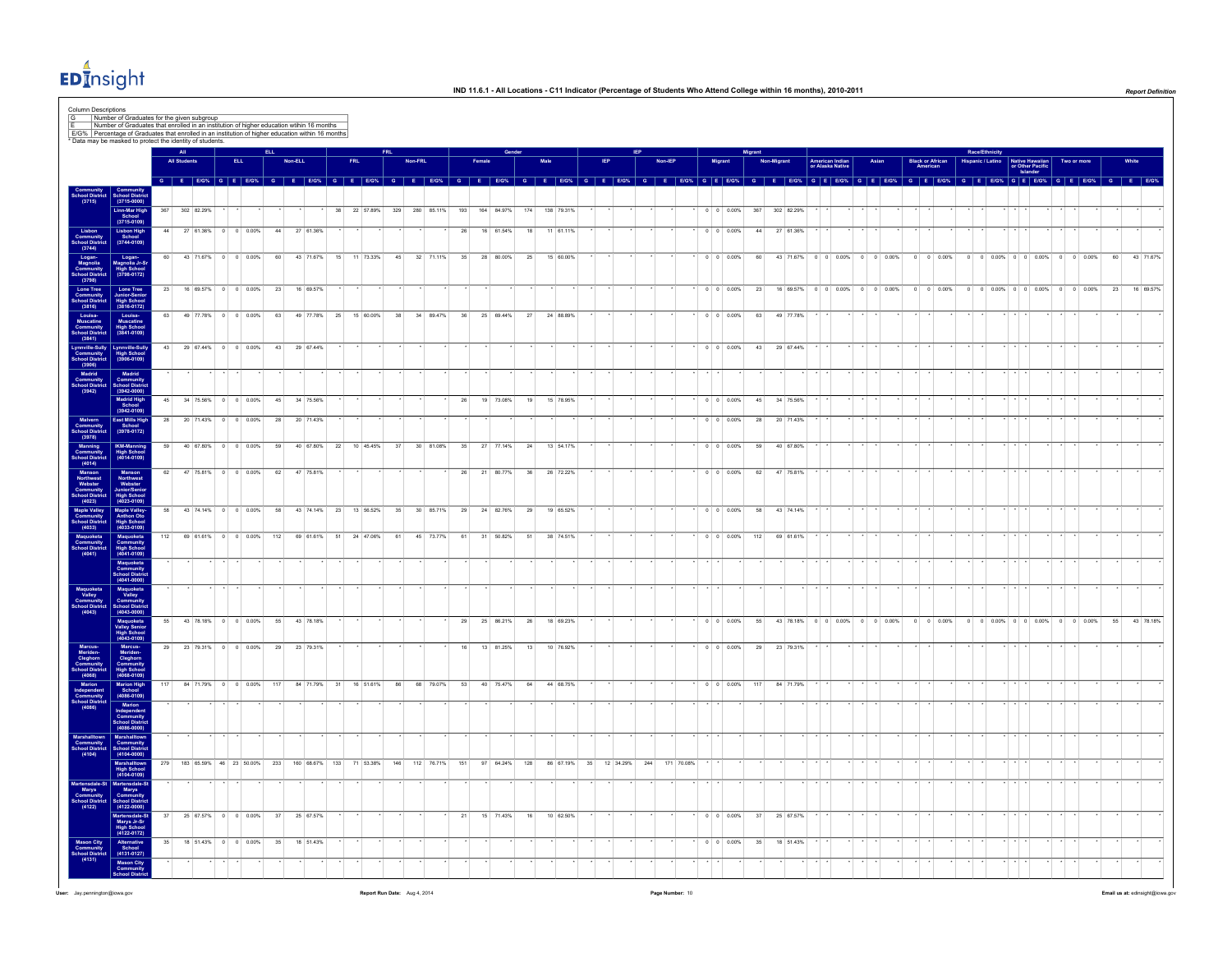

Column Descriptions<br>
G\_\_\_ Number of ( Number of Graduates for the given subgroup E Number of Graduates that enrolled in an institution of higher education wtihin 16 months E/G% Percentage of Graduates that enrolled in an institution of higher education within 16 months \* Data may be masked to protect the identity of students. **All ELL FRL Gender IEP Migrant Race/Ethnicity All Students ELL Non-ELL FRL Non-FRL Female Male IEP Non-IEP Migrant Non-Migrant American Indian American Indian<br>
or Alaska Native Asian Black or African American Hispanic / Latino Native Hawaiian**<br> **or Other Pacific**<br> **Islander Two or more White** O E BOX O E BOX O E BOX O E BOX O E BOX O E BOX O E BOX O E BOX O E BOX O E BOX O E BOX O E BOX O E BOX O E BOX O E BOX O E BOX O E BOX O E BOX O E BOX O E BOX O E BOX O E BOX O E BOX O E BOX O E BOX O E BOX O E BOX O E BO **Community School District (3715) Community School District (3715-0000) Linn-Mar High School (3715-0109)** 367 302 82.29% \* \* \* \* \* \* 38 22 57.89% 329 280 85.11% 193 164 84.97% 174 138 79.31% \* \* \* \* \* \* 0 0 0.00% 367 302 82.29% \* \* \* \* \* \* \* \* \* \* \* \* \* \* \* \* \* \* \* \* \* **Lisbon Community School District (3744) Lisbon High School (3744-0109)** 44 27 61.36% 0 0 0.00% 44 27 61.36% \* \* \* \* \* \* 26 16 61.54% 18 11 61.11% \* \* \* \* \* \* 0 0 0.00% 44 27 61.36% \* \* \* \* \* \* \* \* \* \* \* \* \* \* \* \* \* \* \* \* \* **Logan- Magnolia Community School District (3798) Logan- Magnolia Jr-Sr High School (3798-0172)** 60 43 71.67% 0 0 0.00% 60 43 71.67% 15 11 73.33% 45 32 71.11% 35 28 80.00% 25 15 60.00% \* \* \* \* \* \* 0 0 0.00% 60 43 71.67% 0 0 0.00% 0 0 0.00% 0 0 0.00% 0 0 0.00% 0 0 0.00% 0 0 0.00% 60 43 71.67% **Lone Tree Community School District (3816) Lone Tree Junior-Senior High School (3816-0172)** 23 16 69.57% 0 0 0.00% 23 16 69.57% \* \* \* \* \* \* \* \* \* \* \* \* \* \* \* \* \* \* 0 0 0.00% 23 16 69.57% 0 0 0.00% 0 0 0.00% 0 0 0.00% 0 0 0.00% 0 0 0.00% 0 0 0.00% 23 16 69.57% **Louisa- Muscatine Community School District (3841) Louisa- Muscatine High School (3841-0109)** 63 49 77.78% 0 0 0.00% 63 49 77.78% 25 15 60.00% 38 34 89.47% 36 25 69.44% 27 24 88.89% \* \* \* \* \* \* 0 0 0.00% 63 49 77.78% \* \* \* \* \* \* \* \* \* \* \* \* \* \* \* \* \* \* \* \* \* **Lynnville-Sully Community School District (3906) Lynnville-Sully High School (3906-0109)** 43 29 67.44% 0 0 0.00% 43 29 67.44% \* \* \* \* \* \* \* \* \* \* \* \* \* \* \* \* \* \* 0 0 0.00% 43 29 67.44% \* \* \* \* \* \* \* \* \* \* \* \* \* \* \* \* \* \* \* \* \* **Madrid Community School District (3942) Madrid Community School District (3942-0000)** \* \* \* \* \* \* \* \* \* \* \* \* \* \* \* \* \* \* \* \* \* \* \* \* \* \* \* \* \* \* \* \* \* \* \* \* \* \* \* \* \* \* \* \* \* \* \* \* \* \* \* \* \* \* **Madrid High School (3942-0109)** 45 34 75.56% 0 0 0.00% 45 34 75.56% \* \* \* \* \* \* 26 19 73.08% 19 15 78.95% \* \* \* \* \* \* 0 0 0.00% 45 34 75.56% \* \* \* \* \* \* \* \* \* \* \* \* \* \* \* \* \* \* \* \* \* **Malvern Community School District (3978) East Mills High School (3978-0172)** 28 20 71.43% 0 0 0.00% 28 20 71.43% \* \* \* \* \* \* \* \* \* \* \* \* \* \* \* \* \* \* 0 0 0.00% 28 20 71.43% \* \* \* \* \* \* \* \* \* \* \* \* \* \* \* \* \* \* \* \* \* **Manning Community School District (4014) IKM-Manning High School (4014-0109)** 59 40 67.80% 0 0 0.00% 59 40 67.80% 22 10 45.45% 37 30 81.08% 35 27 77.14% 24 13 54.17% \* \* \* \* \* \* 0 0 0.00% 59 40 67.80% \* \* \* \* \* \* \* \* \* \* \* \* \* \* \* \* \* \* \* \* \* **Manson<br>
Northwest<br>
Webster**<br>Communit **(4023) Manson Northwest Webster Junior/Senior High School (4023-0109)** 62 47 75.81% 0 0 0.00% 62 47 75.81% \* \* \* \* \* \* 26 21 80.77% 36 26 72.22% \* \* \* \* \* \* 0 0 0.00% 62 47 75.81% \* \* \* \* \* \* \* \* \* \* \* \* \* \* \* \* \* \* \* \* \* **Maple Valley Community School District (4033) Maple Valley- Anthon Oto High School (4033-0109)** 58 43 74.14% 0 0 0.00% 58 43 74.14% 23 13 56.52% 35 30 85.71% 29 24 82.76% 29 19 65.52% \* \* \* \* \* \* 0 0 0.00% 58 43 74.14% \* \* \* \* \* \* \* \* \* \* \* \* \* \* \* \* \* \* \* \* \* **Maquoketa**<br>Community<br>chool Distric **(4041) Maquoketa Community High School (4041-0109)** 112 69 61.61% 0 0 0.00% 112 69 61.61% 51 24 47.06% 61 45 73.77% 61 31 50.82% 51 38 74.51% \* \* \* \* \* \* 0 0 0.00% 112 69 61.61% \* \* \* \* \* \* \* \* \* \* \* \* \* \* \* \* \* \* \* \* \* **Maquoketa Community School District (4041-0000)** \* \* \* \* \* \* \* \* \* \* \* \* \* \* \* \* \* \* \* \* \* \* \* \* \* \* \* \* \* \* \* \* \* \* \* \* \* \* \* \* \* \* \* \* \* \* \* \* \* \* \* \* \* \* **Maquoketa Valley Community School District (4043) Maquoketa Valley Community School District (4043-0000)** \* \* \* \* \* \* \* \* \* \* \* \* \* \* \* \* \* \* \* \* \* \* \* \* \* \* \* \* \* \* \* \* \* \* \* \* \* \* \* \* \* \* \* \* \* \* \* \* \* \* \* \* \* \* **Maquoketa Valley Senior High School (4043-0109)** 55 43 78.18% 0 0 0.00% 55 43 78.18% \* \* \* \* \* \* 29 25 88.21% 26 18 882.3% \* \* \* \* 0 0 0.00% 55 43 78.18% 0 0 0.00% 0 0.00% 0 0 0.00% 0 0 0.00% 0 0 0.00% 0 0 0.00% 0 0 0.00% 0 0 0.00% 65 43 78.18% **Marcus- Meriden- Cleghorn Community School District (4068) Marion Independent Community School District (4086) Marcus- Meriden- Cleghorn Community High School (4068-0109)** 29 23 79.31% 0 0 0.00% 29 23 79.31% \* \* \* \* \* \* 16 13 81.25% 13 10 76.92% \* \* \* \* \* \* 0 0 0.00% 29 23 79.31% \* \* \* \* \* \* \* \* \* \* \* \* \* \* \* \* \* \* \* \* \* **Marion High School (4086-0109)** 117 84 71.79% 0 0 0.00% 117 84 71.79% 31 16 51.61% 86 68 79.07% 53 40 75.47% 64 44 68.75% \* \* \* \* \* \* 0 0 0.00% 117 84 71.79% \* \* \* \* \* \* \* \* \* \* \* \* \* \* \* \* \* \* \* \* \* **Marion Independent Community School District (4086-0000)** \* \* \* \* \* \* \* \* \* \* \* \* \* \* \* \* \* \* \* \* \* \* \* \* \* \* \* \* \* \* \* \* \* \* \* \* \* \* \* \* \* \* \* \* \* \* \* \* \* \* \* \* \* \* **Marshalltown Community School District (4104) Marshalltown Community School District (4104-0000)** \* \* \* \* \* \* \* \* \* \* \* \* \* \* \* \* \* \* \* \* \* \* \* \* \* \* \* \* \* \* \* \* \* \* \* \* \* \* \* \* \* \* \* \* \* \* \* \* \* \* \* \* \* \* **Marshalltown High School (4104-0109)** 279 183 65.59% 46 23 50.00% 233 160 68.67% 133 71 53.38% 146 112 76.71% 151 97 64.24% 128 86 67.19% 35 12 34.29% 244 171 70.08% **Martensdale-St Marys Community School District (4122) Martensdale**<br>Marys<br>Community **(4122-0000)** \* \* \* \* \* \* \* \* \* \* \* \* \* \* \* \* \* \* \* \* \* \* \* \* \* \* \* \* \* \* \* \* \* \* \* \* \* \* \* \* \* \* \* \* \* \* \* \* \* \* \* \* \* \* **Martensdale-St Marys Jr-Sr High School (4122-0172)** 37 25 67.57% 0 0 0.00% 37 25 67.57% \* \* \* \* \* \* 21 15 71.43% 16 10 62.50% \* \* \* \* \* \* 0 0 0.00% 37 25 67.57% \* \* \* \* \* \* \* \* \* \* \* \* \* \* \* \* \* \* \* \* \* **Mason City<br>Community<br>School District (4131) Alternative School (4131-0127)** 35 18 51.43% 0 0 0.00% 35 18 51.43% \* \* \* \* \* \* \* \* \* \* \* \* \* \* \* \* \* \* 0 0 0.00% 35 18 51.43% \* \* \* \* \* \* \* \* \* \* \* \* \* \* \* \* \* \* \* \* \* **Mason City Community School District**  \* \* \* \* \* \* \* \* \* \* \* \* \* \* \* \* \* \* \* \* \* \* \* \* \* \* \* \* \* \* \* \* \* \* \* \* \* \* \* \* \* \* \* \* \* \* \* \* \* \* \* \* \* \*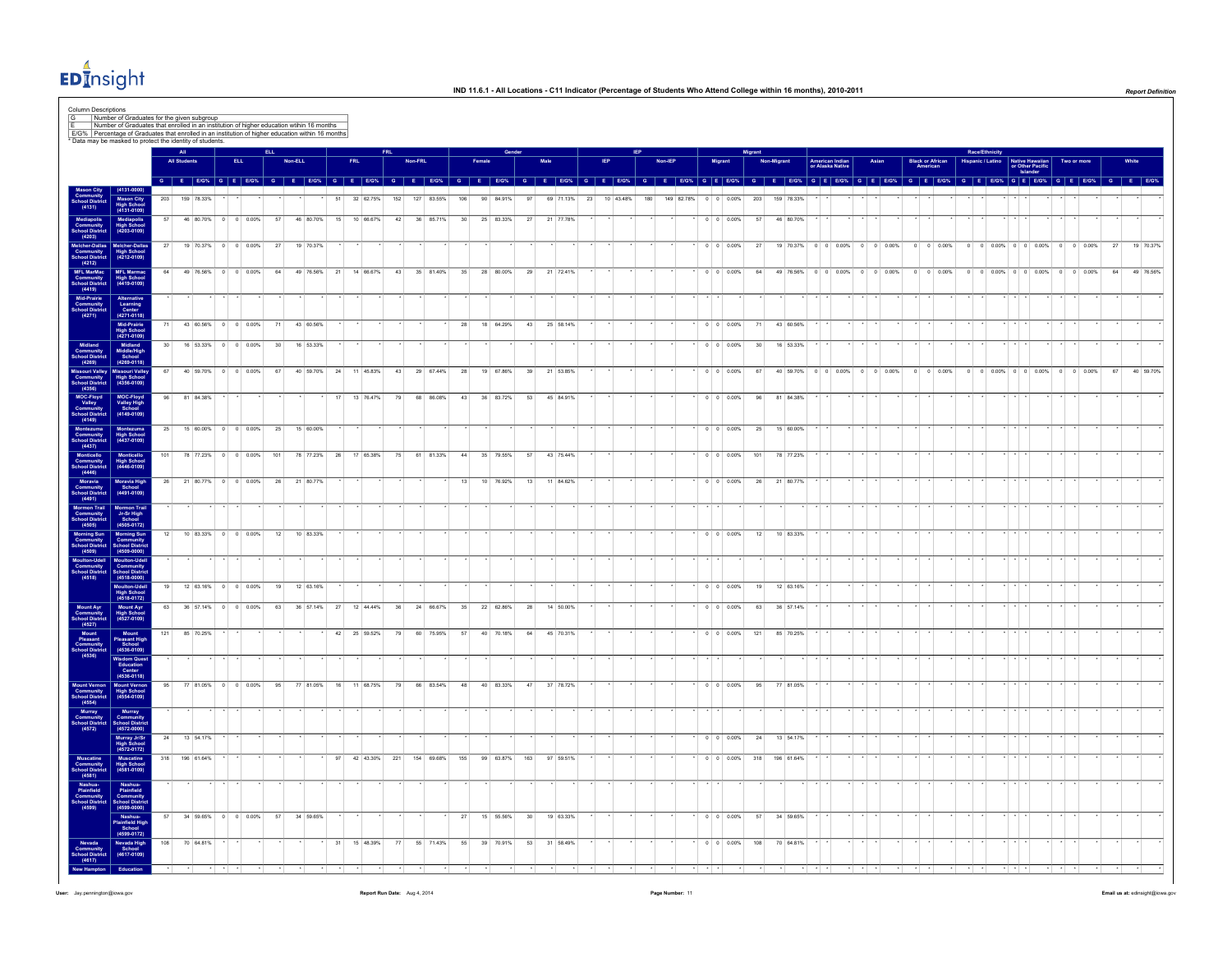

Column Descriptions<br>
G Number of C Number of Graduates for the given subgroup E Number of Graduates that enrolled in an institution of higher education wtihin 16 months E/G% Percentage of Graduates that enrolled in an institution of higher education within 16 months \* Data may be masked to protect the identity of students. **All ELL FRL Gender IEP Migrant Race/Ethnicity All Students ELL Non-ELL FRL Non-FRL Female Male IEP Non-IEP Migrant Non-Migrant American Indian or Alaska Native Asian Black or African American Hispanic / Latino Native Hawaiian**<br> **or Other Pacific**<br> **Islander Two or more White** O E BOX O E BOX O E BOX O E BOX O E BOX O E BOX O E BOX O E BOX O E BOX O E BOX O E BOX O E BOX O E BOX O E BOX O E BOX O E BOX O E BOX O E BOX O E BOX O E BOX O E BOX O E BOX O E BOX O E BOX O E BOX O E BOX O E BOX O E BO **Mason City Community School District (4131) (4131-0000) Mason City High School (4131-0109)** 203 159 78.33% \* \* \* \* \* \* 51 32 62.75% 152 127 83.55% 106 90 84.91% 97 69 71.13% 23 10 43.48% 180 149 82.78% 0 0 0.00% 203 159 78.33% \* \* \* \* \* \* \* \* \* \* \* \* \* \* \* \* \* \* \* \* \* **Mediapolis Community School District (4203) Mediapolis High School (4203-0109)** 57 46 80.70% 0 0 0.00% 57 46 80.70% 15 10 66.67% 42 36 85.71% 30 25 83.33% 27 21 77.78% \* \* \* \* \* \* 0 0 0.00% 57 46 80.70% \* \* \* \* \* \* \* \* \* \* \* \* \* \* \* \* \* \* \* \* \* **Melcher-Dallas Community School District (4212) Melcher-Dallas High School (4212-0109)** 27 19 70.37% 0 0 0 0.00% 27 19 70.37% \* \* \* \* \* \* \* \* \* \* \* \* \* \* \* \* \* \* 0 0 0.00% 27 19 70.00% 0 0 0.00% 0 0 0.00% 0 0 0.00% 0 0 0.00% 0 0 0.00% 0 0 0.00% 0 0 0.00% 0 0 0.00% 0 0 0.00% 0 0 0.00% 0 0 0.00% 0 0 0.00% 0 0 0 **MFL MarMac Community School District (4419) MFL Marmac High School (4419-0109)** 64 49 76.56% 0 0 0.00% 64 49 76.56% 21 14 66.67% 43 35 81.40% 35 28 80.00% 29 21 72.41% \* \* \* \* \* \* 0 0 0.00% 64 49 76.56% 0 0 0.00% 0 0 0.00% 0 0 0.00% 0 0 0.00% 0 0 0.00% 0 0 0.00% 64 49 76.56% **Mid-Prairie Community School District (4271) Alternative Learning Center (4271-0118)** \* \* \* \* \* \* \* \* \* \* \* \* \* \* \* \* \* \* \* \* \* \* \* \* \* \* \* \* \* \* \* \* \* \* \* \* \* \* \* \* \* \* \* \* \* \* \* \* \* \* \* \* \* \* **Mid-Prairie High School (4271-0109)** 71 43 60.56% 0 0 0.00% 71 43 60.56% \* \* \* \* \* \* 28 18 64.29% 43 25 58.14% \* \* \* \* \* \* 0 0 0.00% 71 43 60.56% \* \* \* \* \* \* \* \* \* \* \* \* \* \* \* \* \* \* \* \* \* **Midland Community School District (4269) Midland Middle/High School (4269-0118)** 30 16 53.33% 0 0 0.00% 30 16 53.33% \* \* \* \* \* \* \* \* \* \* \* \* \* \* \* \* \* \* 0 0 0.00% 30 16 53.33% \* \* \* \* \* \* \* \* \* \* \* \* \* \* \* \* \* \* \* \* \* **Missouri Valley Community School District (4356) Missouri Valley High School (4356-0109)** 67 40 59.70% 0 0 0.00% 67 40 59.70% 24 11 45.83% 43 29 67.44% 28 19 67.86% 39 21 53.85% \* \* \* \* \* \* 0 0 0.00% 67 40 59.70% 0 0 0.00% 0 0 0.00% 0 0 0.00% 0 0 0.00% 0 0 0.00% 0 0 0.00% 67 40 59.70% **MOC-Floyd<br>
Valley (4149) MOC-Floyd Valley High School (4149-0109)** 96 81 84.38% \* \* \* \* \* \* 17 13 76.47% 79 68 86.08% 43 36 83.72% 53 45 84.91% \* \* \* \* \* \* 0 0 0.00% 96 81 84.38% \* \* \* \* \* \* \* \* \* \* \* \* \* \* \* \* \* \* \* \* \* **Montezuma Community School District (4437) Montezuma High School (4437-0109)** 25 15 60.00% 0 0 0.00% 25 15 60.00% \* \* \* \* \* \* \* \* \* \* \* \* \* \* \* \* \* \* 0 0 0.00% 25 15 60.00% \* \* \* \* \* \* \* \* \* \* \* \* \* \* \* \* \* \* \* \* \* **Monticello Community School District (4446) Monticello High School (4446-0109)** 101 78 77.23% 0 0 0.00% 101 78 77.23% 26 17 65.38% 75 61 81.33% 44 35 79.55% 57 43 75.44% \* \* \* \* \* \* 0 0 0.00% 101 78 77.23% \* \* \* \* \* \* \* \* \* \* \* \* \* \* \* \* \* \* \* \* \* **Moravia Community School District (4491) Moravia High School (4491-0109)** 26 21 80.77% 0 0 0.00% 26 21 80.77% \* \* \* \* \* \* 13 10 76.92% 13 11 84.62% \* \* \* \* \* \* 0 0 0.00% 26 21 80.77% \* \* \* \* \* \* \* \* \* \* \* \* \* \* \* \* \* \* \* \* \* **Mormon Trail Community School District (4505) Mormon Trail Jr-Sr High School (4505-0172)** \* \* \* \* \* \* \* \* \* \* \* \* \* \* \* \* \* \* \* \* \* \* \* \* \* \* \* \* \* \* \* \* \* \* \* \* \* \* \* \* \* \* \* \* \* \* \* \* \* \* \* \* \* \* **Morning Sun Community School District (4509) Morning Sun Community School District (4509-0000)** 12 10 83.33% 0 0 0.00% 12 10 83.33% \* \* \* \* \* \* \* \* \* \* \* \* \* \* \* \* \* \* 0 0 0.00% 12 10 83.33% \* \* \* \* \* \* \* \* \* \* \* \* \* \* \* \* \* \* \* \* \* **Moulton-Udell Community School District (4518) Moulton-Udell Community School District (4518-0000)** \* \* \* \* \* \* \* \* \* \* \* \* \* \* \* \* \* \* \* \* \* \* \* \* \* \* \* \* \* \* \* \* \* \* \* \* \* \* \* \* \* \* \* \* \* \* \* \* \* \* \* \* \* \* **Moulton-Udell High School (4518-0172)** 19 12 63.16% 0 0 0.00% 19 12 63.16% \* \* \* \* \* \* \* \* \* \* \* \* \* \* \* \* \* \* 0 0 0.00% 19 12 63.16% \* \* \* \* \* \* \* \* \* \* \* \* \* \* \* \* \* \* \* \* \* **Mount Ayr Community School District (4527) Mount Ayr High School (4527-0109)** 63 36 57.14% 0 0 0.00% 63 36 57.14% 27 12 44.44% 36 24 66.67% 35 22 62.86% 28 14 50.00% \* \* \* \* \* \* 0 0 0.00% 63 36 57.14% \* \* \* \* \* \* \* \* \* \* \* \* \* \* \* \* \* \* \* \* \* **Mount Pleasant Community School District (4536) Mount Pleasant High School (4536-0109)** 121 85 70.25% \* \* \* \* \* \* 42 25 59.52% 79 60 75.95% 57 40 70.18% 64 45 70.31% \* \* \* \* \* \* 0 0 0.00% 121 85 70.25% \* \* \* \* \* \* \* \* \* \* \* \* \* \* \* \* \* \* \* \* \* **Wisdom Quest Education Center (4536-0118)** \* \* \* \* \* \* \* \* \* \* \* \* \* \* \* \* \* \* \* \* \* \* \* \* \* \* \* \* \* \* \* \* \* \* \* \* \* \* \* \* \* \* \* \* \* \* \* \* \* \* \* \* \* \* **Mount Vernon Community School District (4554) Mount Vernon High School (4554-0109)** 95 77 81.05% 0 0 0.00% 95 77 81.05% 16 11 68.75% 79 66 83.54% 48 40 83.33% 47 37 78.72% \* \* \* \* \* \* 0 0 0.00% 95 77 81.05% \* \* \* \* \* \* \* \* \* \* \* \* \* \* \* \* \* \* \* \* \* **Murray Community School District (4572) Murray Community School District (4572-0000)** \* \* \* \* \* \* \* \* \* \* \* \* \* \* \* \* \* \* \* \* \* \* \* \* \* \* \* \* \* \* \* \* \* \* \* \* \* \* \* \* \* \* \* \* \* \* \* \* \* \* \* \* \* \* **Murray Jr/Sr High School (4572-0172)** 24 13 54.17% \* \* \* \* \* \* \* \* \* \* \* \* \* \* \* \* \* \* \* \* \* \* \* \* 0 0 0.00% 24 13 54.17% \* \* \* \* \* \* \* \* \* \* \* \* \* \* \* \* \* \* \* \* \* **Muscatine Community School District (4581) Muscatine High School (4581-0109)** 318 196 61.64% \* \* \* \* \* \* 97 42 43.30% 221 154 69.68% 155 99 63.87% 163 97 59.51% \* \* \* \* \* \* 0 0 0.00% 318 196 61.64% \* \* \* \* \* \* \* \* \* \* \* \* \* \* \* \* \* \* \* \* \* **Nashua- Plainfield Community School District (4599) Nashua- Plainfield Community School District (4599-0000)** \* \* \* \* \* \* \* \* \* \* \* \* \* \* \* \* \* \* \* \* \* \* \* \* \* \* \* \* \* \* \* \* \* \* \* \* \* \* \* \* \* \* \* \* \* \* \* \* \* \* \* \* \* \* **Nashua- Plainfield High School (4599-0172)** 57 34 59.65% 0 0 0.00% 57 34 59.65% \* \* \* \* \* \* 27 15 55.56% 30 19 63.33% \* \* \* \* \* \* 0 0 0.00% 57 34 59.65% \* \* \* \* \* \* \* \* \* \* \* \* \* \* \* \* \* \* \* \* \* **Nevada Community School District (4617) Nevada High School (4617-0109)** 108 70 64.81% \* \* \* \* \* \* 31 15 48.39% 77 55 71.43% 55 39 70.91% 53 31 58.49% \* \* \* \* \* \* 0 0 0.00% 108 70 64.81% \* \* \* \* \* \* \* \* \* \* \* \* \* \* \* \* \* \* \* \* \* **New Hampton Education** \* \* \* \* \* \* \* \* \* \* \* \* \* \* \* \* \* \* \* \* \* \* \* \* \* \* \* \* \* \* \* \* \* \* \* \* \* \* \* \* \* \* \* \* \* \* \* \* \* \* \* \* \* \*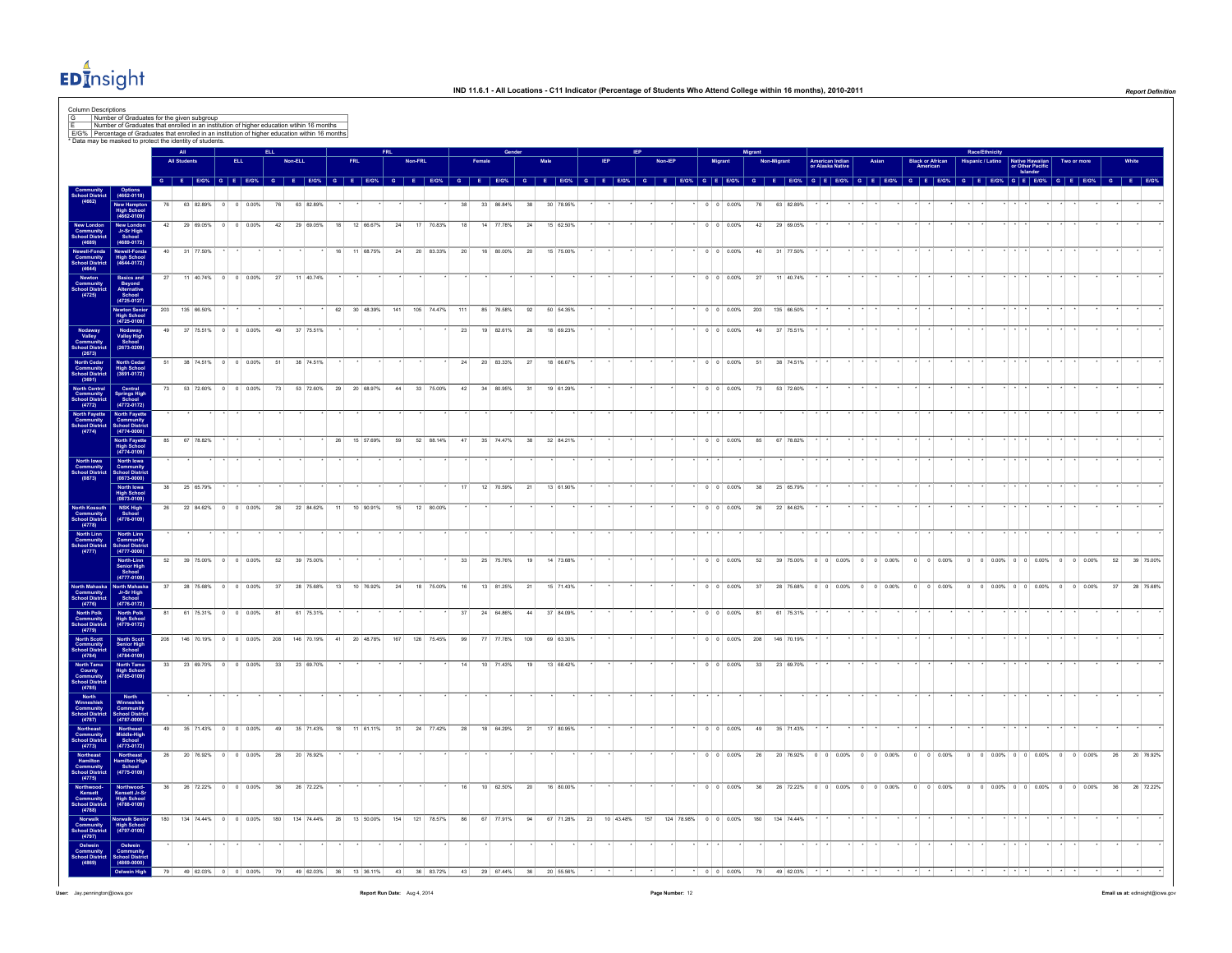

Column Descriptions Number of Graduates for the given subgroup E Number of Graduates that enrolled in an institution of higher education wtihin 16 months E/G% Percentage of Graduates that enrolled in an institution of higher education within 16 months \* Data may be masked to protect the identity of students. **All ELL FRL Gender IEP Migrant Race/Ethnicity All Students ELL Non-ELL FRL Non-FRL Female Male IEP Non-IEP Migrant Non-Migrant American Indian or Alaska Native Asian Black or African Hispanic / Latino Native Hawaiian**<br> **or Other Pacific**<br> **Islander Two or more White** <u>a jedno je jedno je jedno je jedno je jedno je jedno je jedno je jedno je jedno je jedno je jedno je jedno je jedno je jedno je jedno je jedno je jedno je jedno je jedno je jedno je jedno je jedno je jedno je jedno je jed</u> **Community School District (4662) Options (4662-0118) New Hampton High School (4662-0109)** 76 63 82.89% 0 0 0.00% 76 63 82.89% \* \* \* \* \* \* 38 33 86.84% 38 30 78.95% \* \* \* \* \* \* 0 0 0.00% 76 63 82.89% \* \* \* \* \* \* \* \* \* \* \* \* \* \* \* \* \* \* \* \* \* **New London Community School District (4689) New London Jr-Sr High School (4689-0172)** 42 29 69.05% 0 0 0.00% 42 29 69.05% 18 12 66.67% 24 17 70.83% 18 14 77.78% 24 15 62.50% \* \* \* \* \* \* 0 0 0.00% 42 29 69.05% \* \* \* \* \* \* \* \* \* \* \* \* \* \* \* \* \* \* \* \* \* **Newell-Fonda Community School District (4644) Newell-Fonda High School (4644-0172)** 40 31 77.50% \* \* \* \* \* \* 16 11 68.75% 24 20 83.33% 20 16 80.00% 20 15 75.00% \* \* \* \* \* \* 0 0 0.00% 40 31 77.50% \* \* \* \* \* \* \* \* \* \* \* \* \* \* \* \* \* \* \* \* \* **Newton Community School District (4725) Basics and Beyond Alternative School (4725-0127)** 27 11 40.74% 0 0 0.00% 27 11 40.74% \* \* \* \* \* \* \* \* \* \* \* \* \* \* \* \* \* \* 0 0 0.00% 27 11 40.74% \* \* \* \* \* \* \* \* \* \* \* \* \* \* \* \* \* \* \* \* \* **Newton Senior High School (4725-0109)** 203 135 66.50% \* \* \* \* \* \* 62 30 48.39% 141 105 74.47% 111 85 76.58% 92 50 54.35% \* \* \* \* \* \* 0 0 0.00% 203 135 66.50% \* \* \* \* \* \* \* \* \* \* \* \* \* \* \* \* \* \* \* \* \* **Nodaway Valley Community School District (2673) Nodaway Valley High School (2673-0209)** 49 37 75.51% 0 0 0.00% 49 37 75.51% \* \* \* \* \* \* 23 19 82.61% 26 18 69.23% \* \* \* \* \* \* 0 0 0.00% 49 37 75.51% \* \* \* \* \* \* \* \* \* \* \* \* \* \* \* \* \* \* \* \* \* **North Cedar Community School District (3691) North Cedar High School (3691-0172)** 51 38 74.51% 0 0 0.00% 51 38 74.51% \* \* \* \* \* \* 24 20 83.33% 27 18 66.67% \* \* \* \* \* \* 0 0 0.00% 51 38 74.51% \* \* \* \* \* \* \* \* \* \* \* \* \* \* \* \* \* \* \* \* \* **North Central Community School District (4772) Central Springs High School (4772-0172)** 73 53 72.60% 0 0 0.00% 73 53 72.60% 29 20 68.97% 44 33 75.00% 42 34 80.95% 31 19 61.29% \* \* \* \* \* \* 0 0 0.00% 73 53 72.60% \* \* \* \* \* \* \* \* \* \* \* \* \* \* \* \* \* \* \* \* \* **North Fayette Community School District (4774) North Fayette Community School District (4774-0000)** \* \* \* \* \* \* \* \* \* \* \* \* \* \* \* \* \* \* \* \* \* \* \* \* \* \* \* \* \* \* \* \* \* \* \* \* \* \* \* \* \* \* \* \* \* \* \* \* \* \* \* \* \* \* **North Fayette High School (4774-0109)** 85 67 78.82% \* \* \* \* \* \* 26 15 57.69% 59 52 88.14% 47 35 74.47% 38 32 84.21% \* \* \* \* \* \* 0 0 0.00% 85 67 78.82% \* \* \* \* \* \* \* \* \* \* \* \* \* \* \* \* \* \* \* \* \* **North Iowa Community School District (0873) North Iowa Community School District (0873-0000)** \* \* \* \* \* \* \* \* \* \* \* \* \* \* \* \* \* \* \* \* \* \* \* \* \* \* \* \* \* \* \* \* \* \* \* \* \* \* \* \* \* \* \* \* \* \* \* \* \* \* \* \* \* \* **North Iowa High School (0873-0109)** 38 25 65.79% \* \* \* \* \* \* \* \* \* \* \* \* 17 12 70.59% 21 13 61.90% \* \* \* \* \* \* 0 0 0.00% 38 25 65.79% \* \* \* \* \* \* \* \* \* \* \* \* \* \* \* \* \* \* \* \* \* **North Kossuth Community School District (4778) NSK High School (4778-0109)** 26 22 84.62% 0 0 0.00% 26 22 84.62% 11 10 90.91% 15 12 80.00% \* \* \* \* \* \* \* \* \* \* \* \* 0 0 0.00% 26 22 84.62% \* \* \* \* \* \* \* \* \* \* \* \* \* \* \* \* \* \* \* \* \* **North Linn Community School District (4777) North Linn Community School District (4777-0000)** \* \* \* \* \* \* \* \* \* \* \* \* \* \* \* \* \* \* \* \* \* \* \* \* \* \* \* \* \* \* \* \* \* \* \* \* \* \* \* \* \* \* \* \* \* \* \* \* \* \* \* \* \* \* **North-Linn Senior High School (4777-0109)** 52 39 75.00% 0 0 0.00% 52 39 75.00% \* \* \* \* \* \* 33 25 75.76% 19 14 73.68% \* \* \* \* \* \* 0 0 0.00% 52 39 75.00% 0 0 0.00% 0 0 0.00% 0 0 0.00% 0 0 0.00% 0 0 0.00% 0 0 0.00% 52 39 75.00% **North Mahaska Community School District (4776) North Mahaska**<br>Jr-Sr High<br>School<br>(4776-0172) 37 28 75.68% 0 0 0.00% 37 28 75.68% 13 10 76.92% 24 18 75.00% 16 13 81.25% 21 15 71.43% \* \* \* \* \* \* 0 0 0.00% 37 28 75.68% 0 0 0.00% 0 0 0.00% 0 0 0.00% 0 0 0.00% 0 0 0.00% 0 0 0.00% 37 28 75.68% **North Polk Community School District (4779) North Polk High School (4779-0172)** 81 61 75.31% 0 0 0.00% 81 61 75.31% \* \* \* \* \* \* 37 24 64.86% 44 37 84.09% \* \* \* \* \* \* 0 0 0.00% 81 61 75.31% \* \* \* \* \* \* \* \* \* \* \* \* \* \* \* \* \* \* \* \* \* **North Scott Community School District (4784) North Scott Senior High School (4784-0109)** 208 146 70.19% 0 0 0.00% 208 146 70.19% 41 20 48.78% 167 126 75.45% 99 77 77.78% 109 69 63.30% \* \* \* \* \* \* 0 0 0.00% 208 146 70.19% \* \* \* \* \* \* \* \* \* \* \* \* \* \* \* \* \* \* \* \* \* **North Tama County Community School District (4785) North Tama High School (4785-0109)** 33 23 69.70% 0 0 0.00% 33 23 69.70% \* \* \* \* \* \* 14 10 71.43% 19 13 68.42% \* \* \* \* \* \* 0 0 0.00% 33 23 69.70% \* \* \* \* \* \* \* \* \* \* \* \* \* \* \* \* \* \* \* \* \* **North Winneshiek Community School District (4787) North Winneshiek Community School District (4787-0000)** \* \* \* \* \* \* \* \* \* \* \* \* \* \* \* \* \* \* \* \* \* \* \* \* \* \* \* \* \* \* \* \* \* \* \* \* \* \* \* \* \* \* \* \* \* \* \* \* \* \* \* \* \* \* **Northeast Community School District (4773) Northeast Middle-High School (4773-0172)** 49 35 71.43% 0 0 0.00% 49 35 71.43% 18 11 61.11% 31 24 77.42% 28 18 64.29% 21 17 80.95% \* \* \* \* \* \* 0 0 0.00% 49 35 71.43% \* \* \* \* \* \* \* \* \* \* \* \* \* \* \* \* \* \* \* \* \* **Northeast**<br> **Hamilton**<br>Community **(4775) Northeast**<br>**Iamilton High (4775-0109)** 26 20 76.92% 0 0 0 0.00% 26 20 76.92% \* \* \* \* \* \* \* \* \* \* \* \* \* \* \* \* \* 0 0 0.00% 26 20 76.92% 0 0 0.00% 0 0 0.00% 0 0 0.00% 0 0 0.00% 0 0 0.00% 0 0 0.00% 0 0 0.00% 0 0 0.00% 0 0 0.00% 0 0 0.00% 26 20 76.92% **Northwood- Kensett Community School District (4788) Northwood- Kensett Jr-Sr High School (4788-0109)** 36 26 72.22% 0 0 0 0.00% 36 26 72.22% \* \* \* \* \* \* 16 10 62.50% 20 16 80.00% \* \* \* \* \* 0 0 0.00% 36 26 72.22% 0 0 0.00% 0 0 0.00% 0 0 0.00% 0 0 0.00% 0 0 0.00% 0 0 0.00% 0 0 0.00% 0 0 0.00% 0 0 0.00% 0 0 0.00% 0 0 0.00% 0 0 **Norwalk Community School District (4797) Norwalk Senior High School (4797-0109)** 180 134 74.44% 0 0 0.00% 180 134 74.44% 26 13 50.00% 154 121 78.57% 86 67 77.91% 94 67 71.28% 23 10 43.48% 157 124 78.98% 0 0 0.00% 180 134 74.44% \* \* \* \* \* \* \* \* \* \* \* \* \* \* \* \* \* \* \* \* \* **Oelwein (4869) Oelwein**<br>Communi **(4869-0000)** \* \* \* \* \* \* \* \* \* \* \* \* \* \* \* \* \* \* \* \* \* \* \* \* \* \* \* \* \* \* \* \* \* \* \* \* \* \* \* \* \* \* \* \* \* \* \* \* \* \* \* \* \* \* **Oelwein High** 79 49 62.03% 0 0 0.00% 79 49 62.03% 36 13 36.11% 43 36 83.72% 43 29 67.44% 36 20 55.56% \* \* \* \* \* \* 0 0 0.00% 79 49 62.03% \* \* \* \* \* \* \* \* \* \* \* \* \* \* \* \* \* \* \* \* \*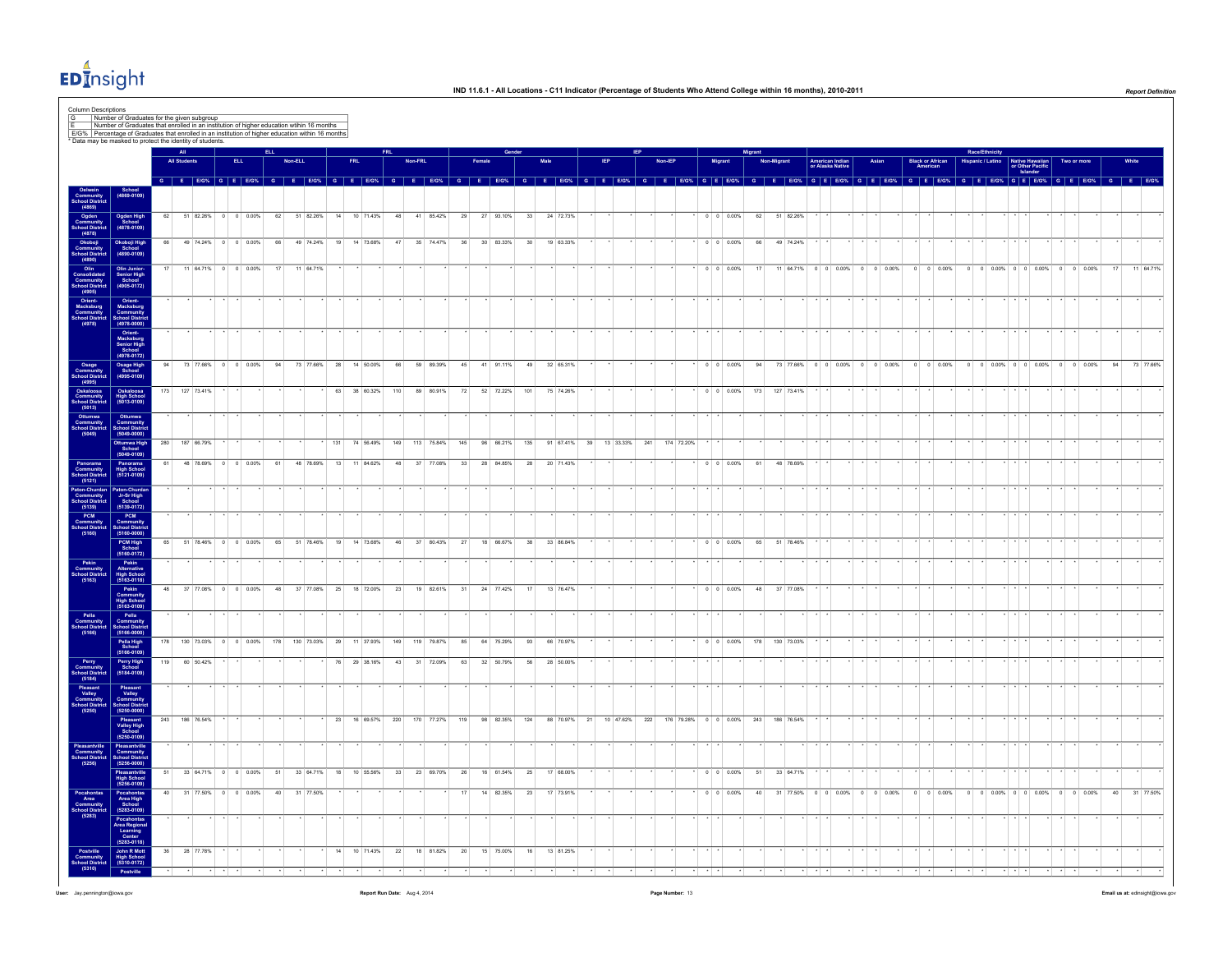

| Column Descriptions                                                                                                                                 |                                                                            | G Number of Graduates for the given subgroup<br>E Number of Graduates that enrolled in an institution of higher education wtihin 16 months                     |                |                                            |             |                                                  |            |              |                              |         |            |          |                        |                 |                        |  |                            |            |                                          |                                                       |            |            |                    |                                  |             |                                      |                  |                                                     |                                 |            |    |              |
|-----------------------------------------------------------------------------------------------------------------------------------------------------|----------------------------------------------------------------------------|----------------------------------------------------------------------------------------------------------------------------------------------------------------|----------------|--------------------------------------------|-------------|--------------------------------------------------|------------|--------------|------------------------------|---------|------------|----------|------------------------|-----------------|------------------------|--|----------------------------|------------|------------------------------------------|-------------------------------------------------------|------------|------------|--------------------|----------------------------------|-------------|--------------------------------------|------------------|-----------------------------------------------------|---------------------------------|------------|----|--------------|
|                                                                                                                                                     |                                                                            | E/G% Percentage of Graduates that enrolled in an institution of higher education within 16 months<br>* Data may be masked to protect the identity of students. |                |                                            |             |                                                  |            |              |                              |         |            |          |                        |                 |                        |  |                            |            |                                          |                                                       |            |            |                    |                                  |             |                                      | Race/Ethnicity   |                                                     |                                 |            |    |              |
|                                                                                                                                                     |                                                                            | <b>All Students</b><br>GEEON GEEON GEEON GEEON GEEON GEEON GEEON GEEON GEEON GEEON GEEON GEEON GEEON GEEON GEEON GEEON GEEON GEEON GEEON                       |                | ELL.                                       |             | Non-ELL                                          |            | <b>FRL</b>   |                              | Non-FRL |            |          |                        |                 |                        |  |                            | Non-IEP    | Migrant                                  |                                                       | Non-Migran |            |                    |                                  |             | <b>Black or African<br/>American</b> | Hispanic / Latin | Native Hawaiian<br>  or Other Pacific<br>  Islander | Two or more                     |            |    |              |
|                                                                                                                                                     | School<br>(4869-0109)                                                      |                                                                                                                                                                |                |                                            |             |                                                  |            |              |                              |         |            |          |                        |                 |                        |  |                            |            |                                          |                                                       |            |            |                    |                                  |             |                                      |                  |                                                     |                                 |            |    |              |
|                                                                                                                                                     | Ogden High<br>School<br>(4878-0109)                                        | 62<br>51 82.26%                                                                                                                                                | $\circ$        | $0 - 0.00%$                                | $_{\rm 62}$ | 51 82.26%                                        | 14         | 10 71.43%    | 48                           |         | 41 85.42%  | 29       | 27 93.10%              | $33\,$          | 24 72.73%              |  |                            |            | $0\qquad 0\qquad 0.00\%$                 |                                                       | $62\,$     | 51 82.26%  |                    |                                  |             |                                      |                  |                                                     |                                 |            |    |              |
|                                                                                                                                                     | Okoboji High<br>School<br>(4890-0109)                                      | 66                                                                                                                                                             |                | 49 74.24% 0 0 0.00%                        | 66          | 49 74.24%                                        | 19         | 14 73.68%    | 47                           |         | 35 74.47%  | 36       | 30 83.33%              | 30 <sup>7</sup> | 19 63.33%              |  |                            |            | $0 \t 0 \t 0.00\%$                       |                                                       | 66         | 49 74.24%  |                    |                                  |             |                                      |                  |                                                     |                                 |            |    |              |
| School Distri<br>(4869)<br>Ogden<br>Community (4878)<br>Community (68606)<br>Community<br>(4890)<br>Olin<br>Consolidated<br>Chool Distric<br>(4905) | Olin Junior-<br>Senior High<br>School<br>(4905-0172)                       |                                                                                                                                                                |                | 11 64.71% 0 0 0.00%                        | 17          | 11 64.71%                                        |            |              |                              |         |            |          |                        |                 |                        |  |                            |            | $0 \t 0 \t 0.00\%$                       |                                                       | 17         |            |                    | 11 64.71% 0 0 0.00% 0 0 0.00%    |             | $0 \t 0 \t 0.00\%$                   |                  |                                                     | $0$ 0 0.00% 0 0 0.00% 0 0 0.00% |            | 17 | 11 64.71%    |
| Orient-<br>Macksburg<br>Community<br>chool Distri                                                                                                   |                                                                            |                                                                                                                                                                |                |                                            |             |                                                  |            |              |                              |         |            |          |                        |                 |                        |  |                            |            |                                          |                                                       |            |            |                    |                                  |             |                                      |                  |                                                     |                                 |            |    |              |
|                                                                                                                                                     | Orient-<br>Macksburg<br>Community<br>School Distric<br>(4978-0000)         |                                                                                                                                                                |                |                                            |             |                                                  |            |              |                              |         |            |          |                        |                 |                        |  |                            |            |                                          |                                                       |            |            |                    |                                  |             |                                      |                  |                                                     |                                 |            |    |              |
|                                                                                                                                                     | Orient-<br>Macksburg<br>Senior High<br>School<br>(4978-0172)               |                                                                                                                                                                |                |                                            |             |                                                  |            |              |                              |         |            |          |                        |                 |                        |  |                            |            |                                          |                                                       |            |            |                    |                                  |             |                                      |                  |                                                     |                                 |            |    |              |
|                                                                                                                                                     | Osage High<br>School<br>(4995-0109)                                        | 94<br>73 77.66%                                                                                                                                                | $\circ$        | $0 - 0.00%$                                | 94          | 73 77.66%                                        | ${\bf 28}$ | 14 50.00%    | 66                           |         | 59 89.39%  | 45       | 41 91.11%              | 49              | 32 65.31%              |  |                            |            | $0 \t 0 \t 0.00\%$                       |                                                       | 94         | 73 77.66%  | $0 \t 0 \t 0.00\%$ | $\circ$                          | $0 - 0.00%$ | $\circ$<br>0 0.00%                   | $\circ$          | $0\quad 0.00\%\quad 0\quad 0\quad 0.00\%\quad$      | $\circ$                         | $0 0.00\%$ |    | 73 77.66%    |
| Osage<br>Community<br>Chool District<br>(4995)<br>Oskaloosa<br>Community<br>(5013)<br>Ottumwa Community<br>Community<br>Community<br>(5049)         | Oskaloosa<br>High School<br>(5013-0109)                                    | $173$<br>127 73.41%                                                                                                                                            |                |                                            |             |                                                  | 63         | 38 60.32%    | 110                          |         | 89 80.91%  | $72\,$   | 52 72.22%              | $101\,$         | 75 74.26%              |  |                            |            | $0 \t 0 \t 0.00\%$                       |                                                       | 173        | 127 73.41% |                    |                                  |             |                                      |                  |                                                     |                                 |            |    |              |
|                                                                                                                                                     | Ottumwa<br>Community<br>School Distric<br>(5049-0000)                      |                                                                                                                                                                |                |                                            |             |                                                  |            |              |                              |         |            |          |                        |                 |                        |  |                            |            |                                          |                                                       |            |            |                    |                                  |             |                                      |                  |                                                     |                                 |            |    |              |
|                                                                                                                                                     | Ottumwa High<br>School<br>(5049-0109)                                      | 280<br>187 66.79%                                                                                                                                              |                |                                            |             |                                                  | 131        | 74 56.49%    | 149                          |         | 113 75.84% | 145      | 96 66.21%              | 135             |                        |  | 91 67.41% 39 13 33.33% 241 | 174 72.20% |                                          |                                                       |            |            |                    |                                  |             |                                      |                  |                                                     |                                 |            |    |              |
| Panorama<br>Community<br>chool Distric<br>(5121)                                                                                                    | Panorama<br>High School<br>(5121-0109)                                     | 48 78.69%<br>61                                                                                                                                                | $\overline{0}$ | $0 - 0.00%$                                | 61          | 48 78.69%                                        | 13         | 11 84.62%    | 48                           |         | 37 77.08%  | 33       | 28 84.85%              | 28              | 20 71.43%              |  |                            |            | $0 \t 0 \t 0.00\%$                       |                                                       | 61         | 48 78.69%  |                    |                                  |             |                                      |                  |                                                     |                                 |            |    |              |
| (1117)<br>Vaton-Churdan<br>Community<br>(5139)<br>PCM<br>Community<br>School District<br>(5160)                                                     | Paton-Churda<br>Jr-Sr High<br>School<br>(5139-0172)                        |                                                                                                                                                                |                |                                            |             |                                                  |            |              |                              |         |            |          |                        |                 |                        |  |                            |            |                                          |                                                       |            |            |                    |                                  |             |                                      |                  |                                                     |                                 |            |    |              |
|                                                                                                                                                     | PCM<br>Community<br>School Distric<br>(5160-0000)                          |                                                                                                                                                                |                |                                            |             |                                                  |            |              |                              |         |            |          |                        |                 |                        |  |                            |            |                                          |                                                       |            |            |                    |                                  |             |                                      |                  |                                                     |                                 |            |    |              |
|                                                                                                                                                     | PCM High<br>School<br>(5160-0172)                                          | 65                                                                                                                                                             |                | 51 78.46% 0 0 0.00%                        | 65          | 51 78.46% 19 14 73.68%                           |            |              | 46                           |         | 37 80.43%  | 27       | 18 66.67%              | 38              | 33 86.84%              |  |                            |            | $0 \t 0 \t 0.00\%$                       |                                                       | 65         | 51 78.46%  |                    |                                  |             |                                      |                  |                                                     |                                 |            |    |              |
| Pekin<br>Community<br>School Distric<br>(5163)                                                                                                      | Pekin<br>Alternative<br>High School<br>(5163-0118)                         | 48                                                                                                                                                             |                | 37 77.08% 0 0 0.00%                        | 48          | 37 77.08% 25 18 72.00%                           |            |              | 23                           |         | 19 82.61%  | 31       | 24 77.42%              | 17              | 13 76.47%              |  |                            |            | $0 \t 0 \t 0.00\%$                       |                                                       | 48         | 37 77.08%  |                    |                                  |             |                                      |                  |                                                     |                                 |            |    |              |
|                                                                                                                                                     | Pekin<br>Community<br>High Schoo<br>(5163-0109)                            |                                                                                                                                                                |                |                                            |             |                                                  |            |              |                              |         |            |          |                        |                 |                        |  |                            |            |                                          |                                                       |            |            |                    |                                  |             |                                      |                  |                                                     |                                 |            |    |              |
| Pella<br>Community<br>chool Distric<br>(5166)                                                                                                       | Pella<br>Community<br>School Distric<br>(5166-0000)                        | 178                                                                                                                                                            |                |                                            |             | 130 73.03% 0 0 0.00% 178 130 73.03% 29 11 37.93% |            |              | 149                          |         | 119 79.87% | 85       | 64 75.29%              | 93              | 66 70.97%              |  |                            |            |                                          | 0 0 0.00% 178 130 73.03%                              |            |            |                    |                                  |             |                                      |                  |                                                     |                                 |            |    |              |
|                                                                                                                                                     | Pella High<br>School<br>(5166-0109)<br>Perry High<br>School<br>(5184-0109) | 119<br>60 50.42%                                                                                                                                               |                |                                            |             |                                                  | 76         | 29 38.16%    | 43                           |         | 31 72.09%  | 63       | 32 50.79%              | 56              | 28 50.00%              |  |                            |            |                                          |                                                       |            |            |                    |                                  |             |                                      |                  |                                                     |                                 |            |    |              |
| Perry<br>Communit<br>chool Distr<br>(5184)<br>Pleasant<br>Valley<br>Communit<br>Chool Distr<br>(5250)                                               |                                                                            |                                                                                                                                                                |                |                                            |             |                                                  |            |              |                              |         |            |          |                        |                 |                        |  |                            |            |                                          |                                                       |            |            |                    |                                  |             |                                      |                  |                                                     |                                 |            |    |              |
|                                                                                                                                                     | Pleasant<br>Valley<br>Community<br>School Distri<br>(5250-0000)            |                                                                                                                                                                |                |                                            |             |                                                  |            |              |                              |         |            |          |                        |                 |                        |  |                            |            |                                          |                                                       |            |            |                    |                                  |             |                                      |                  |                                                     |                                 |            |    |              |
|                                                                                                                                                     | Pleasant<br>Valley High<br>School<br>(5250-0109)                           | 243<br>186 76.54%                                                                                                                                              |                |                                            |             |                                                  | 23         |              | 16 69.57% 220 170 77.27% 119 |         |            |          |                        | 98 82.35% 124   |                        |  |                            |            |                                          | 88 70.97% 21 10 47.62% 222 176 79.28% 0 0 0 0.00% 243 |            | 186 76.54% |                    |                                  |             |                                      |                  |                                                     |                                 |            |    |              |
| Vleasantville<br>Community<br>thool Distric<br>(5256)                                                                                               | Pleasantville<br>Community<br>School Distric<br>(5256-0000)                |                                                                                                                                                                |                |                                            |             |                                                  |            |              |                              |         |            |          |                        |                 |                        |  |                            |            |                                          |                                                       |            |            |                    |                                  |             |                                      |                  |                                                     |                                 |            |    |              |
|                                                                                                                                                     | Pleasantville<br>High School<br>(5256-0109)                                | 51<br>40                                                                                                                                                       |                | 33 64.71% 0 0 0.00%<br>31 77.50% 0 0 0.00% | 51<br>40    | 33 64.71%<br>31 77.50%                           |            | 18 10 55.56% | 33                           |         | 23 69.70%  | 26<br>17 | 16 61.54%<br>14 82.35% | 25<br>23        | 17 68.00%<br>17 73.91% |  |                            |            | $0 \t 0 \t 0.00\%$<br>$0 \t 0 \t 0.00\%$ |                                                       | 51         | 33 64.71%  |                    | 40 31 77.50% 0 0 0.00% 0 0 0.00% |             | $0 \t 0 \t 0.00\%$                   |                  |                                                     | $0$ 0 0.00% 0 0 0.00% 0 0 0.00% |            |    | 40 31 77.50% |
| Pocahontas<br>Area<br>Community<br>thool Distric<br>(5283)                                                                                          | Pocahontas<br>Area High<br>School<br>(5283-0109)                           |                                                                                                                                                                |                |                                            |             |                                                  |            |              |                              |         |            |          |                        |                 |                        |  |                            |            |                                          |                                                       |            |            |                    |                                  |             |                                      |                  |                                                     |                                 |            |    |              |
|                                                                                                                                                     | Pocahontas<br>Area Regional<br>Learning<br>Center<br>(5283-0118)           |                                                                                                                                                                |                |                                            |             |                                                  |            |              |                              |         |            |          |                        |                 |                        |  |                            |            |                                          |                                                       |            |            |                    |                                  |             |                                      |                  |                                                     |                                 |            |    |              |
|                                                                                                                                                     | John R Mott<br>High School<br>(5310-0172)                                  | 36<br>28 77.78%                                                                                                                                                |                |                                            |             |                                                  | 14         | 10 71.43%    | 22                           |         | 18 81.82%  | 20       | 15 75.00%              | 16              | 13 81.25%              |  |                            |            |                                          |                                                       |            |            |                    |                                  |             |                                      |                  |                                                     |                                 |            |    |              |
|                                                                                                                                                     |                                                                            |                                                                                                                                                                |                |                                            |             |                                                  |            |              |                              |         |            |          |                        |                 |                        |  |                            |            |                                          |                                                       |            |            |                    |                                  |             |                                      |                  |                                                     |                                 |            |    |              |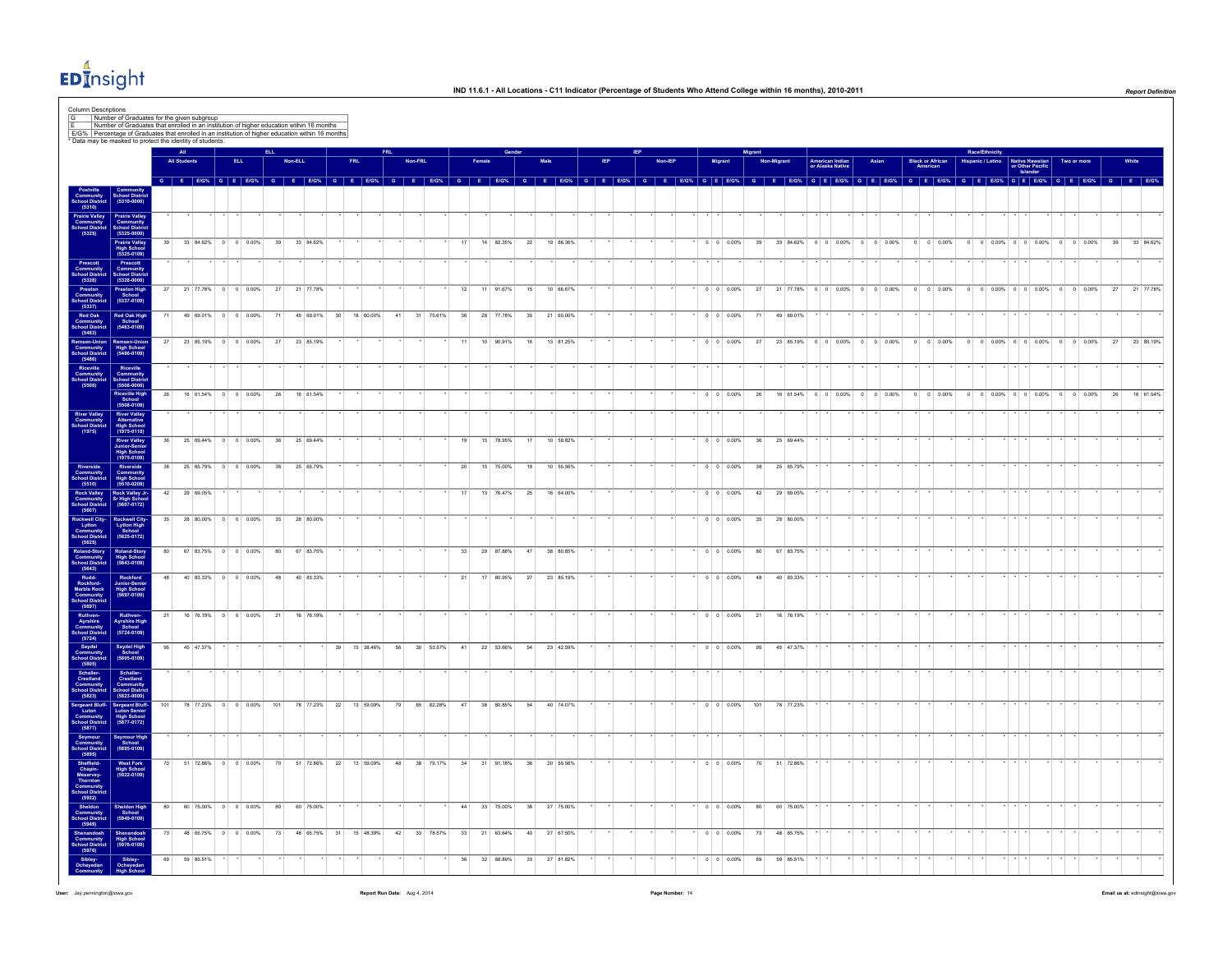

| Column Descriptions                                                                                                                     | G Number of Graduates for the given subgroup<br>E Number of Graduates that enrolled in an institution of higher education within 16 months<br>EIG% Percentage of Graduates that enrolled in an institution of higher education withi<br>* Data may be masked to protect the identity of students. |     |                     |                                                                                                             |     |    |           |     |                        |    |              |    |           |              |           |  |  |         |                          |     |             |                               |                                     |      |                                      |  |                                    |                                                 |                                                                                  |    |           |
|-----------------------------------------------------------------------------------------------------------------------------------------|---------------------------------------------------------------------------------------------------------------------------------------------------------------------------------------------------------------------------------------------------------------------------------------------------|-----|---------------------|-------------------------------------------------------------------------------------------------------------|-----|----|-----------|-----|------------------------|----|--------------|----|-----------|--------------|-----------|--|--|---------|--------------------------|-----|-------------|-------------------------------|-------------------------------------|------|--------------------------------------|--|------------------------------------|-------------------------------------------------|----------------------------------------------------------------------------------|----|-----------|
|                                                                                                                                         |                                                                                                                                                                                                                                                                                                   |     | <b>All Students</b> |                                                                                                             | ELL |    | Non-ELL   | FRL |                        |    | Non-FRI      |    |           |              |           |  |  | Non-IEP | Migrant                  |     | Non-Migrant |                               | American Indian<br>or Alaska Native | Asia | <b>Black or African<br/>American</b> |  | Race/Ethnicit<br>Hispanic / Latino | Native Hawaiian<br>or Other Pacific<br>Islander | Two or more                                                                      |    |           |
|                                                                                                                                         | School Distr<br>$(5310 - 0000)$                                                                                                                                                                                                                                                                   |     |                     | G E EIGN G E EIGN G E EIGN G E EIGN G E EIGN G E EIGN G E EIGN G E EIGN G E EIGN G E EIGN G E EIGN G E EIGN |     |    |           |     |                        |    |              |    |           |              |           |  |  |         |                          |     |             |                               |                                     |      |                                      |  |                                    |                                                 | G E E/G% G E E/G% G E E/G% G E E/G% G E E/G% G E E/G% G E E/G% G E E/G% G E E/G% |    |           |
| Community<br>chool Distri                                                                                                               | Prairie Valley<br>Community<br>School Distric<br>(5325-0000)                                                                                                                                                                                                                                      |     |                     |                                                                                                             |     |    |           |     |                        |    |              |    |           |              |           |  |  |         |                          |     |             |                               |                                     |      |                                      |  |                                    |                                                 |                                                                                  |    |           |
|                                                                                                                                         | Prairie Valley<br>High School<br>(5325-0109)                                                                                                                                                                                                                                                      | 39  |                     | 33 84.62% 0 0 0.00%                                                                                         |     | 39 | 33 84.62% |     |                        |    |              | 17 | 14 82.35% | 22           | 19 86.36% |  |  |         | $0 \t 0 \t 0.00\%$       |     | 39          | 33 84.62% 0 0 0.00% 0 0 0.00% |                                     |      | $0 \t 0 \t 0.00\%$                   |  |                                    |                                                 | $0$ 0 0.00% 0 0 0.00% 0 0 0.00%                                                  | 39 | 33 84.62% |
|                                                                                                                                         | Prescott<br>Community<br>School Distric<br>(5328-0000)                                                                                                                                                                                                                                            | 27  |                     | 21 77.78% 0 0 0.00%                                                                                         |     | 27 | 21 77.78% |     |                        |    |              | 12 | 11 91.67% | 15           | 10 66.67% |  |  |         | $0 \t 0 \t 0.00\%$       |     | 27          | 21 77.78% 0 0 0.00% 0 0 0.00% |                                     |      | $0 \t 0 \t 0.00\%$                   |  |                                    | $0$ 0 0.00% 0 0 0.00%                           | $0 \t 0 \t 0.00\%$                                                               | 27 | 21 77.78% |
| Prescott<br>Community<br>School Distric<br>(5328)<br>Preston<br>Community<br>(5337)<br>Red Oak<br>Community<br>(5463)<br>Chond District | Preston High<br>School<br>$(5337 - 0109)$                                                                                                                                                                                                                                                         | 71  |                     | 49 69.01% 0 0 0.00%                                                                                         |     | 71 | 49 69.01% | 30  | 18 60.00%              | 41 | 31 75.61%    | 36 | 28 77.78% | 35           | 21 60.00% |  |  |         | $0 \t 0 \t 0.00\%$       |     | 71          | 49 69.01%                     |                                     |      |                                      |  |                                    |                                                 |                                                                                  |    |           |
|                                                                                                                                         | Red Oak High<br>School<br>$(5463 - 0109)$                                                                                                                                                                                                                                                         | 27  |                     | 23 85.19% 0 0 0.00%                                                                                         |     | 27 | 23 85.19% |     |                        |    |              | 11 | 10 90.91% | 16           | 13 81.25% |  |  |         | $0 \t 0 \t 0.00\%$       |     | 27          | 23 85.19% 0 0 0.00% 0 0 0.00% |                                     |      | $0 \t 0 \t 0.00\%$                   |  |                                    |                                                 | $0$ 0 0.00% 0 0 0.00% 0 0 0.00%                                                  | 27 | 23 85.19% |
| Remsen-Unio<br>Community<br>School Distric<br>(5486)                                                                                    | Remsen-Unic<br>High Schoo<br>(5486-0109)                                                                                                                                                                                                                                                          |     |                     |                                                                                                             |     |    |           |     |                        |    |              |    |           |              |           |  |  |         |                          |     |             |                               |                                     |      |                                      |  |                                    |                                                 |                                                                                  |    |           |
| Riceville<br>Community<br>School Distric<br>(5508)                                                                                      | Riceville<br>Community<br>School Distrie<br>(5508-0000)                                                                                                                                                                                                                                           | 26  |                     | 16 61.54% 0 0 0.00%                                                                                         |     | 26 | 16 61.54% |     |                        |    |              |    |           |              |           |  |  |         | $0 \t 0 \t 0.00\%$       |     | 26          | 16 61.54% 0 0 0.00% 0 0 0.00% |                                     |      | $0 \t 0 \t 0.00\%$                   |  |                                    | $0$ 0 0.00% 0 0 0.00%                           | $0 \t 0 \t 0.00\%$                                                               | 26 | 16 61.54% |
| River Valley<br>Community<br>School District<br>(1975)                                                                                  | Riceville High<br>School<br>(5508-0109)<br>River Valley<br>Alternative<br>High School<br>(1975-0118)                                                                                                                                                                                              |     |                     |                                                                                                             |     |    |           |     |                        |    |              |    |           |              |           |  |  |         |                          |     |             |                               |                                     |      |                                      |  |                                    |                                                 |                                                                                  |    |           |
|                                                                                                                                         | River Valley<br>Junior-Senior<br>High School<br>(1975-0109)                                                                                                                                                                                                                                       | 36  |                     | 25 69.44% 0 0 0.00%                                                                                         |     | 36 | 25 69.44% |     |                        |    |              | 19 | 15 78.95% | 17           | 10 58.82% |  |  |         | $0 \t 0 \t 0.00\%$       |     | 36          | 25 69.44%                     |                                     |      |                                      |  |                                    |                                                 |                                                                                  |    |           |
|                                                                                                                                         | Riverside<br>Community<br>High School<br>(5510-0209)                                                                                                                                                                                                                                              | 38  |                     | 25 65.79% 0 0 0.00%                                                                                         |     | 38 | 25 65.79% |     |                        |    |              | 20 | 15 75.00% | 18           | 10 55.56% |  |  |         | $0 \t 0 \t 0.00\%$       |     | 38          | 25 65.79%                     |                                     |      |                                      |  |                                    |                                                 |                                                                                  |    |           |
|                                                                                                                                         |                                                                                                                                                                                                                                                                                                   | 42  | 29 69.05%           |                                                                                                             |     |    |           |     |                        |    |              | 17 | 13 76.47% | 25           | 16 64.00% |  |  |         | $0 \t 0 \t 0.00\%$       |     | 42          | 29 69.05%                     |                                     |      |                                      |  |                                    |                                                 |                                                                                  |    |           |
|                                                                                                                                         |                                                                                                                                                                                                                                                                                                   | 35  |                     | 28 80.00% 0 0 0.00%                                                                                         |     | 35 | 28 80.00% |     |                        |    |              |    |           |              |           |  |  |         | $0 \t 0 \t 0.00\%$       |     | 35          | 28 80.00%                     |                                     |      |                                      |  |                                    |                                                 |                                                                                  |    |           |
|                                                                                                                                         |                                                                                                                                                                                                                                                                                                   | 80  |                     | 67 83.75% 0 0 0.00%                                                                                         |     | 80 | 67 83.75% |     |                        |    |              | 33 | 29 87.88% | 47           | 38 80.85% |  |  |         | $0 \t 0 \t 0.00\%$       |     | 80          | 67 83.75%                     |                                     |      |                                      |  |                                    |                                                 |                                                                                  |    |           |
|                                                                                                                                         |                                                                                                                                                                                                                                                                                                   | 48  |                     | 40 83.33% 0 0 0.00%                                                                                         |     | 48 | 40 83.33% |     |                        |    |              | 21 | 17 80.95% | 27           | 23 85.19% |  |  |         | $0 \quad 0 \quad 0.00\%$ |     |             | 48 40 83.33%                  |                                     |      |                                      |  |                                    |                                                 |                                                                                  |    |           |
|                                                                                                                                         |                                                                                                                                                                                                                                                                                                   |     |                     |                                                                                                             |     |    |           |     |                        |    |              |    |           |              |           |  |  |         |                          |     |             |                               |                                     |      |                                      |  |                                    |                                                 |                                                                                  |    |           |
|                                                                                                                                         |                                                                                                                                                                                                                                                                                                   | 21  |                     | 16 76.19% 0 0 0.00%                                                                                         |     | 21 | 16 76.19% |     |                        |    |              |    |           |              |           |  |  |         | $0 \t 0 \t 0.00\%$       |     | 21          | 16 76.19%                     |                                     |      |                                      |  |                                    |                                                 |                                                                                  |    |           |
|                                                                                                                                         |                                                                                                                                                                                                                                                                                                   | 95  | 45 47.37%           |                                                                                                             |     |    |           | 39  | 15 38.46%              | 56 | 30 53.57%    | 41 | 22 53.66% | 54           | 23 42.59% |  |  |         | $0 \t 0 \t 0.00\%$       |     | 95          | 45 47.37%                     |                                     |      |                                      |  |                                    |                                                 |                                                                                  |    |           |
|                                                                                                                                         |                                                                                                                                                                                                                                                                                                   |     |                     |                                                                                                             |     |    |           |     |                        |    |              |    |           |              |           |  |  |         |                          |     |             |                               |                                     |      |                                      |  |                                    |                                                 |                                                                                  |    |           |
|                                                                                                                                         |                                                                                                                                                                                                                                                                                                   | 101 |                     | 78 77.23% 0 0 0.00% 101                                                                                     |     |    |           |     | 78 77.23% 22 13 59.09% |    | 79 65 82.28% | 47 | 38 80.85% | 54           | 40 74.07% |  |  |         | $0 \t 0 \t 0.00\%$       | 101 |             | 78 77.23%                     |                                     |      |                                      |  |                                    |                                                 |                                                                                  |    |           |
|                                                                                                                                         |                                                                                                                                                                                                                                                                                                   |     |                     |                                                                                                             |     |    |           |     |                        |    |              |    |           |              |           |  |  |         |                          |     |             |                               |                                     |      |                                      |  |                                    |                                                 |                                                                                  |    |           |
|                                                                                                                                         |                                                                                                                                                                                                                                                                                                   | 70  |                     | 51 72.86% 0 0 0.00%                                                                                         |     | 70 | 51 72.86% | 22  | 13 59.09%              | 48 | 38 79.17%    | 34 | 31 91.18% | 36           | 20 55.56% |  |  |         | $0 \t 0 \t 0.00\%$       |     | 70          | 51 72.86%                     |                                     |      |                                      |  |                                    |                                                 |                                                                                  |    |           |
|                                                                                                                                         | Reversion (Section 1991)<br>Reversion (Section 1991)<br>Schmatter (Section 1991)<br>Schmatter (Section 1991)<br>Community Community Community (Section 1991)<br>Received to the strain (Section 1991)<br>Community (Section 1991)<br>Commun                                                       |     |                     |                                                                                                             |     |    |           |     |                        |    |              |    |           |              |           |  |  |         |                          |     |             |                               |                                     |      |                                      |  |                                    |                                                 |                                                                                  |    |           |
|                                                                                                                                         |                                                                                                                                                                                                                                                                                                   |     |                     | 80 60 75,00% 0 0 0.00%                                                                                      |     | 80 | 60 75.00% |     |                        |    |              | 44 | 33 75.00% | 36 27 75.00% |           |  |  |         | $0 \quad 0 \quad 0.00\%$ |     | 80          | 60 75.00%                     |                                     |      |                                      |  |                                    |                                                 |                                                                                  |    |           |
| Shenandor<br>Communi<br>School Dis<br>(5976)                                                                                            | Shenandoah<br>High School<br>(5976-0109)                                                                                                                                                                                                                                                          | 73  |                     | 48 65.75% 0 0 0.00%                                                                                         |     | 73 |           |     | 48 65.75% 31 15 48.39% |    | 42 33 78.57% | 33 | 21 63.64% | 40 27 67.50% |           |  |  |         | $0 \t 0 \t 0.00\%$       |     | 73          | 48 65.75%                     |                                     |      |                                      |  |                                    |                                                 |                                                                                  |    |           |
| Sibley                                                                                                                                  | Sibley-                                                                                                                                                                                                                                                                                           | 69  | 59 85.51%           |                                                                                                             |     |    |           |     |                        |    |              | 36 | 32 88.89% | 33           | 27 81.82% |  |  |         | $0 \t 0 \t 0.00\%$       |     | 69          | 59 85.51%                     |                                     |      |                                      |  |                                    |                                                 |                                                                                  |    |           |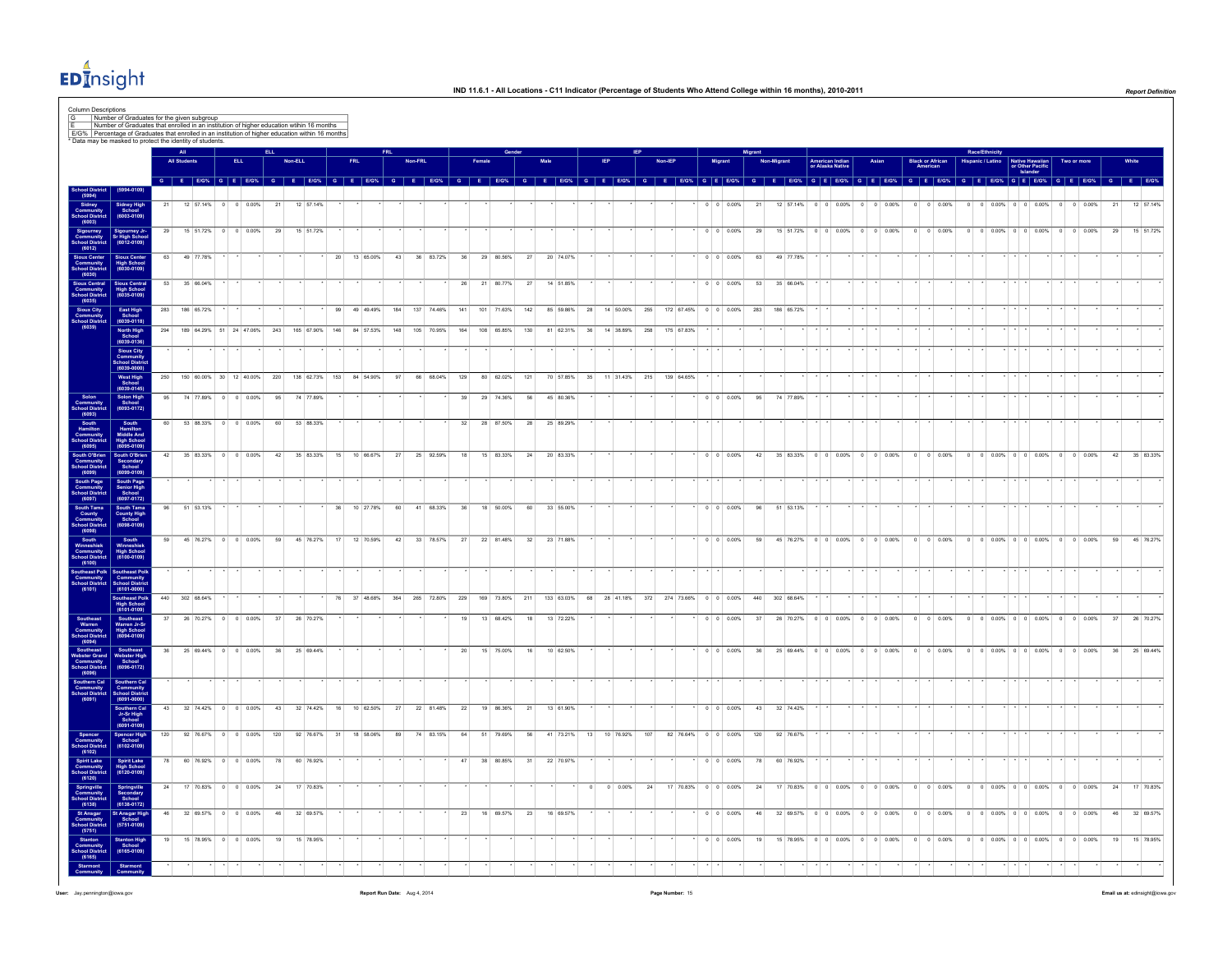

| <b>Column Descriptions</b>                                                                         |                                                                                                                                        |         |                         |                     |            |                                                      |    |                          |     |         |                |          |                |     |                   |    |           |                          |         |            |                                       |                          |     |                |            |                                     |                               |                |                               |                                     |                    |                |                                 |                                                     |                          |              |    |                   |
|----------------------------------------------------------------------------------------------------|----------------------------------------------------------------------------------------------------------------------------------------|---------|-------------------------|---------------------|------------|------------------------------------------------------|----|--------------------------|-----|---------|----------------|----------|----------------|-----|-------------------|----|-----------|--------------------------|---------|------------|---------------------------------------|--------------------------|-----|----------------|------------|-------------------------------------|-------------------------------|----------------|-------------------------------|-------------------------------------|--------------------|----------------|---------------------------------|-----------------------------------------------------|--------------------------|--------------|----|-------------------|
| ۱G                                                                                                 | Number of Graduates for the given subgroup<br>Number of Graduates that enrolled in an institution of higher education within 16 months |         |                         |                     |            |                                                      |    |                          |     |         |                |          |                |     |                   |    |           |                          |         |            |                                       |                          |     |                |            |                                     |                               |                |                               |                                     |                    |                |                                 |                                                     |                          |              |    |                   |
| E/G% Percentage of Graduates that enrolled in an institution of higher education within 16 months  |                                                                                                                                        |         |                         |                     |            |                                                      |    |                          |     |         |                |          |                |     |                   |    |           |                          |         |            |                                       |                          |     |                |            |                                     |                               |                |                               |                                     |                    |                |                                 |                                                     |                          |              |    |                   |
| * Data may be masked to protect the identity of students                                           |                                                                                                                                        |         |                         |                     |            |                                                      |    |                          |     |         |                |          |                |     |                   |    |           |                          |         |            |                                       |                          |     |                |            |                                     |                               |                |                               |                                     |                    |                | Race/Ethnicity                  |                                                     |                          |              |    |                   |
|                                                                                                    |                                                                                                                                        |         | <b>All Students</b>     | <b>ELL</b>          |            | Non-ELL                                              |    | <b>FRL</b>               |     | Non-FRL |                |          |                |     | Male              |    |           |                          | Non-IEP |            |                                       | Migrant                  |     |                |            |                                     |                               |                |                               | <b>Black or African</b>             |                    |                |                                 |                                                     |                          |              |    |                   |
|                                                                                                    |                                                                                                                                        |         |                         |                     |            |                                                      |    |                          |     |         |                |          |                |     |                   |    |           |                          |         |            |                                       |                          |     |                |            | American Indian<br>or Alaska Native |                               |                |                               |                                     |                    |                |                                 | Native Hawaiian<br>  or Other Pacific<br>  Islander |                          |              |    |                   |
|                                                                                                    |                                                                                                                                        |         |                         |                     |            | G E E/G% G E E/G% G E E/G% G E E/G% G E E/G%         |    |                          |     |         |                | $\alpha$ | E E/G%         |     | G E E/G% G E E/G% |    |           |                          |         |            | G E E/G% G E E/G%                     |                          |     |                |            |                                     |                               |                |                               | G E E/G% G E E/G% G E E/G% G E E/G% |                    |                | G E E/G% G E E/G% G E E/G%      |                                                     |                          |              |    | $E \parallel E$ / |
|                                                                                                    | 994-0109                                                                                                                               |         |                         |                     |            |                                                      |    |                          |     |         |                |          |                |     |                   |    |           |                          |         |            |                                       |                          |     |                |            |                                     |                               |                |                               |                                     |                    |                |                                 |                                                     |                          |              |    |                   |
|                                                                                                    |                                                                                                                                        | 21      | 12 57.14%               | $0 \t 0 \t 0.00\%$  | 21         | 12 57.14%                                            |    |                          |     |         |                |          |                |     |                   |    |           |                          |         |            |                                       | $0 \t 0 \t 0.00\%$       | 21  |                |            |                                     | 12 57.14% 0 0 0.00%           |                | $0 \t 0 \t 0.00\%$            |                                     | $0 \t 0 \t 0.00\%$ | $\circ$        | $0$ 0.00% 0 0 0.00%             |                                                     | $0 \t 0 \t 0.00\%$       |              | 21 | 12 57.14%         |
|                                                                                                    | Sidney High<br>School<br>(6003-0109)                                                                                                   |         |                         |                     |            |                                                      |    |                          |     |         |                |          |                |     |                   |    |           |                          |         |            |                                       |                          |     |                |            |                                     |                               |                |                               |                                     |                    |                |                                 |                                                     |                          |              |    |                   |
|                                                                                                    |                                                                                                                                        | 29      | 15 51.72%               | $0 \ 0 \ 0.00\%$    | 29         | 15 51.72%                                            |    |                          |     |         |                |          |                |     |                   |    |           |                          |         |            |                                       | $0 \t 0 \t 0.00\%$       | 29  |                |            |                                     |                               |                | 15 51.72% 0 0 0.00% 0 0 0.00% |                                     | $0$ 0 0.00%        |                | $0$ 0 0.00% 0 0 0.00%           |                                                     | $0 \t 0 \t 0.00\%$       |              | 29 | 15 51.72%         |
|                                                                                                    | Sigourney Jr-<br>Sr High Schoo<br>(6012-0109)                                                                                          |         |                         |                     |            |                                                      |    |                          |     |         |                |          |                |     |                   |    |           |                          |         |            |                                       |                          |     |                |            |                                     |                               |                |                               |                                     |                    |                |                                 |                                                     |                          |              |    |                   |
|                                                                                                    |                                                                                                                                        |         | 49 77.78%               |                     |            |                                                      |    | 20 13 65.00%             |     |         | 36 83.72%      |          |                |     | 20 74.07%         |    |           |                          |         |            |                                       | $0 \quad 0 \quad 0.00\%$ |     |                | 49 77.78%  |                                     |                               |                |                               |                                     |                    |                |                                 |                                                     |                          |              |    |                   |
|                                                                                                    | Sioux Cente<br>High Schoo                                                                                                              | 63      |                         |                     |            |                                                      |    |                          | 43  |         |                | 36       | 29 80.56%      | 27  |                   |    |           |                          |         |            |                                       |                          | 63  |                |            |                                     |                               |                |                               |                                     |                    |                |                                 |                                                     |                          |              |    |                   |
|                                                                                                    |                                                                                                                                        |         |                         |                     |            |                                                      |    |                          |     |         |                |          |                |     |                   |    |           |                          |         |            |                                       |                          |     |                |            |                                     |                               |                |                               |                                     |                    |                |                                 |                                                     |                          |              |    |                   |
|                                                                                                    | Sioux Central<br>High School<br>(6035-0109)                                                                                            | 53      | 35 66.04%               |                     |            |                                                      |    |                          |     |         |                | 26       | 21 80.77%      | 27  | 14 51.85%         |    |           |                          |         |            |                                       | $0 \t 0 \t 0.00\%$       | 53  |                | 35 66.04%  |                                     |                               |                |                               |                                     |                    |                |                                 |                                                     |                          |              |    |                   |
|                                                                                                    |                                                                                                                                        |         |                         |                     |            |                                                      |    |                          |     |         |                |          |                |     |                   |    |           |                          |         |            |                                       |                          |     |                |            |                                     |                               |                |                               |                                     |                    |                |                                 |                                                     |                          |              |    |                   |
| Sioux City<br>Community<br>chool Distric                                                           | East High<br>School<br>(6039-0118)                                                                                                     | 283     | 186 65.72%              |                     |            |                                                      | 99 | 49 49.49%                | 184 |         | 137 74.46%     | 141      | 101 71.63%     | 142 | 85 59.86%         | 28 | 14 50.00% |                          | 255     |            | 172 67.45% 0 0 0.00%                  |                          | 283 |                | 186 65.72% |                                     |                               |                |                               |                                     |                    |                |                                 |                                                     |                          |              |    |                   |
|                                                                                                    |                                                                                                                                        |         |                         |                     |            |                                                      |    |                          |     |         |                |          |                |     |                   |    |           |                          |         |            |                                       |                          |     |                |            |                                     |                               |                |                               |                                     |                    |                |                                 |                                                     |                          |              |    |                   |
|                                                                                                    | North High<br>School<br>(6039-0136)                                                                                                    | 294     | 189 64.29% 51 24 47.06% |                     | 243        |                                                      |    | 165 67.90% 146 84 57.53% | 148 |         | 105 70.95%     | 164      | 108 65.85%     | 130 | 81 62.31%         | 36 | 14 38.89% |                          | 258     | 175 67.83% |                                       |                          |     |                |            |                                     |                               |                |                               |                                     |                    |                |                                 |                                                     |                          |              |    |                   |
|                                                                                                    |                                                                                                                                        |         |                         |                     |            |                                                      |    |                          |     |         |                |          |                |     |                   |    |           |                          |         |            |                                       |                          |     |                |            |                                     |                               |                |                               |                                     |                    |                |                                 |                                                     |                          |              |    |                   |
|                                                                                                    | Sioux City<br>Community<br>School Distrie<br>(6039-0000)                                                                               |         |                         |                     |            |                                                      |    |                          |     |         |                |          |                |     |                   |    |           |                          |         |            |                                       |                          |     |                |            |                                     |                               |                |                               |                                     |                    |                |                                 |                                                     |                          |              |    |                   |
|                                                                                                    |                                                                                                                                        | 250     |                         |                     |            | 150 60.00% 30 12 40.00% 220 138 62.73% 153 84 54.90% |    |                          | 97  |         | 66 68.04%      | 129      | 80 62.02%      | 121 | 70 57.85%         | 35 |           | 11 31.43% 215 139 64.65% |         |            |                                       |                          |     |                |            |                                     |                               |                |                               |                                     |                    |                |                                 |                                                     |                          |              |    |                   |
|                                                                                                    | West High<br>School<br>(6039-0145)                                                                                                     |         |                         |                     |            |                                                      |    |                          |     |         |                |          |                |     |                   |    |           |                          |         |            |                                       |                          |     |                |            |                                     |                               |                |                               |                                     |                    |                |                                 |                                                     |                          |              |    |                   |
|                                                                                                    | Solon High<br>School<br>(6093-0172)                                                                                                    | 95      | 74 77.89% 0 0 0.00%     |                     | 95         | 74 77.89%                                            |    |                          |     |         |                | 39       | 29 74.36%      | 56  | 45 80.36%         |    |           |                          |         |            |                                       | $0 \t 0 \t 0.00\%$       | 95  |                | 74 77.89%  |                                     |                               |                |                               |                                     |                    |                |                                 |                                                     |                          |              |    |                   |
| Solon<br>Communit<br>chool Dist<br>(6093)                                                          |                                                                                                                                        |         |                         |                     |            |                                                      |    |                          |     |         |                |          |                |     |                   |    |           |                          |         |            |                                       |                          |     |                |            |                                     |                               |                |                               |                                     |                    |                |                                 |                                                     |                          |              |    |                   |
|                                                                                                    |                                                                                                                                        | 60      | 53 88.33% 0 0 0.00%     |                     | 60         | 53 88.33%                                            |    |                          |     |         |                | 32       | 28 87.50%      | 28  | 25 89.29%         |    |           |                          |         |            |                                       |                          |     |                |            |                                     |                               |                |                               |                                     |                    |                |                                 |                                                     |                          |              |    |                   |
| South<br>Hamilton<br>Communit                                                                      | South<br>Hamilton<br>Middle And                                                                                                        |         |                         |                     |            |                                                      |    |                          |     |         |                |          |                |     |                   |    |           |                          |         |            |                                       |                          |     |                |            |                                     |                               |                |                               |                                     |                    |                |                                 |                                                     |                          |              |    |                   |
|                                                                                                    | High School<br>(6095-0109                                                                                                              |         |                         |                     |            |                                                      |    |                          |     |         |                |          |                |     |                   |    |           |                          |         |            |                                       |                          |     |                |            |                                     |                               |                |                               |                                     |                    |                |                                 |                                                     |                          |              |    |                   |
| outh O'Brit                                                                                        | South O'Bri                                                                                                                            | 42      | 35 83.33% 0 0 0.00%     |                     | 42         | 35 83.33%                                            |    | 15 10 66.67%             | 27  |         | 25 92.59%      | 18       | 15 83.33%      | 24  | 20 83.33%         |    |           |                          |         |            |                                       | $0 \quad 0 \quad 0.00\%$ | 42  |                |            |                                     | 35 83.33% 0 0 0.00% 0 0 0.00% |                |                               |                                     | $0 \t 0 \t 0.00\%$ |                | $0$ 0 0.00% 0 0 0.00% 0 0 0.00% |                                                     |                          |              | 42 | 35 83.33%         |
|                                                                                                    | Secondary<br>School<br>(6099-0109)                                                                                                     |         |                         |                     |            |                                                      |    |                          |     |         |                |          |                |     |                   |    |           |                          |         |            |                                       |                          |     |                |            |                                     |                               |                |                               |                                     |                    |                |                                 |                                                     |                          |              |    |                   |
|                                                                                                    |                                                                                                                                        |         |                         |                     |            |                                                      |    |                          |     |         |                |          |                |     |                   |    |           |                          |         |            |                                       |                          |     |                |            |                                     |                               |                |                               |                                     |                    |                |                                 |                                                     |                          |              |    |                   |
|                                                                                                    | South Page<br>Senior High<br>School<br>(6097-0172)                                                                                     |         |                         |                     |            |                                                      |    |                          |     |         |                |          |                |     |                   |    |           |                          |         |            |                                       |                          |     |                |            |                                     |                               |                |                               |                                     |                    |                |                                 |                                                     |                          |              |    |                   |
|                                                                                                    |                                                                                                                                        | 96      | 51 53.13%               |                     |            |                                                      | 36 | 10 27.78%                | 60  |         | 41 68.33%      | 36       | 18 50.00%      | 60  | 33 55.00%         |    |           |                          |         |            |                                       | $0 \t 0 \t 0.00\%$       | 96  |                | 51 53.13%  |                                     |                               |                |                               |                                     |                    |                |                                 |                                                     |                          |              |    |                   |
|                                                                                                    | South Tama<br>County High<br>School<br>(6098-0109)                                                                                     |         |                         |                     |            |                                                      |    |                          |     |         |                |          |                |     |                   |    |           |                          |         |            |                                       |                          |     |                |            |                                     |                               |                |                               |                                     |                    |                |                                 |                                                     |                          |              |    |                   |
|                                                                                                    |                                                                                                                                        |         |                         |                     |            |                                                      |    |                          |     |         |                |          |                |     |                   |    |           |                          |         |            |                                       |                          |     |                |            |                                     |                               |                |                               |                                     |                    |                |                                 |                                                     |                          |              |    |                   |
|                                                                                                    | South<br>Winneshie<br>High Schot<br>(6100-0109                                                                                         | 59      | 45 76.27%               | $0 \t 0 \t 0.00\%$  | 59         | 45 76.27%                                            | 17 | 12 70.59%                | 42  |         | 33 78.57%      | 27       | 22 81.48%      | 32  | 23 71.88%         |    |           |                          |         |            |                                       | $0 \t 0 \t 0.00\%$       | 59  |                | 45 76.27%  |                                     | $0 \t 0 \t 0.00%$             | $\circ$        | $0 - 0.00%$                   |                                     | $0 \t 0 \t 0.00\%$ | $\circ$        | $0 \t0.00\%$ 0 0 0.00%          |                                                     | $0 \t 0 \t 0.00\%$       |              | 59 | 45 76.27%         |
|                                                                                                    |                                                                                                                                        |         |                         |                     |            |                                                      |    |                          |     |         |                |          |                |     |                   |    |           |                          |         |            |                                       |                          |     |                |            |                                     |                               |                |                               |                                     |                    |                |                                 |                                                     |                          |              |    |                   |
|                                                                                                    | utheast Po                                                                                                                             |         |                         |                     |            |                                                      |    |                          |     |         |                |          |                |     |                   |    |           |                          |         |            |                                       |                          |     |                |            |                                     |                               |                |                               |                                     |                    |                |                                 |                                                     |                          |              |    |                   |
|                                                                                                    | Community<br>Community<br>(6101-0000)                                                                                                  |         |                         |                     |            |                                                      |    |                          |     |         |                |          |                |     |                   |    |           |                          |         |            |                                       |                          |     |                |            |                                     |                               |                |                               |                                     |                    |                |                                 |                                                     |                          |              |    |                   |
|                                                                                                    |                                                                                                                                        |         | 440 302 68.64%          |                     |            |                                                      |    | 76 37 48 68%             |     |         | 364 265 72.80% | 229      | 169 73.80% 211 |     | 133 63.03%        |    |           |                          |         |            | 68 28 41.18% 372 274 73.66% 0 0 0.00% |                          |     | 440 302 68.64% |            |                                     |                               |                |                               |                                     |                    |                |                                 |                                                     |                          |              |    |                   |
|                                                                                                    | Southeast Polk<br>High School<br>(6101-0109)                                                                                           |         |                         |                     |            |                                                      |    |                          |     |         |                |          |                |     |                   |    |           |                          |         |            |                                       |                          |     |                |            |                                     |                               |                |                               |                                     |                    |                |                                 |                                                     |                          |              |    |                   |
|                                                                                                    | Southeast<br>Warren Jr-Sr<br>High School<br>(6094-0109)                                                                                | 37      | 26 70.27% 0 0 0.00%     |                     | 37         | 26 70.27%                                            |    |                          |     |         |                | 19       | 13 68.42%      | 18  | 13 72.22%         |    |           |                          |         |            |                                       | $0 \t 0 \t 0.00%$        | 37  |                |            |                                     | 26 70.27% 0 0 0.00% 0 0 0.00% |                |                               |                                     | $0 \t 0 \t 0.00\%$ |                | $0$ 0 0.00% 0 0 0.00% 0 0 0.00% |                                                     |                          |              | 37 | 26 70.27%         |
|                                                                                                    |                                                                                                                                        |         |                         |                     |            |                                                      |    |                          |     |         |                |          |                |     |                   |    |           |                          |         |            |                                       |                          |     |                |            |                                     |                               |                |                               |                                     |                    |                |                                 |                                                     |                          |              |    |                   |
|                                                                                                    |                                                                                                                                        | 36      | 25 69.44% 0 0 0.00%     |                     | 36         | 25 69.44%                                            |    |                          |     |         |                | 20       | 15 75.00%      | 16  | 10 62.50%         |    |           |                          |         |            |                                       | $0 \t 0 \t 0.00\%$       | 36  |                |            |                                     | 25 69.44% 0 0 0.00%           | $\circ$        | $0 - 0.00%$                   |                                     | $0$ 0 0.00%        | $\circ$        | $0$ 0.00% 0 0 0.00%             |                                                     | $0 \t 0 \t 0.00\%$       |              | 36 | 25 69.44%         |
|                                                                                                    | Southeast<br>Webster High                                                                                                              |         |                         |                     |            |                                                      |    |                          |     |         |                |          |                |     |                   |    |           |                          |         |            |                                       |                          |     |                |            |                                     |                               |                |                               |                                     |                    |                |                                 |                                                     |                          |              |    |                   |
|                                                                                                    | School<br>(6096-0172)                                                                                                                  |         |                         |                     |            |                                                      |    |                          |     |         |                |          |                |     |                   |    |           |                          |         |            |                                       |                          |     |                |            |                                     |                               |                |                               |                                     |                    |                |                                 |                                                     |                          |              |    |                   |
| m Cal                                                                                              | Southern Cal<br>Community                                                                                                              |         |                         |                     |            |                                                      |    |                          |     |         |                |          |                |     |                   |    |           |                          |         |            |                                       |                          |     |                |            |                                     |                               |                |                               |                                     |                    |                |                                 |                                                     |                          |              |    |                   |
|                                                                                                    | chool Distri                                                                                                                           |         |                         |                     |            |                                                      |    |                          |     |         |                |          |                |     |                   |    |           |                          |         |            |                                       |                          |     |                |            |                                     |                               |                |                               |                                     |                    |                |                                 |                                                     |                          |              |    |                   |
|                                                                                                    |                                                                                                                                        | 43      | 32 74.42% 0 0 0.00%     |                     | 43         | 32 74.42%                                            | 16 | 10 62.50%                | 27  |         | 22 81.48%      | 22       | 19 86.36%      | 21  | 13 61.90%         |    |           |                          |         |            |                                       | $0 \quad 0 \quad 0.00\%$ | 43  |                | 32 74.42%  |                                     |                               |                |                               |                                     |                    |                |                                 |                                                     |                          |              |    |                   |
|                                                                                                    | Southern Cal<br>Jr-Sr High<br>School<br>(6091-0109)                                                                                    |         |                         |                     |            |                                                      |    |                          |     |         |                |          |                |     |                   |    |           |                          |         |            |                                       |                          |     |                |            |                                     |                               |                |                               |                                     |                    |                |                                 |                                                     |                          |              |    |                   |
|                                                                                                    |                                                                                                                                        | $120\,$ | 92 76.67% 0 0 0.00%     |                     | $120\,$    | 92 76.67%                                            | 31 | 18 58.06%                | 89  |         | 74 83.15%      | 64       | 51 79.69%      | 56  | 41 73.21%         | 13 | 10 76.92% |                          | 107     | 82 76.64%  |                                       | $0 \t 0 \t 0.00\%$       | 120 |                | 92 76.67%  |                                     |                               |                |                               |                                     |                    |                |                                 |                                                     |                          |              |    |                   |
| Spencer<br>Community<br>Chool Distrii<br>(6102)<br>Spirit Lake<br>Community<br>(6120)<br>(6120)    | Spencer High<br>School<br>(6102-0109)                                                                                                  |         |                         |                     |            |                                                      |    |                          |     |         |                |          |                |     |                   |    |           |                          |         |            |                                       |                          |     |                |            |                                     |                               |                |                               |                                     |                    |                |                                 |                                                     |                          |              |    |                   |
|                                                                                                    |                                                                                                                                        | 78      | 60 76.92% 0 0 0.00%     |                     | 78         | 60 76.92%                                            |    |                          |     |         |                | A7       | 38 80.85%      | 31  | 22 70.97%         |    |           |                          |         |            |                                       | $0 \t 0 \t 0.00\%$       | 78  |                | 60 76.92%  |                                     |                               |                |                               |                                     |                    |                |                                 |                                                     |                          |              |    |                   |
|                                                                                                    | Spirit Lake<br>High School<br>(6120-0109)                                                                                              |         |                         |                     |            |                                                      |    |                          |     |         |                |          |                |     |                   |    |           |                          |         |            |                                       |                          |     |                |            |                                     |                               |                |                               |                                     |                    |                |                                 |                                                     |                          |              |    |                   |
|                                                                                                    |                                                                                                                                        | 24      | 17 70.83%               | $0$ 0 0.00%         |            | 17 70.83%                                            |    |                          |     |         |                |          |                |     |                   |    |           | $0 - 0.00%$              | 24      | 17 70.83%  |                                       | $0 \t 0 \t 0.00%$        | 24  |                | 17 70.83%  |                                     | $0 \t 0 \t 0.00\%$            | $\overline{0}$ | $0 - 0.00%$                   |                                     | $0 \t 0 \t 0.00\%$ | $\overline{0}$ | $0$ 0.00% 0 0 0.00%             |                                                     | $\overline{\phantom{a}}$ | $0 \ 0.00\%$ | 24 | 17 70.83%         |
|                                                                                                    | Springville<br>Secondary<br>School<br>(6138-0172)                                                                                      |         |                         |                     | ${\bf 24}$ |                                                      |    |                          |     |         |                |          |                |     |                   |    |           |                          |         |            |                                       |                          |     |                |            |                                     |                               |                |                               |                                     |                    |                |                                 |                                                     |                          |              |    |                   |
|                                                                                                    |                                                                                                                                        |         |                         |                     |            |                                                      |    |                          |     |         |                |          |                |     |                   |    |           |                          |         |            |                                       |                          |     |                |            |                                     |                               |                |                               |                                     |                    |                |                                 |                                                     |                          |              |    |                   |
|                                                                                                    | St Ansgar High<br>School<br>(5751-0109)                                                                                                | 46      | 32 69.57% 0 0 0.00%     |                     | 46         | 32 69.57%                                            |    |                          |     |         |                | 23       | 16 69.57%      | 23  | 16 69.57%         |    |           |                          |         |            |                                       | $0 \t 0 \t 0.00\%$       | 46  |                |            |                                     | 32 69.57% 0 0 0.00% 0 0 0.00% |                |                               |                                     | $0 \t 0 \t 0.00\%$ |                | $0$ 0 0.00% 0 0 0.00% 0 0 0.00% |                                                     |                          |              | 46 | 32 69.57%         |
| Springville<br>Community<br>Community<br>(6138)<br>St Ansgar<br>Community<br>Chool Distr<br>(5751) |                                                                                                                                        |         |                         |                     |            |                                                      |    |                          |     |         |                |          |                |     |                   |    |           |                          |         |            |                                       |                          |     |                |            |                                     |                               |                |                               |                                     |                    |                |                                 |                                                     |                          |              |    |                   |
|                                                                                                    | Stanton High<br>School<br>(6165-0109)                                                                                                  | 19      |                         | 15 78.95% 0 0 0.00% | 19         | 15 78.95%                                            |    |                          |     |         |                |          |                |     |                   |    |           |                          |         |            |                                       | $0 \t 0 \t 0.00\%$       | 19  |                |            |                                     | 15 78.95% 0 0 0.00% 0 0 0.00% |                |                               |                                     | $0 \t 0 \t 0.00\%$ |                | $0 \t 0 \t 0.00\%$ 0 0 0 0.00%  |                                                     | $0 \t 0 \t 0.00\%$       |              | 19 | 15 78.95%         |
|                                                                                                    |                                                                                                                                        |         |                         |                     |            |                                                      |    |                          |     |         |                |          |                |     |                   |    |           |                          |         |            |                                       |                          |     |                |            |                                     |                               |                |                               |                                     |                    |                |                                 |                                                     |                          |              |    |                   |
|                                                                                                    |                                                                                                                                        |         |                         |                     |            |                                                      |    |                          |     |         |                |          |                |     |                   |    |           |                          |         |            |                                       |                          |     |                |            |                                     |                               |                |                               |                                     |                    |                |                                 |                                                     |                          |              |    |                   |
|                                                                                                    |                                                                                                                                        |         |                         |                     |            |                                                      |    |                          |     |         |                |          |                |     |                   |    |           |                          |         |            |                                       |                          |     |                |            |                                     |                               |                |                               |                                     |                    |                |                                 |                                                     |                          |              |    |                   |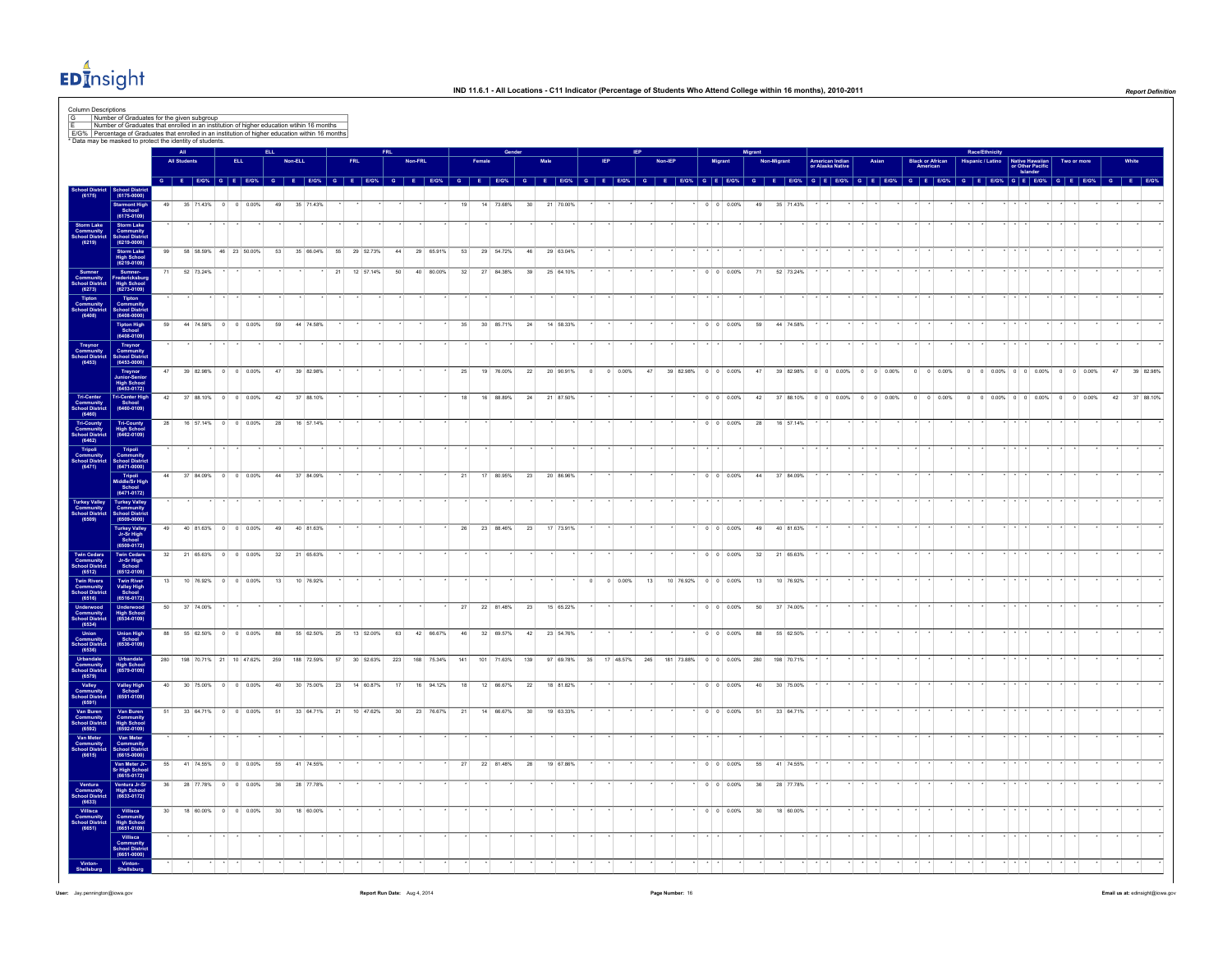

Column Descriptions<br>
G\_\_\_ Number of ( Number of Graduates for the given subgroup E Number of Graduates that enrolled in an institution of higher education wtihin 16 months E/G% Percentage of Graduates that enrolled in an institution of higher education within 16 months \* Data may be masked to protect the identity of students. **All ELL FRL Gender IEP Migrant Race/Ethnicity All Students ELL Non-ELL FRL Non-FRL Female Male IEP Non-IEP Migrant Non-Migrant American Indian American Indian<br>
or Alaska Native Asian Black or African American Hispanic / Latino Native Hawaiian**<br> **or Other Pacific**<br> **Islander Two or more White** <u>a e jedwo je jedwo je jedwo je jedwo je jedwo je jedwoje jedwoje jedwoje jedwoje jedwoje jedwoje jedwoje jedwoje jedwoje jedwoje jedwoje jedwoje jedwoje jedwoje jedwoje jedwoje jedwoje jedwoje jedwoje jedwoje jedwoje jedw</u> **School District (6175) School District (6175-0000) Starmont High School (6175-0109)** 49 35 71.43% 0 0 0.00% 49 35 71.43% \* \* \* \* \* \* 19 14 73.68% 30 21 70.00% \* \* \* \* \* \* 0 0 0.00% 49 35 71.43% \* \* \* \* \* \* \* \* \* \* \* \* \* \* \* \* \* \* \* \* \* **Storm Lake Community School District (6219) Storm Lake Community School District (6219-0000)** \* \* \* \* \* \* \* \* \* \* \* \* \* \* \* \* \* \* \* \* \* \* \* \* \* \* \* \* \* \* \* \* \* \* \* \* \* \* \* \* \* \* \* \* \* \* \* \* \* \* \* \* \* \* **Storm Lake High School (6219-0109)** 99 58 58.59% 46 23 50.00% 53 35 66.04% 55 29 52.73% 44 29 65.91% 53 29 54.72% 46 29 63.04% \* \* \* \* \* \* \* \* \* \* \* \* \* \* \* \* \* \* \* \* \* \* \* \* \* \* \* \* \* \* \* \* \* **Sumner Community School District (6273) Sumner-Fredericksburg High School (6273-0109)** 71 52 73.24% \* \* \* \* \* \* 21 12 57.14% 50 40 80.00% 32 27 84.38% 39 25 64.10% \* \* \* \* \* \* 0 0 0.00% 71 52 73.24% \* \* \* \* \* \* \* \* \* \* \* \* \* \* \* \* \* \* \* \* \* **Tipton Community School District (6408) Tipton Community School District (6408-0000)** \* \* \* \* \* \* \* \* \* \* \* \* \* \* \* \* \* \* \* \* \* \* \* \* \* \* \* \* \* \* \* \* \* \* \* \* \* \* \* \* \* \* \* \* \* \* \* \* \* \* \* \* \* \* **Tipton High School (6408-0109)** 59 44 74.58% 0 0 0.00% 59 44 74.58% \* \* \* \* \* \* 35 30 85.71% 24 14 58.33% \* \* \* \* \* \* 0 0 0.00% 59 44 74.58% \* \* \* \* \* \* \* \* \* \* \* \* \* \* \* \* \* \* \* \* \* **Treynor Community School District (6453) Treynor Community School District (6453-0000)** \* \* \* \* \* \* \* \* \* \* \* \* \* \* \* \* \* \* \* \* \* \* \* \* \* \* \* \* \* \* \* \* \* \* \* \* \* \* \* \* \* \* \* \* \* \* \* \* \* \* \* \* \* \* **Treynor Junior-Senior High School (6453-0172)** 47 39 82.98% 0 0 0 0.00% 47 39 82.98% \* \* \* \* \* \* \* 1 \* 1 \* 1 25 19 76.00% 22 20 90.91% 0 0 0.00% 47 39 82.98% 0 0 0.00% 47 39 82.98% 0 0 0.00% 0 0 0.00% 0 0 0.00% 0 0 0.00% 0 0 0.00% 0 0 0.00% 0 0 0.00% 0 0 0.00% 0 0 0.00 **Tri-Center Community School District (6460) Tri-Center High School (6460-0109)** 42 37 88.10% 0 0 0.00% 42 37 88.10% \* \* \* \* \* \* 18 18 88.89% 24 21 87.50% \* \* \* \* \* 1 \* 1 0 0 0.00% 42 37 88.10% 0 0 0.00% 0 0 0.00% 0 0 0.00% 0 0 0.00% 0 0 0.00% 0 0 0.00% 0 0 0.00% 0 0 0.00% 0 0 0.00% 42 37 88.10% **Tri-County Community School District (6462) Tri-County High School (6462-0109)** 28 16 57.14% 0 0 0.00% 28 16 57.14% \* \* \* \* \* \* \* \* \* \* \* \* \* \* \* \* \* \* 0 0 0.00% 28 16 57.14% \* \* \* \* \* \* \* \* \* \* \* \* \* \* \* \* \* \* \* \* \* **Tripoli Community School District (6471) Tripoli Community School District (6471-0000)** \* \* \* \* \* \* \* \* \* \* \* \* \* \* \* \* \* \* \* \* \* \* \* \* \* \* \* \* \* \* \* \* \* \* \* \* \* \* \* \* \* \* \* \* \* \* \* \* \* \* \* \* \* \* **Tripoli Middle/Sr High School (6471-0172)** 44 37 84.09% 0 0 0.00% 44 37 84.09% \* \* \* \* \* \* 21 17 80.95% 23 20 86.96% \* \* \* \* \* \* 0 0 0.00% 44 37 84.09% \* \* \* \* \* \* \* \* \* \* \* \* \* \* \* \* \* \* \* \* \* **Turkey Valley Community School District (6509) Turkey Valley Community School District (6509-0000)** \* \* \* \* \* \* \* \* \* \* \* \* \* \* \* \* \* \* \* \* \* \* \* \* \* \* \* \* \* \* \* \* \* \* \* \* \* \* \* \* \* \* \* \* \* \* \* \* \* \* \* \* \* \* **Turkey Valley Jr-Sr High School (6509-0172)** 49 40 81.63% 0 0 0.00% 49 40 81.63% \* \* \* \* \* \* 26 23 88.46% 23 17 73.91% \* \* \* \* \* \* 0 0 0.00% 49 40 81.63% \* \* \* \* \* \* \* \* \* \* \* \* \* \* \* \* \* \* \* \* \* **Twin Cedars Community School District (6512) Twin Cedars Jr-Sr High School (6512-0109)** 32 21 65.63% 0 0 0.00% 32 21 65.63% \* \* \* \* \* \* \* \* \* \* \* \* \* \* \* \* \* \* 0 0 0.00% 32 21 65.63% \* \* \* \* \* \* \* \* \* \* \* \* \* \* \* \* \* \* \* \* \* **Twin Rivers Community School District (6516) Twin River Valley High School (6516-0172)** 13 10 76.92% 0 0 0.00% 13 10 76.92% \* \* \* \* \* \* \* \* \* \* \* \* 0 0 0.00% 13 10 76.92% 0 0 0.00% 13 10 76.92% \* \* \* \* \* \* \* \* \* \* \* \* \* \* \* \* \* \* \* \* \* **Underwood Community School District (6534) Underwood High School (6534-0109)** 50 37 74.00% \* \* \* \* \* \* \* \* \* \* \* \* 27 22 81.48% 23 15 65.22% \* \* \* \* \* \* 0 0 0.00% 50 37 74.00% \* \* \* \* \* \* \* \* \* \* \* \* \* \* \* \* \* \* \* \* \* **Union Community School District (6536) Union High School (6536-0109)** 88 55 62.50% 0 0 0.00% 88 55 62.50% 25 13 52.00% 63 42 66.67% 46 32 69.57% 42 23 54.76% \* \* \* \* \* \* 0 0 0.00% 88 55 62.50% \* \* \* \* \* \* \* \* \* \* \* \* \* \* \* \* \* \* \* \* \* **Urbandale Community School District (6579) Urbandale High School (6579-0109)** 280 198 70.71% 21 10 47.62% 259 188 72.59% 57 30 52.63% 223 168 75.34% 141 101 71.63% 139 97 69.78% 35 17 48.57% 245 181 73.88% 0 0 0.00% 280 198 70.71% \* \* \* \* \* \* \* \* \* \* \* \* \* \* \* \* \* \* \* \* \* **Valley Community School District (6591) Valley High School (6591-0109)** 40 30 75.00% 0 0 0.00% 40 30 75.00% 23 14 60.87% 17 16 94.12% 18 12 66.67% 22 18 81.82% \* \* \* \* \* \* 0 0 0.00% 40 30 75.00% \* \* \* \* \* \* \* \* \* \* \* \* \* \* \* \* \* \* \* \* \* **Van Buren Community School District (6592) Van Buren**<br>Community **High School**<br>(6592-0109) 51 33 64.71% 0 0 0.00% 51 33 64.71% 21 10 47.62% 30 23 76.67% 21 14 66.67% 30 19 63.33% \* \* \* \* \* \* 0 0 0.00% 51 33 64.71% \* \* \* \* \* \* \* \* \* \* \* \* \* \* \* \* \* \* \* \* \* **Van Meter Community School District (6615) Van Meter Community School District (6615-0000)** \* \* \* \* \* \* \* \* \* \* \* \* \* \* \* \* \* \* \* \* \* \* \* \* \* \* \* \* \* \* \* \* \* \* \* \* \* \* \* \* \* \* \* \* \* \* \* \* \* \* \* \* \* \* **Van Meter Jr- Sr High School (6615-0172)** 55 41 74.55% 0 0 0.00% 55 41 74.55% \* \* \* \* \* \* 27 22 81.48% 28 19 67.86% \* \* \* \* \* \* 0 0 0.00% 55 41 74.55% \* \* \* \* \* \* \* \* \* \* \* \* \* \* \* \* \* \* \* \* \* **Ventura Community School District (6633) Ventura Jr-Sr High School (6633-0172)** 36 28 77.78% 0 0 0.00% 36 28 77.78% \* \* \* \* \* \* \* \* \* \* \* \* \* \* \* \* \* \* 0 0 0.00% 36 28 77.78% \* \* \* \* \* \* \* \* \* \* \* \* \* \* \* \* \* \* \* \* \* **Villisca Community School District (6651) Villisca Community High School (6651-0109)** 30 18 60.00% 0 0 0.00% 30 18 60.00% \* \* \* \* \* \* \* \* \* \* \* \* \* \* \* \* \* \* 0 0 0.00% 30 18 60.00% \* \* \* \* \* \* \* \* \* \* \* \* \* \* \* \* \* \* \* \* \* **Villisca<br>Community**<br>School District **(6651-0000)** \* \* \* \* \* \* \* \* \* \* \* \* \* \* \* \* \* \* \* \* \* \* \* \* \* \* \* \* \* \* \* \* \* \* \* \* \* \* \* \* \* \* \* \* \* \* \* \* \* \* \* \* \* \* **Vinton- Shellsburg Vinton- Shellsburg**  \* \* \* \* \* \* \* \* \* \* \* \* \* \* \* \* \* \* \* \* \* \* \* \* \* \* \* \* \* \* \* \* \* \* \* \* \* \* \* \* \* \* \* \* \* \* \* \* \* \* \* \* \* \*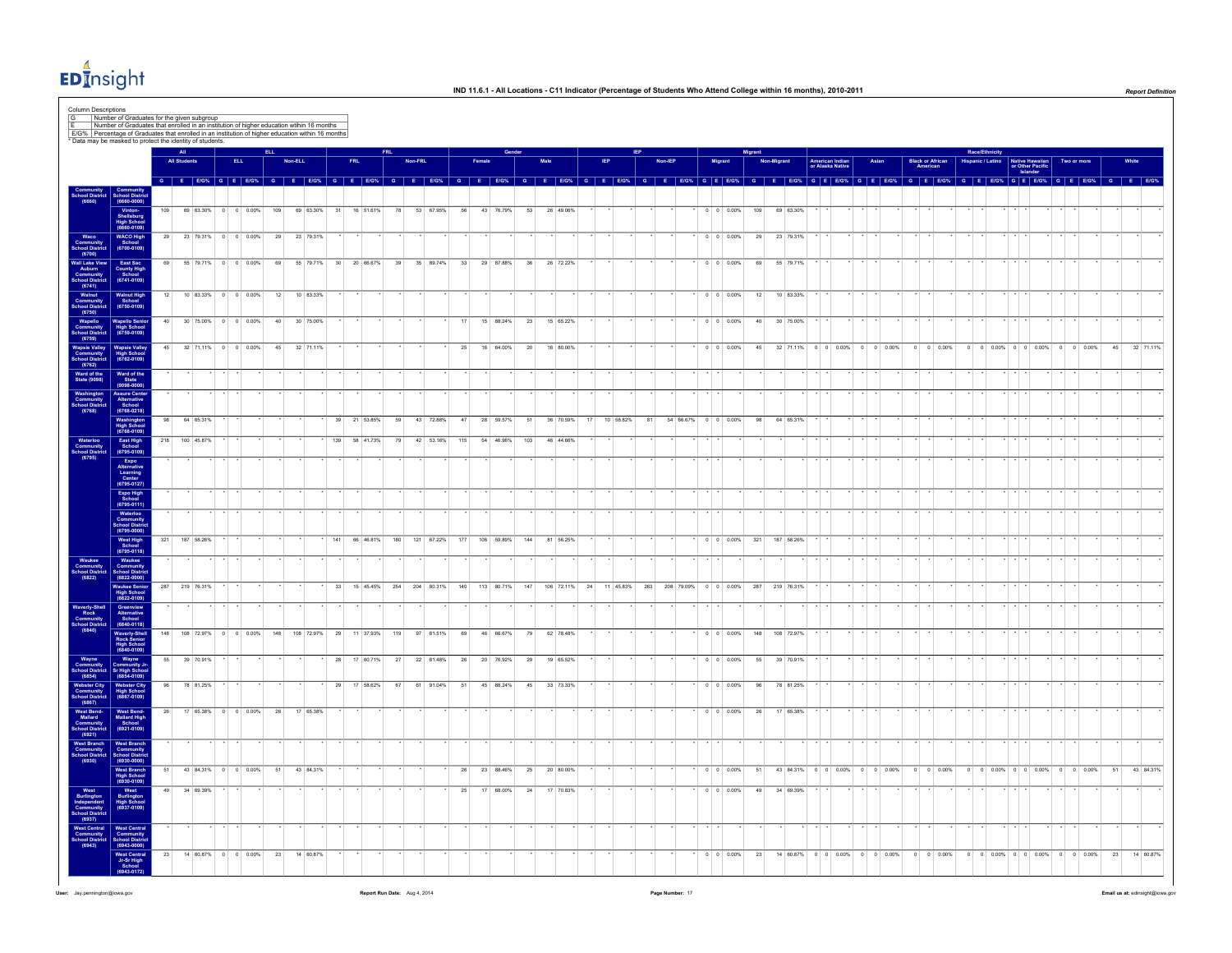

| Column Descriptions<br>$rac{G}{F}$<br>E/G% Percentage of Graduates that enrolled in an institution of higher education within 16 months<br>* Data may be masked to protect the identity of students                                                                                       | Number of Graduates for the given subgroup<br>Number of Graduates that enrolled in an institution of higher education wtihin 16 months |         |                                                                                                                                                                                                                                |            |            |           |           |                 |                                                                                                                |    |         |           |     |           |     |           |           |    |           |         |                     |                          |            |             |           |                                     |  |                               |                                         |                                      |                                            |                                     |                                                                                       |             |    |           |
|-------------------------------------------------------------------------------------------------------------------------------------------------------------------------------------------------------------------------------------------------------------------------------------------|----------------------------------------------------------------------------------------------------------------------------------------|---------|--------------------------------------------------------------------------------------------------------------------------------------------------------------------------------------------------------------------------------|------------|------------|-----------|-----------|-----------------|----------------------------------------------------------------------------------------------------------------|----|---------|-----------|-----|-----------|-----|-----------|-----------|----|-----------|---------|---------------------|--------------------------|------------|-------------|-----------|-------------------------------------|--|-------------------------------|-----------------------------------------|--------------------------------------|--------------------------------------------|-------------------------------------|---------------------------------------------------------------------------------------|-------------|----|-----------|
|                                                                                                                                                                                                                                                                                           |                                                                                                                                        |         | <b>All Students</b>                                                                                                                                                                                                            | <b>ELL</b> |            | Non-ELL   |           |                 | <b>FRL</b>                                                                                                     |    | Non-FRL |           |     |           |     | Male      |           |    |           | Non-IEP |                     | Migrant                  |            | Non-Migrant |           | American Indian<br>or Alaska Native |  | Asian                         |                                         | <b>Black or African<br/>American</b> | Race/Ethnicity<br><b>Hispanic / Latino</b> | Native Hawaiian<br>or Other Pacific |                                                                                       | Two or more |    |           |
|                                                                                                                                                                                                                                                                                           |                                                                                                                                        |         | GEEOS, GEEOS, GEEOS, GEEOS, GEEOS, GEEOS, GEEOS, GEEOS, GEEOS, GEEOS, GEEOS, GEEOS, GEEOS, GEEOS, GEEOS, GEEOS, GEEOS, GEEOS, GEEOS, GEEOS, GEEOS, GEEOS, GEEOS, GEEOS, GEEOS, GEEOS, GEEOS, GEEOS, GEEOS, GEEOS, GEEOS, GEEOS |            |            |           |           |                 |                                                                                                                |    |         |           |     |           |     |           |           |    |           |         |                     |                          |            |             |           |                                     |  |                               |                                         |                                      |                                            |                                     |                                                                                       |             |    |           |
|                                                                                                                                                                                                                                                                                           | Community<br>School Distri<br>(6660-0000)                                                                                              | 109     | 69 63.30% 0 0 0.00%                                                                                                                                                                                                            |            | 109        |           | 69 63.30% | 31              | 16 51.61%                                                                                                      | 78 |         | 53 67.95% | 56  | 43 76.79% | 53  |           | 26 49.06% |    |           |         |                     | $0 \t 0 \t 0.00\%$       | 109        |             | 69 63.30% |                                     |  |                               |                                         |                                      |                                            |                                     |                                                                                       |             |    |           |
|                                                                                                                                                                                                                                                                                           | Vinton-<br>Shellsburg<br>High School<br>(6660-0109)                                                                                    |         |                                                                                                                                                                                                                                |            |            |           |           |                 |                                                                                                                |    |         |           |     |           |     |           |           |    |           |         |                     |                          |            |             |           |                                     |  |                               |                                         |                                      |                                            |                                     |                                                                                       |             |    |           |
|                                                                                                                                                                                                                                                                                           | WACO High<br>School<br>(6700-0109)                                                                                                     | 29      | 23 79.31% 0 0 0.00%                                                                                                                                                                                                            |            | 29         |           | 23 79.31% |                 |                                                                                                                |    |         |           |     |           |     |           |           |    |           |         |                     | $0 \t 0 \t 0.00\%$       | 29         |             | 23 79.31% |                                     |  |                               |                                         |                                      |                                            |                                     |                                                                                       |             |    |           |
|                                                                                                                                                                                                                                                                                           |                                                                                                                                        | 69      | 55 79.71% 0 0 0.00%                                                                                                                                                                                                            |            | 69         |           | 55 79.71% | 30 <sub>1</sub> | 20 66.67%                                                                                                      | 39 |         | 35 89.74% | 33  | 29 87.88% | 36  |           | 26 72.22% |    |           |         |                     | $0\qquad 0\qquad 0.00\%$ | 69         |             | 55 79.71% |                                     |  |                               |                                         |                                      |                                            |                                     |                                                                                       |             |    |           |
|                                                                                                                                                                                                                                                                                           | East Sac<br>County High<br>School<br>(6741-0109)                                                                                       |         |                                                                                                                                                                                                                                |            |            |           |           |                 |                                                                                                                |    |         |           |     |           |     |           |           |    |           |         |                     |                          |            |             |           |                                     |  |                               |                                         |                                      |                                            |                                     |                                                                                       |             |    |           |
|                                                                                                                                                                                                                                                                                           | <b>Walnut High<br/>School</b><br>(6750-0109)                                                                                           | 12      | 10 83.33% 0 0 0.00%                                                                                                                                                                                                            |            | 12         | 10 83.33% |           |                 |                                                                                                                |    |         |           |     |           |     |           |           |    |           |         |                     | $0 \t 0 \t 0.00\%$       | 12         |             | 10 83.33% |                                     |  |                               |                                         |                                      |                                            |                                     |                                                                                       |             |    |           |
|                                                                                                                                                                                                                                                                                           | Wapello Senio<br>High School<br>(6759-0109)                                                                                            | 40      | 30 75.00% 0 0 0.00%                                                                                                                                                                                                            |            | 40         | 30 75.00% |           |                 |                                                                                                                |    |         |           | 17  | 15 88.24% | 23  |           | 15 65.22% |    |           |         |                     | $0 \t 0 \t 0.00\%$       | 40         |             | 30 75.00% |                                     |  |                               |                                         |                                      |                                            |                                     |                                                                                       |             |    |           |
| Wascommunity<br>Community<br>School District<br>Community<br>Wall Lake View<br>Wall Lake View<br>Community<br>Community<br>(6750)<br>Wapello<br>Community<br>Wapello<br>Community<br>Community<br>Community<br>Community<br>Community<br>Community<br>Community<br>Community<br>Community |                                                                                                                                        | 45      | 32 71.11% 0 0 0.00%                                                                                                                                                                                                            |            | 45         | 32 71.11% |           |                 |                                                                                                                |    |         |           | 25  | 16 64.00% | 20  |           | 16 80.00% |    |           |         |                     | $0 \quad 0 \quad 0.00\%$ | 45         |             |           |                                     |  | 32 71.11% 0 0 0.00% 0 0 0.00% |                                         | $0$ 0 0.00%                          |                                            |                                     |                                                                                       |             | 45 | 32 71.11% |
|                                                                                                                                                                                                                                                                                           | Wapsie Valley<br>High School<br>(6762-0109)                                                                                            |         |                                                                                                                                                                                                                                |            |            |           |           |                 |                                                                                                                |    |         |           |     |           |     |           |           |    |           |         |                     |                          |            |             |           |                                     |  |                               |                                         |                                      |                                            |                                     |                                                                                       |             |    |           |
| Ward of the<br>State (9098)                                                                                                                                                                                                                                                               | Ward of the<br>State<br>(9098-0000)                                                                                                    |         |                                                                                                                                                                                                                                |            |            |           |           |                 |                                                                                                                |    |         |           |     |           |     |           |           |    |           |         |                     |                          |            |             |           |                                     |  |                               |                                         |                                      |                                            |                                     |                                                                                       |             |    |           |
| Washington<br>Community<br>School Distric<br>(6768)                                                                                                                                                                                                                                       | Assure Center<br>Alternative<br>School<br>(6768-0218)                                                                                  |         |                                                                                                                                                                                                                                |            |            |           |           |                 |                                                                                                                |    |         |           |     |           |     |           |           |    |           |         |                     |                          |            |             |           |                                     |  |                               |                                         |                                      |                                            |                                     |                                                                                       |             |    |           |
|                                                                                                                                                                                                                                                                                           | Washington<br>High School<br>(6768-0109)                                                                                               | 98      | 64 65.31%                                                                                                                                                                                                                      |            |            |           |           |                 | 39 21 53.85%                                                                                                   | 59 |         | 43 72.88% | 47  | 28 59.57% | 51  |           | 36 70.59% | 17 | 10 58.82% | 81      | 54 66.67% 0 0 0.00% |                          | 98         |             | 64 65.31% |                                     |  |                               |                                         |                                      |                                            |                                     |                                                                                       |             |    |           |
|                                                                                                                                                                                                                                                                                           | East High<br>School<br>(6795-0109)                                                                                                     | $218\,$ | 100 45.87%                                                                                                                                                                                                                     |            |            |           |           | 139             | 58 41.73%                                                                                                      | 79 |         | 42 53.16% | 115 | 54 46.96% | 103 |           | 46 44.66% |    |           |         |                     |                          |            |             |           |                                     |  |                               |                                         |                                      |                                            |                                     |                                                                                       |             |    |           |
|                                                                                                                                                                                                                                                                                           | Expo<br>Alternative<br>Learning<br>Center<br>(6795-0127)                                                                               |         |                                                                                                                                                                                                                                |            |            |           |           |                 |                                                                                                                |    |         |           |     |           |     |           |           |    |           |         |                     |                          |            |             |           |                                     |  |                               |                                         |                                      |                                            |                                     |                                                                                       |             |    |           |
|                                                                                                                                                                                                                                                                                           |                                                                                                                                        |         |                                                                                                                                                                                                                                |            |            |           |           |                 |                                                                                                                |    |         |           |     |           |     |           |           |    |           |         |                     |                          |            |             |           |                                     |  |                               |                                         |                                      |                                            |                                     |                                                                                       |             |    |           |
|                                                                                                                                                                                                                                                                                           | Expo High<br>School<br>(6795-0111)                                                                                                     |         |                                                                                                                                                                                                                                |            |            |           |           |                 |                                                                                                                |    |         |           |     |           |     |           |           |    |           |         |                     |                          |            |             |           |                                     |  |                               |                                         |                                      |                                            |                                     |                                                                                       |             |    |           |
|                                                                                                                                                                                                                                                                                           | Waterloo<br>Community<br>School Distri<br>(6795-0000)                                                                                  |         | 321 187 58.26%                                                                                                                                                                                                                 |            |            |           |           |                 | 141 66 46.81% 180 121 67.22% 177 106 59.89% 144 81 56.25%                                                      |    |         |           |     |           |     |           |           |    |           |         |                     | 0 0 0.00% 321 187 58.26% |            |             |           |                                     |  |                               |                                         |                                      |                                            |                                     |                                                                                       |             |    |           |
|                                                                                                                                                                                                                                                                                           | West High<br>School<br>(6795-0118)                                                                                                     |         |                                                                                                                                                                                                                                |            |            |           |           |                 |                                                                                                                |    |         |           |     |           |     |           |           |    |           |         |                     |                          |            |             |           |                                     |  |                               |                                         |                                      |                                            |                                     |                                                                                       |             |    |           |
|                                                                                                                                                                                                                                                                                           | Waukee<br>Community<br>School Distrie<br>(6822-0000)                                                                                   |         |                                                                                                                                                                                                                                |            |            |           |           |                 |                                                                                                                |    |         |           |     |           |     |           |           |    |           |         |                     |                          |            |             |           |                                     |  |                               |                                         |                                      |                                            |                                     |                                                                                       |             |    |           |
|                                                                                                                                                                                                                                                                                           | Waukee Senic<br>High School<br>(6822-0109)                                                                                             |         | 287 219 76.31%                                                                                                                                                                                                                 |            |            |           |           |                 | 33 15 45.45% 254 204 80.31% 140 113 80.71% 147 106 72.11% 24 11 45.83% 263 208 79.09% 0 0 0.00% 287 219 76.31% |    |         |           |     |           |     |           |           |    |           |         |                     |                          |            |             |           |                                     |  |                               |                                         |                                      |                                            |                                     |                                                                                       |             |    |           |
| Vaverly-Shel<br>Rock<br>Community<br>chool Distrie<br>(6840)                                                                                                                                                                                                                              | Greenview<br>Alternative<br>School<br>(6840-0118)                                                                                      |         |                                                                                                                                                                                                                                |            |            |           |           |                 |                                                                                                                |    |         |           |     |           |     |           |           |    |           |         |                     |                          |            |             |           |                                     |  |                               |                                         |                                      |                                            |                                     |                                                                                       |             |    |           |
|                                                                                                                                                                                                                                                                                           | Waverly-Shell<br>Rock Senior<br>High School<br>(6840-0109)                                                                             | 148     | 108 72.97% 0 0 0.00%                                                                                                                                                                                                           |            |            |           |           |                 | 148 108 72.97% 29 11 37.93% 119                                                                                |    |         | 97 81.51% | 69  | 46 66.67% | 79  |           | 62 78.48% |    |           |         |                     | $0 \t 0 \t 0.00\%$       | 148        | 108 72.97%  |           |                                     |  |                               |                                         |                                      |                                            |                                     |                                                                                       |             |    |           |
|                                                                                                                                                                                                                                                                                           |                                                                                                                                        | 55      | 39 70.91%                                                                                                                                                                                                                      |            |            |           |           |                 | 28 17 60.71%                                                                                                   | 27 |         | 22 81.48% | 26  | 20 76.92% | 29  |           | 19 65.52% |    |           |         |                     | $0 \t 0 \t 0.00\%$       | 55         |             | 39 70.91% |                                     |  |                               |                                         |                                      |                                            |                                     |                                                                                       |             |    |           |
| Wayne<br>Community<br>Chool Distric<br>(6854)<br>Webster City<br>Community<br>School Distric                                                                                                                                                                                              | Wayne<br>Community Jr.<br>Sr High Schoo<br>(6854-0109)                                                                                 | 96      | 78 81.25%                                                                                                                                                                                                                      |            |            |           |           | 29              | 17 58.62%                                                                                                      | 67 |         | 61 91.04% | 51  | 45 88.24% | 45  |           | 33 73.33% |    |           |         |                     | $0 \t 0 \t 0.00\%$       | 96         |             | 78 81.25% |                                     |  |                               |                                         |                                      |                                            |                                     |                                                                                       |             |    |           |
|                                                                                                                                                                                                                                                                                           | Webster City<br>High School<br>(6867-0109)                                                                                             |         |                                                                                                                                                                                                                                |            |            |           |           |                 |                                                                                                                |    |         |           |     |           |     |           |           |    |           |         |                     |                          |            |             |           |                                     |  |                               |                                         |                                      |                                            |                                     |                                                                                       |             |    |           |
| cnool Distri<br>(6867)<br>West Bend<br>Mallard<br>Community<br>Chool Distri<br>(6921)                                                                                                                                                                                                     | West Bend-<br>Mallard High<br>School<br>6921-0109                                                                                      | 26      | 17 65.38% 0 0 0.00%                                                                                                                                                                                                            |            | ${\bf 26}$ |           | 17 65.38% |                 |                                                                                                                |    |         |           |     |           |     |           |           |    |           |         |                     | $0\qquad 0\qquad 0.00\%$ | ${\bf 26}$ |             | 17 65.38% |                                     |  |                               |                                         |                                      |                                            |                                     |                                                                                       |             |    |           |
| West Branch<br>Community<br>School District<br>(6930)                                                                                                                                                                                                                                     |                                                                                                                                        |         |                                                                                                                                                                                                                                |            |            |           |           |                 |                                                                                                                |    |         |           |     |           |     |           |           |    |           |         |                     |                          |            |             |           |                                     |  |                               |                                         |                                      |                                            |                                     |                                                                                       |             |    |           |
|                                                                                                                                                                                                                                                                                           | West Branch<br>Community<br>School Distric<br>(6930-0000)                                                                              | 51      | 43 84.31% 0 0 0.00%                                                                                                                                                                                                            |            | 51         | 43 84.31% |           |                 |                                                                                                                |    |         |           | 26  | 23 88.46% | 25  | 20 80.00% |           |    |           |         |                     | $0 \t 0 \t 0.00\%$       | 51         |             |           |                                     |  |                               | 43 84.31% 0 0 0.00% 0 0 0.00% 0 0 0.00% |                                      |                                            |                                     | $0 \t 0 \t 0.00\%$ 0 0 0.00% 0 0 0.00%                                                |             | 51 | 43 84.31% |
|                                                                                                                                                                                                                                                                                           | West Branch<br>High School<br>(6930-0109)                                                                                              | 49      | 34 69.39%                                                                                                                                                                                                                      |            |            |           |           |                 |                                                                                                                |    |         |           | 25  | 17 68.00% | 24  |           | 17 70.83% |    |           |         |                     | $0 \quad 0 \quad 0.00\%$ | 49         | 34 69.39%   |           |                                     |  |                               |                                         |                                      |                                            |                                     |                                                                                       |             |    |           |
|                                                                                                                                                                                                                                                                                           | West<br>Burlington<br>High Schoo<br>(6937-0109)                                                                                        |         |                                                                                                                                                                                                                                |            |            |           |           |                 |                                                                                                                |    |         |           |     |           |     |           |           |    |           |         |                     |                          |            |             |           |                                     |  |                               |                                         |                                      |                                            |                                     |                                                                                       |             |    |           |
| West Central<br>Community<br>School Distric                                                                                                                                                                                                                                               | West Central<br>Community<br>School Distric<br>(6943-0000)                                                                             |         |                                                                                                                                                                                                                                |            |            |           |           |                 |                                                                                                                |    |         |           |     |           |     |           |           |    |           |         |                     |                          |            |             |           |                                     |  |                               |                                         |                                      |                                            |                                     |                                                                                       |             |    |           |
|                                                                                                                                                                                                                                                                                           |                                                                                                                                        | 23      | 14 60.87% 0 0 0.00% 23 14 60.87%                                                                                                                                                                                               |            |            |           |           |                 |                                                                                                                |    |         |           |     |           |     |           |           |    |           |         |                     |                          |            |             |           |                                     |  |                               |                                         |                                      |                                            |                                     | 0 0 0.00% 23 14 60.87% 0 0 0.00% 0 0 0.00% 0 0 0.00% 0 0 0.00% 0 0 0.00% 0 0 0.00% 23 |             |    | 14 60.87% |
|                                                                                                                                                                                                                                                                                           | West Central<br>Jr-Sr High<br>School<br>(6943-0172)                                                                                    |         |                                                                                                                                                                                                                                |            |            |           |           |                 |                                                                                                                |    |         |           |     |           |     |           |           |    |           |         |                     |                          |            |             |           |                                     |  |                               |                                         |                                      |                                            |                                     |                                                                                       |             |    |           |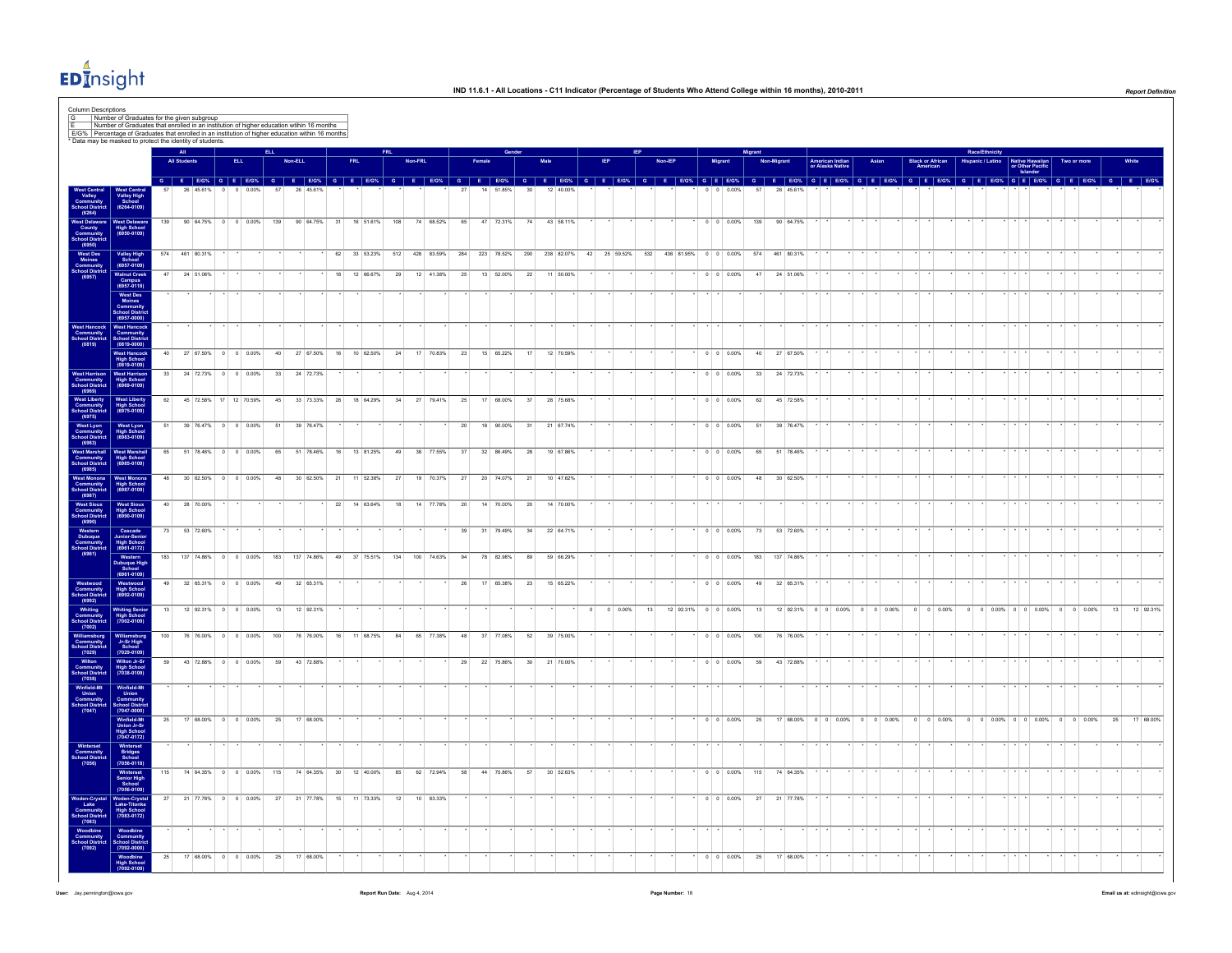

| <b>Column Descriptions</b>                                                                                                                                                                                                                                                              |                                                                                                                                                                |     |                        |            |                    |          |         |            |                 |            |           |     |                           |                 |              |                 |        |                |  |              |     |         |                      |                          |            |             |            |                                     |                    |  |                                     |                          |                     |                                  |            |    |                                                                                                                                                                   |
|-----------------------------------------------------------------------------------------------------------------------------------------------------------------------------------------------------------------------------------------------------------------------------------------|----------------------------------------------------------------------------------------------------------------------------------------------------------------|-----|------------------------|------------|--------------------|----------|---------|------------|-----------------|------------|-----------|-----|---------------------------|-----------------|--------------|-----------------|--------|----------------|--|--------------|-----|---------|----------------------|--------------------------|------------|-------------|------------|-------------------------------------|--------------------|--|-------------------------------------|--------------------------|---------------------|----------------------------------|------------|----|-------------------------------------------------------------------------------------------------------------------------------------------------------------------|
|                                                                                                                                                                                                                                                                                         | G Number of Graduates for the given subgroup<br>Number of Graduates that enrolled in an institution of higher education within 16 months                       |     |                        |            |                    |          |         |            |                 |            |           |     |                           |                 |              |                 |        |                |  |              |     |         |                      |                          |            |             |            |                                     |                    |  |                                     |                          |                     |                                  |            |    |                                                                                                                                                                   |
|                                                                                                                                                                                                                                                                                         | E/G% Percentage of Graduates that enrolled in an institution of higher education within 16 months<br>* Data may be masked to protect the identity of students. |     |                        |            |                    |          |         |            |                 |            |           |     |                           |                 |              |                 |        |                |  |              |     |         |                      |                          |            |             |            |                                     |                    |  |                                     |                          |                     |                                  |            |    |                                                                                                                                                                   |
|                                                                                                                                                                                                                                                                                         |                                                                                                                                                                |     | All                    |            |                    |          |         |            |                 |            |           |     |                           |                 |              |                 |        |                |  |              |     |         |                      |                          |            |             |            |                                     |                    |  |                                     | <b>Race/Fthnicit</b>     |                     |                                  |            |    |                                                                                                                                                                   |
|                                                                                                                                                                                                                                                                                         |                                                                                                                                                                |     | <b>All Students</b>    |            | ELL                |          | Non-ELL |            |                 | <b>FRL</b> |           |     | Non-FRL                   |                 |              |                 |        |                |  |              |     | Non-IEP |                      | Migrant                  |            | Non-Migrant |            | American Indian<br>or Alaska Native | Asian              |  | <b>Black or African</b><br>American | <b>Hispanic / Latino</b> | Native Hawaiian     | Two or more                      |            |    |                                                                                                                                                                   |
|                                                                                                                                                                                                                                                                                         |                                                                                                                                                                |     |                        |            |                    |          |         |            |                 |            |           |     |                           |                 |              |                 |        |                |  |              |     |         |                      |                          |            |             |            |                                     |                    |  |                                     |                          | or Other Pacific    |                                  |            |    |                                                                                                                                                                   |
|                                                                                                                                                                                                                                                                                         |                                                                                                                                                                |     | 26 45.61%              |            | $0 - 0.00%$        | 57       |         | 26 45 61%  |                 |            |           |     |                           |                 | 14<br>51 85% | 30              |        | 12 40.009      |  |              |     |         | $\Omega$             | 0.00%                    | 57         |             | 26 45 61%  |                                     |                    |  |                                     |                          |                     |                                  |            |    | G E EOSK G E EOSK G E EOSK G E EOSK G E EOSK G E EOSK G E EOSK G E EOSK G E EOSK G E EOSK G E EOSK G E EOSK G E EOSK G E EOSK G E EOSK G E EOSK G E EOSK G E EOSK |
|                                                                                                                                                                                                                                                                                         | Vest Centra<br>Valley High<br>School<br>(6264-0109)                                                                                                            |     |                        |            |                    |          |         |            |                 |            |           |     |                           |                 |              |                 |        |                |  |              |     |         |                      |                          |            |             |            |                                     |                    |  |                                     |                          |                     |                                  |            |    |                                                                                                                                                                   |
| West Centra<br>Valley<br>Valley<br>Community<br>School Distri<br>(6264)<br>Vest Delawa<br>Community<br>(6950)<br>West Des<br>Moines<br>Community<br>chool Distri<br>(6950)<br>Community<br>chool Distri<br>Community<br>chool Distri<br>chool Distri                                    | West Delawar<br>High School<br>(6950-0109)                                                                                                                     | 139 | 90 64,75%              |            | $0 \t 0 \t 0.00\%$ | 139      |         | 90 64.75%  | 31              |            | 16 51.61% | 108 | 74 68.52%                 | 65              | 47 72.31%    | 74              |        | 43 58.11%      |  |              |     |         |                      | $0 \t 0 \t 0.00\%$       | 139        |             | 90 64.75%  |                                     |                    |  |                                     |                          |                     |                                  |            |    |                                                                                                                                                                   |
|                                                                                                                                                                                                                                                                                         | Valley High<br>School<br>(6957-0109)                                                                                                                           |     | 574 461 80.31%         |            |                    |          |         |            | 62              |            | 33 53.23% | 512 | 428 83.59%                | 284             | 223 78.52%   |                 |        | 290 238 82.07% |  | 42 25 59.52% | 532 |         | 436 81.95% 0 0 0.00% |                          | 574        |             | 461 80.31% |                                     |                    |  |                                     |                          |                     |                                  |            |    |                                                                                                                                                                   |
|                                                                                                                                                                                                                                                                                         | -<br>Walnut Creek<br>Campus<br>(6957-0118)                                                                                                                     | 47  | 24 51.06%              |            |                    |          |         |            | 18              |            | 12 66 67% | 29  | 12 41.38%                 | 25              | 13 52.00%    | 22              |        | 11 50.00%      |  |              |     |         |                      | $0 \quad 0 \quad 0.00\%$ | 47         |             | 24 51.06%  |                                     |                    |  |                                     |                          |                     |                                  |            |    |                                                                                                                                                                   |
|                                                                                                                                                                                                                                                                                         | West Des<br>Moines<br>Communit<br>School Dist<br>(6957-0000)                                                                                                   |     |                        |            |                    |          |         |            |                 |            |           |     |                           |                 |              |                 |        |                |  |              |     |         |                      |                          |            |             |            |                                     |                    |  |                                     |                          |                     |                                  |            |    |                                                                                                                                                                   |
|                                                                                                                                                                                                                                                                                         | West Hancoc<br>Community<br>School Distric                                                                                                                     |     |                        |            |                    |          |         |            |                 |            |           |     |                           |                 |              |                 |        |                |  |              |     |         |                      |                          |            |             |            |                                     |                    |  |                                     |                          |                     |                                  |            |    |                                                                                                                                                                   |
| West Hancock<br>Community<br>School District<br>(0819)                                                                                                                                                                                                                                  | $(0819 - 0000)$                                                                                                                                                |     |                        |            |                    |          |         |            |                 |            |           |     |                           |                 |              |                 |        |                |  |              |     |         |                      |                          |            |             |            |                                     |                    |  |                                     |                          |                     |                                  |            |    |                                                                                                                                                                   |
|                                                                                                                                                                                                                                                                                         | West Hancoc<br>High School<br>(0819-0109)                                                                                                                      | 40  | 27 67.50% 0 0 0.00%    |            |                    | 40       |         | 27 67.50%  | 16              |            | 10 62.50% | 24  | 17 70.83%                 | 23              | 15 65.22%    | 17              |        | 12 70.59%      |  |              |     |         |                      | $0 \t 0 \t 0.00\%$       | 40         |             | 27 67.50%  |                                     |                    |  |                                     |                          |                     |                                  |            |    |                                                                                                                                                                   |
| <b>West Harrison<br/>Community<br/>School District</b><br>(6969)                                                                                                                                                                                                                        | West Harrison<br>High School<br>(6969-0109)                                                                                                                    | 33  | 24 72.73% 0 0 0.00%    |            |                    | 33       |         | 24 72.73%  |                 |            |           |     |                           |                 |              |                 |        |                |  |              |     |         |                      | $0 \quad 0 \quad 0.00\%$ | 33         |             | 24 72.73%  |                                     |                    |  |                                     |                          |                     |                                  |            |    |                                                                                                                                                                   |
|                                                                                                                                                                                                                                                                                         | West Liberty<br>High School<br>(6975-0109)                                                                                                                     | 62  | 45 72.58% 17 12 70.59% |            |                    | 45       |         | 33 73.33%  | 28              |            | 18 64.29% | 34  | 27 79.41%                 | 25              | 17 68 00%    | 37              |        | 28 75.68%      |  |              |     |         |                      | $0 \quad 0 \quad 0.00\%$ | 62         |             | 45 72.58%  |                                     |                    |  |                                     |                          |                     |                                  |            |    |                                                                                                                                                                   |
| West Liberty<br>Community<br>Community<br>Centrus<br>School District<br>(6975)<br>West Lyon<br>(6976)<br>West Marshall<br>(6985)<br>(6985)<br>(6985)<br>(6987)<br>Community<br>(6987)<br>Centrus<br>Community<br>Centrus<br>Community<br>Centrus<br>Community<br>Centrus                | West Lyon<br>High School<br>(6983-0109)                                                                                                                        | 51  | 39 76 47%              |            | $0 \t 0 \t 0.00%$  | 51       |         | 39 76.47%  |                 |            |           |     |                           | 20 <sub>0</sub> | 18 90 00%    | 31              |        | 21 67.74%      |  |              |     |         |                      | $0 \quad 0 \quad 0.00\%$ | 51         |             | 39 76.47%  |                                     |                    |  |                                     |                          |                     |                                  |            |    |                                                                                                                                                                   |
|                                                                                                                                                                                                                                                                                         | West Marshal<br>High School<br>(6985-0109)                                                                                                                     | 65  | 51 78.46%              | $\circ$    | $0 - 0.00%$        | 65       |         | 51 78.46%  | 16              |            | 13 81.25% | 49  | 38 77.55%                 | 37              | 32 86.49%    | 28              |        | 19 67.86%      |  |              |     |         |                      | $0 \t 0 \t 0.00%$        | 65         |             | 51 78.46%  |                                     |                    |  |                                     |                          |                     |                                  |            |    |                                                                                                                                                                   |
|                                                                                                                                                                                                                                                                                         |                                                                                                                                                                | 48  | 30 62.50%              | $^{\circ}$ | 0 0.00%            | 48       |         | 30 62.50%  | 21              |            | 11 52.38% | 27  | $\overline{19}$<br>70.37% | 27              | 20<br>74.07% | $\overline{21}$ |        | 10 47.62%      |  |              |     |         |                      | 0 0 0.00%                | 48         |             | 30 62.50%  |                                     |                    |  |                                     |                          |                     |                                  |            |    |                                                                                                                                                                   |
|                                                                                                                                                                                                                                                                                         | West Monona<br>High School<br>(6987-0109)                                                                                                                      |     |                        |            |                    |          |         |            |                 |            |           |     |                           |                 |              |                 |        |                |  |              |     |         |                      |                          |            |             |            |                                     |                    |  |                                     |                          |                     |                                  |            |    |                                                                                                                                                                   |
|                                                                                                                                                                                                                                                                                         | West Sioux<br>High School<br>(6990-0109)                                                                                                                       | 40  | 28 70.00%              |            |                    |          |         |            | 22              |            | 14 63.64% | 18  | 14 77.78%                 | 20              | 14 70.00%    | 20              |        | 14 70.00%      |  |              |     |         |                      |                          |            |             |            |                                     |                    |  |                                     |                          |                     |                                  |            |    |                                                                                                                                                                   |
|                                                                                                                                                                                                                                                                                         | Cascade<br>Junior-Senio<br>High School<br>(6961-0172)                                                                                                          | 73  | 53 72 60%              |            |                    |          |         |            |                 |            |           |     |                           | 39              | 31 79 49%    |                 | 34     | 22 64 71%      |  |              |     |         |                      | $0 \quad 0 \quad 0.00\%$ | 73         |             | 53 72 60%  |                                     |                    |  |                                     |                          |                     |                                  |            |    |                                                                                                                                                                   |
|                                                                                                                                                                                                                                                                                         | Western<br>Dubuque High<br>School<br>(6961-0109)                                                                                                               | 183 | 137 74.86% 0 0 0.00%   |            |                    | 183      |         | 137 74.86% | 49              |            | 37 75.51% | 134 | 100 74.63%                | 94              | 78 82.98%    |                 | 89     | 59 66.29%      |  |              |     |         |                      | $0 \t 0 \t 0.00\%$       | 183        |             | 137 74.86% |                                     |                    |  |                                     |                          |                     |                                  |            |    |                                                                                                                                                                   |
|                                                                                                                                                                                                                                                                                         | Westwood<br>High School<br>(6992-0109)                                                                                                                         | 49  | 32 65.31% 0 0 0.00%    |            |                    | 49       |         | 32 65.31%  |                 |            |           |     |                           | 26              | 17 65.38%    |                 | $23\,$ | 15 65.22%      |  |              |     |         |                      | $0 \t 0 \t 0.00\%$       | 49         |             | 32 65.31%  |                                     |                    |  |                                     |                          |                     |                                  |            |    |                                                                                                                                                                   |
|                                                                                                                                                                                                                                                                                         | Whiting Senic<br>High School<br>(7002-0109)                                                                                                                    | 13  | 12 92.31% 0 0 0.00%    |            |                    | 13       |         | 12 92.31%  |                 |            |           |     |                           |                 |              |                 |        |                |  | 0 0.00%      | 13  |         | 12 92.31% 0 0 0.00%  |                          | 13         |             | 12 92.31%  | $0 \t 0 \t 0.00\%$                  | $0 \t 0 \t 0.00\%$ |  | $0 \t 0 \t 0.00\%$                  | $\Omega$                 |                     | $0 \t0.00\%$ 0 0 0.00% 0 0 0.00% |            | 13 | 12 92.31%                                                                                                                                                         |
| Westwood<br>Community<br>School District<br>School District<br>(9992)<br>Whitiamsburg<br>Community<br>Community<br>Community<br>Community<br>Community<br>Witted-Mt Union<br>Witted-Mt Union<br>Community<br>Winfield-Mt<br>Community<br>Community<br>Community<br>School District<br>C |                                                                                                                                                                | 100 | 76 76.00% 0 0 0.00%    |            |                    | 100      |         | 76 76.00%  | 16              |            | 11 68 75% | 84  | 65 77.38%                 | 48              | 37 77 08%    |                 | 52     | 39 75 00%      |  |              |     |         |                      | $0 \t 0 \t 0.00\%$       | 100        |             | 76 76.00%  |                                     |                    |  |                                     |                          |                     |                                  |            |    |                                                                                                                                                                   |
|                                                                                                                                                                                                                                                                                         | Williamsburg<br>Jr-Sr High<br>School<br>(7029-0109)                                                                                                            |     |                        |            |                    |          |         |            |                 |            |           |     |                           |                 |              |                 |        |                |  |              |     |         |                      |                          |            |             |            |                                     |                    |  |                                     |                          |                     |                                  |            |    |                                                                                                                                                                   |
|                                                                                                                                                                                                                                                                                         | Wilton Jr-Sr<br>High School<br>(7038-0109)                                                                                                                     | 59  | 43 72.88% 0 0 0.00%    |            |                    | 59       |         | 43 72.88%  |                 |            |           |     |                           | 29              | 22 75.86%    | 30              |        | 21 70.00%      |  |              |     |         |                      | $0 \t 0 \t 0.00%$        | 59         |             | 43 72.88%  |                                     |                    |  |                                     |                          |                     |                                  |            |    |                                                                                                                                                                   |
|                                                                                                                                                                                                                                                                                         | Winfield-Mt<br>Union<br>Community<br>School Distric<br>(7047-0000)                                                                                             |     |                        |            |                    |          |         |            |                 |            |           |     |                           |                 |              |                 |        |                |  |              |     |         |                      |                          |            |             |            |                                     |                    |  |                                     |                          |                     |                                  |            |    |                                                                                                                                                                   |
|                                                                                                                                                                                                                                                                                         |                                                                                                                                                                | 25  | 17 68.00% 0 0 0.00%    |            |                    | 25       |         | 17 68.00%  |                 |            |           |     |                           |                 |              |                 |        |                |  |              |     |         |                      | $0 \quad 0 \quad 0.00\%$ | 25         |             | 17 68.00%  | $0 \t0 \t0.00\%$ 0 0 0.00%          |                    |  | $0 \t 0 \t 0.00\%$                  | $\Omega$                 | $0$ 0.00% 0 0 0.00% | $\sqrt{2}$                       | $0 0.00\%$ | 25 | 17 68 00%                                                                                                                                                         |
|                                                                                                                                                                                                                                                                                         | Winfield-Mt<br>Union Jr-Sr<br>High School<br>(7047-0172)                                                                                                       |     |                        |            |                    |          |         |            |                 |            |           |     |                           |                 |              |                 |        |                |  |              |     |         |                      |                          |            |             |            |                                     |                    |  |                                     |                          |                     |                                  |            |    |                                                                                                                                                                   |
| Winterset<br>Community<br>School Distric<br>(7056)                                                                                                                                                                                                                                      | Winterset<br>Bridges<br>School<br>(7056-0118)                                                                                                                  |     |                        |            |                    |          |         |            |                 |            |           |     |                           |                 |              |                 |        |                |  |              |     |         |                      |                          |            |             |            |                                     |                    |  |                                     |                          |                     |                                  |            |    |                                                                                                                                                                   |
|                                                                                                                                                                                                                                                                                         | Winterset<br>Senior High<br>School<br>(7056-0109)                                                                                                              | 115 | 74 64.35% 0 0 0.00%    |            |                    | 115      |         | 74 64.35%  | 30 <sup>°</sup> |            | 12 40.00% | 85  | 62 72.94%                 | 58              | 44 75.86%    | 57              |        | 30 52.63%      |  |              |     |         |                      | $0 \t 0 \t 0.00\%$       | 115        |             | 74 64.35%  |                                     |                    |  |                                     |                          |                     |                                  |            |    |                                                                                                                                                                   |
|                                                                                                                                                                                                                                                                                         | Woden-Crysta<br>Lake-Titonka<br>High School<br>(7083-0172)                                                                                                     | 27  | 21 77.78% 0 0 0.00%    |            |                    | 27       |         | 21 77.78%  | 15              |            | 11 73.33% | 12  | 10 83.33%                 |                 |              |                 |        |                |  |              |     |         |                      | $0 \t 0 \t 0.00\%$       | 27         |             | 21 77.78%  |                                     |                    |  |                                     |                          |                     |                                  |            |    |                                                                                                                                                                   |
| Moden-Crystal<br>Lake<br>Community<br>School Distric<br>(7083)<br>Woodbine<br>Community<br>School Distrie<br>(7092)                                                                                                                                                                     |                                                                                                                                                                |     |                        |            |                    |          |         |            |                 |            |           |     |                           |                 |              |                 |        |                |  |              |     |         |                      |                          |            |             |            |                                     |                    |  |                                     |                          |                     |                                  |            |    |                                                                                                                                                                   |
|                                                                                                                                                                                                                                                                                         | Woodbine<br>Community<br>School Distric<br>(7092-0000)                                                                                                         |     |                        |            |                    |          |         | 17 68.00%  |                 |            |           |     |                           |                 |              |                 |        |                |  |              |     |         |                      | $0 \quad 0 \quad 0.00\%$ |            |             | 17 68.00%  |                                     |                    |  |                                     |                          |                     |                                  |            |    |                                                                                                                                                                   |
|                                                                                                                                                                                                                                                                                         | Woodbine<br>High School<br>(7092-0109)                                                                                                                         | 25  | 17 68.00% 0 0 0.00%    |            |                    | $\bf 25$ |         |            |                 |            |           |     |                           |                 |              |                 |        |                |  |              |     |         |                      |                          | ${\bf 25}$ |             |            |                                     |                    |  |                                     |                          |                     |                                  |            |    |                                                                                                                                                                   |